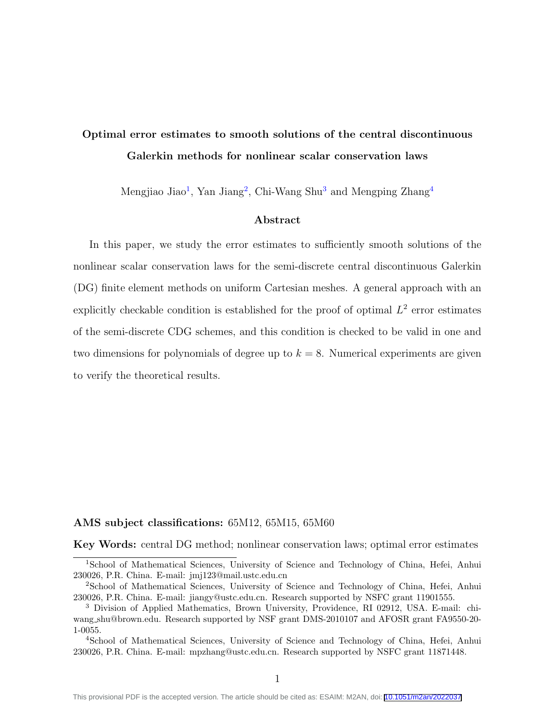# Optimal error estimates to smooth solutions of the central discontinuous Galerkin methods for nonlinear scalar conservation laws

Mengjiao Jiao<sup>[1](#page-0-0)</sup>, Yan Jiang<sup>[2](#page-0-1)</sup>, Chi-Wang Shu<sup>[3](#page-0-2)</sup> and Mengping Zhang<sup>[4](#page-0-3)</sup>

### Abstract

In this paper, we study the error estimates to sufficiently smooth solutions of the nonlinear scalar conservation laws for the semi-discrete central discontinuous Galerkin (DG) finite element methods on uniform Cartesian meshes. A general approach with an explicitly checkable condition is established for the proof of optimal  $L^2$  error estimates of the semi-discrete CDG schemes, and this condition is checked to be valid in one and two dimensions for polynomials of degree up to  $k = 8$ . Numerical experiments are given to verify the theoretical results.

#### AMS subject classifications: 65M12, 65M15, 65M60

Key Words: central DG method; nonlinear conservation laws; optimal error estimates

<span id="page-0-0"></span><sup>1</sup>School of Mathematical Sciences, University of Science and Technology of China, Hefei, Anhui 230026, P.R. China. E-mail: jmj123@mail.ustc.edu.cn

<span id="page-0-1"></span><sup>2</sup>School of Mathematical Sciences, University of Science and Technology of China, Hefei, Anhui 230026, P.R. China. E-mail: jiangy@ustc.edu.cn. Research supported by NSFC grant 11901555.

<span id="page-0-2"></span><sup>3</sup> Division of Applied Mathematics, Brown University, Providence, RI 02912, USA. E-mail: chiwang shu@brown.edu. Research supported by NSF grant DMS-2010107 and AFOSR grant FA9550-20- 1-0055.

<span id="page-0-3"></span><sup>4</sup>School of Mathematical Sciences, University of Science and Technology of China, Hefei, Anhui 230026, P.R. China. E-mail: mpzhang@ustc.edu.cn. Research supported by NSFC grant 11871448.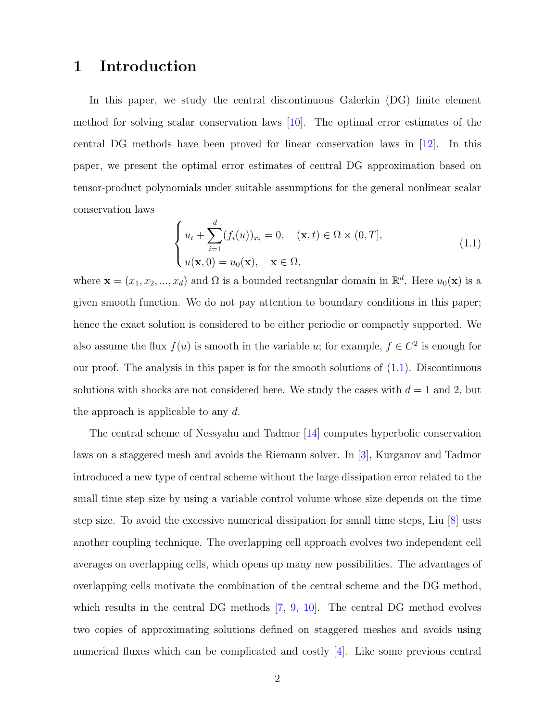## 1 Introduction

In this paper, we study the central discontinuous Galerkin (DG) finite element method for solving scalar conservation laws  $[10]$ . The optimal error estimates of the central DG methods have been proved for linear conservation laws in [\[12\]](#page-47-1). In this paper, we present the optimal error estimates of central DG approximation based on tensor-product polynomials under suitable assumptions for the general nonlinear scalar conservation laws

<span id="page-1-0"></span>
$$
\begin{cases}\n u_t + \sum_{i=1}^d (f_i(u))_{x_i} = 0, & (\mathbf{x}, t) \in \Omega \times (0, T], \\
 u(\mathbf{x}, 0) = u_0(\mathbf{x}), & \mathbf{x} \in \Omega,\n\end{cases}
$$
\n(1.1)

where  $\mathbf{x} = (x_1, x_2, ..., x_d)$  and  $\Omega$  is a bounded rectangular domain in  $\mathbb{R}^d$ . Here  $u_0(\mathbf{x})$  is a given smooth function. We do not pay attention to boundary conditions in this paper; hence the exact solution is considered to be either periodic or compactly supported. We also assume the flux  $f(u)$  is smooth in the variable u; for example,  $f \in C^2$  is enough for our proof. The analysis in this paper is for the smooth solutions of [\(1.1\)](#page-1-0). Discontinuous solutions with shocks are not considered here. We study the cases with  $d = 1$  and 2, but the approach is applicable to any  $d$ .

The central scheme of Nessyahu and Tadmor [\[14\]](#page-48-0) computes hyperbolic conservation laws on a staggered mesh and avoids the Riemann solver. In [\[3\]](#page-46-0), Kurganov and Tadmor introduced a new type of central scheme without the large dissipation error related to the small time step size by using a variable control volume whose size depends on the time step size. To avoid the excessive numerical dissipation for small time steps, Liu [\[8\]](#page-47-2) uses another coupling technique. The overlapping cell approach evolves two independent cell averages on overlapping cells, which opens up many new possibilities. The advantages of overlapping cells motivate the combination of the central scheme and the DG method, which results in the central DG methods [\[7,](#page-47-3) [9,](#page-47-4) [10\]](#page-47-0). The central DG method evolves two copies of approximating solutions defined on staggered meshes and avoids using numerical fluxes which can be complicated and costly [\[4\]](#page-46-1). Like some previous central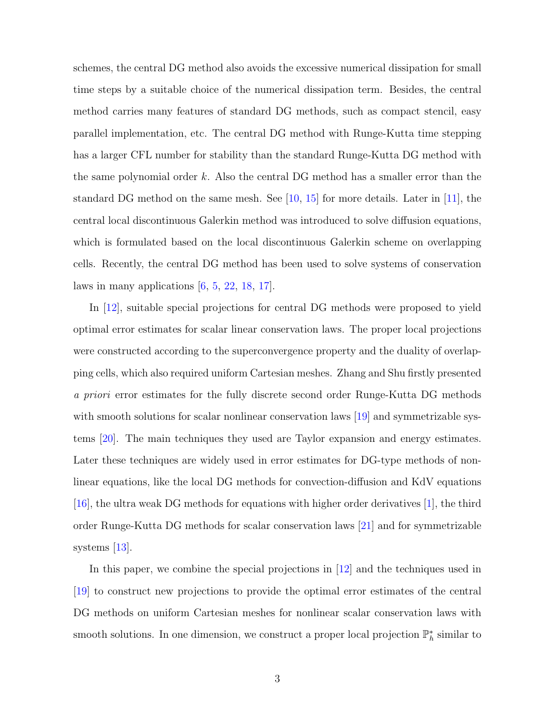schemes, the central DG method also avoids the excessive numerical dissipation for small time steps by a suitable choice of the numerical dissipation term. Besides, the central method carries many features of standard DG methods, such as compact stencil, easy parallel implementation, etc. The central DG method with Runge-Kutta time stepping has a larger CFL number for stability than the standard Runge-Kutta DG method with the same polynomial order  $k$ . Also the central DG method has a smaller error than the standard DG method on the same mesh. See  $[10, 15]$  $[10, 15]$  for more details. Later in  $[11]$ , the central local discontinuous Galerkin method was introduced to solve diffusion equations, which is formulated based on the local discontinuous Galerkin scheme on overlapping cells. Recently, the central DG method has been used to solve systems of conservation laws in many applications  $[6, 5, 22, 18, 17]$  $[6, 5, 22, 18, 17]$  $[6, 5, 22, 18, 17]$  $[6, 5, 22, 18, 17]$  $[6, 5, 22, 18, 17]$  $[6, 5, 22, 18, 17]$  $[6, 5, 22, 18, 17]$  $[6, 5, 22, 18, 17]$ .

In [\[12\]](#page-47-1), suitable special projections for central DG methods were proposed to yield optimal error estimates for scalar linear conservation laws. The proper local projections were constructed according to the superconvergence property and the duality of overlapping cells, which also required uniform Cartesian meshes. Zhang and Shu firstly presented a priori error estimates for the fully discrete second order Runge-Kutta DG methods with smooth solutions for scalar nonlinear conservation laws [\[19\]](#page-48-4) and symmetrizable systems [\[20\]](#page-48-5). The main techniques they used are Taylor expansion and energy estimates. Later these techniques are widely used in error estimates for DG-type methods of nonlinear equations, like the local DG methods for convection-diffusion and KdV equations [\[16\]](#page-48-6), the ultra weak DG methods for equations with higher order derivatives [\[1\]](#page-46-2), the third order Runge-Kutta DG methods for scalar conservation laws [\[21\]](#page-49-1) and for symmetrizable systems [\[13\]](#page-48-7).

In this paper, we combine the special projections in [\[12\]](#page-47-1) and the techniques used in [\[19\]](#page-48-4) to construct new projections to provide the optimal error estimates of the central DG methods on uniform Cartesian meshes for nonlinear scalar conservation laws with smooth solutions. In one dimension, we construct a proper local projection  $\mathbb{P}_h^*$  similar to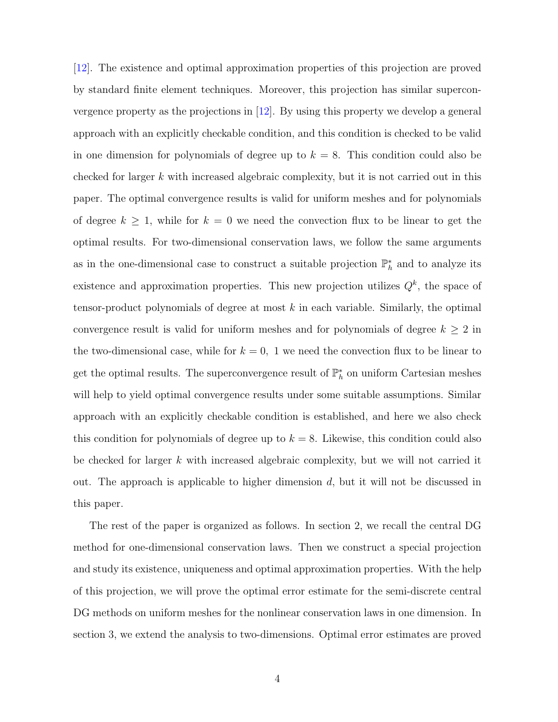[\[12\]](#page-47-1). The existence and optimal approximation properties of this projection are proved by standard finite element techniques. Moreover, this projection has similar superconvergence property as the projections in [\[12\]](#page-47-1). By using this property we develop a general approach with an explicitly checkable condition, and this condition is checked to be valid in one dimension for polynomials of degree up to  $k = 8$ . This condition could also be checked for larger  $k$  with increased algebraic complexity, but it is not carried out in this paper. The optimal convergence results is valid for uniform meshes and for polynomials of degree  $k \geq 1$ , while for  $k = 0$  we need the convection flux to be linear to get the optimal results. For two-dimensional conservation laws, we follow the same arguments as in the one-dimensional case to construct a suitable projection  $\mathbb{P}_h^*$  and to analyze its existence and approximation properties. This new projection utilizes  $Q<sup>k</sup>$ , the space of tensor-product polynomials of degree at most k in each variable. Similarly, the optimal convergence result is valid for uniform meshes and for polynomials of degree  $k \geq 2$  in the two-dimensional case, while for  $k = 0$ , 1 we need the convection flux to be linear to get the optimal results. The superconvergence result of  $\mathbb{P}_h^*$  on uniform Cartesian meshes will help to yield optimal convergence results under some suitable assumptions. Similar approach with an explicitly checkable condition is established, and here we also check this condition for polynomials of degree up to  $k = 8$ . Likewise, this condition could also be checked for larger  $k$  with increased algebraic complexity, but we will not carried it out. The approach is applicable to higher dimension  $d$ , but it will not be discussed in this paper.

The rest of the paper is organized as follows. In section 2, we recall the central DG method for one-dimensional conservation laws. Then we construct a special projection and study its existence, uniqueness and optimal approximation properties. With the help of this projection, we will prove the optimal error estimate for the semi-discrete central DG methods on uniform meshes for the nonlinear conservation laws in one dimension. In section 3, we extend the analysis to two-dimensions. Optimal error estimates are proved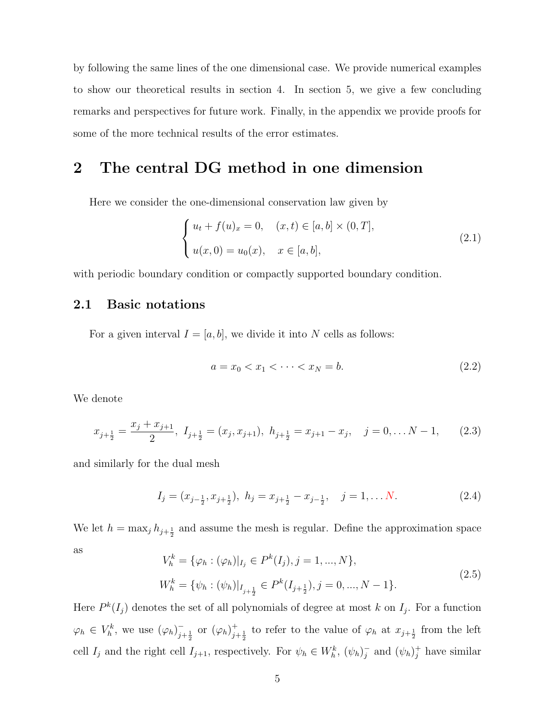by following the same lines of the one dimensional case. We provide numerical examples to show our theoretical results in section 4. In section 5, we give a few concluding remarks and perspectives for future work. Finally, in the appendix we provide proofs for some of the more technical results of the error estimates.

## 2 The central DG method in one dimension

Here we consider the one-dimensional conservation law given by

<span id="page-4-0"></span>
$$
\begin{cases} u_t + f(u)_x = 0, & (x, t) \in [a, b] \times (0, T], \\ u(x, 0) = u_0(x), & x \in [a, b], \end{cases}
$$
 (2.1)

with periodic boundary condition or compactly supported boundary condition.

### 2.1 Basic notations

For a given interval  $I = [a, b]$ , we divide it into N cells as follows:

$$
a = x_0 < x_1 < \dots < x_N = b. \tag{2.2}
$$

We denote

$$
x_{j+\frac{1}{2}} = \frac{x_j + x_{j+1}}{2}, I_{j+\frac{1}{2}} = (x_j, x_{j+1}), h_{j+\frac{1}{2}} = x_{j+1} - x_j, \quad j = 0, \dots N - 1,
$$
 (2.3)

and similarly for the dual mesh

$$
I_j = (x_{j-\frac{1}{2}}, x_{j+\frac{1}{2}}), \ h_j = x_{j+\frac{1}{2}} - x_{j-\frac{1}{2}}, \quad j = 1, \dots N. \tag{2.4}
$$

We let  $h = \max_j h_{j+\frac{1}{2}}$  and assume the mesh is regular. Define the approximation space as

$$
V_h^k = \{ \varphi_h : (\varphi_h)|_{I_j} \in P^k(I_j), j = 1, ..., N \},
$$
  
\n
$$
W_h^k = \{ \psi_h : (\psi_h)|_{I_{j+\frac{1}{2}}} \in P^k(I_{j+\frac{1}{2}}), j = 0, ..., N-1 \}.
$$
\n(2.5)

Here  $P^k(I_j)$  denotes the set of all polynomials of degree at most k on  $I_j$ . For a function  $\varphi_h \in V_h^k$ , we use  $(\varphi_h)_{i=1}^ _{j+\frac{1}{2}}^{-}$  or  $(\varphi_h)_{j}^{+}$  $j+\frac{1}{2}$  to refer to the value of  $\varphi_h$  at  $x_{j+\frac{1}{2}}$  from the left cell  $I_j$  and the right cell  $I_{j+1}$ , respectively. For  $\psi_h \in W_h^k$ ,  $(\psi_h)^{-1}_{j}$  $\bar{j}$  and  $(\psi_h)^+_{j}$  have similar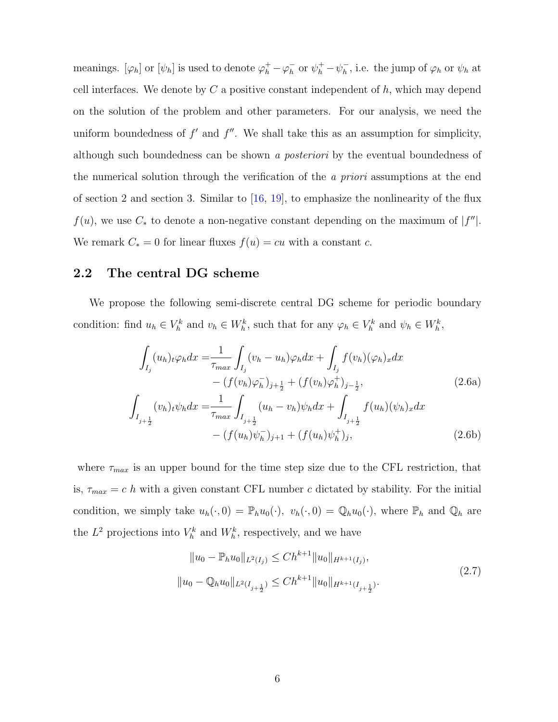meanings.  $[\varphi_h]$  or  $[\psi_h]$  is used to denote  $\varphi_h^+ - \varphi_h^ \frac{1}{h}$  or  $\psi_h^+ - \psi_h^ \bar{h}$ , i.e. the jump of  $\varphi_h$  or  $\psi_h$  at cell interfaces. We denote by  $C$  a positive constant independent of  $h$ , which may depend on the solution of the problem and other parameters. For our analysis, we need the uniform boundedness of  $f'$  and  $f''$ . We shall take this as an assumption for simplicity, although such boundedness can be shown a posteriori by the eventual boundedness of the numerical solution through the verification of the a priori assumptions at the end of section 2 and section 3. Similar to  $[16, 19]$  $[16, 19]$ , to emphasize the nonlinearity of the flux  $f(u)$ , we use  $C_*$  to denote a non-negative constant depending on the maximum of  $|f''|$ . We remark  $C_* = 0$  for linear fluxes  $f(u) = cu$  with a constant c.

### 2.2 The central DG scheme

We propose the following semi-discrete central DG scheme for periodic boundary condition: find  $u_h \in V_h^k$  and  $v_h \in W_h^k$ , such that for any  $\varphi_h \in V_h^k$  and  $\psi_h \in W_h^k$ ,

$$
\int_{I_j} (u_h)_t \varphi_h dx = \frac{1}{\tau_{max}} \int_{I_j} (v_h - u_h) \varphi_h dx + \int_{I_j} f(v_h) (\varphi_h)_x dx \n- (f(v_h) \varphi_h^-)_{j+\frac{1}{2}} + (f(v_h) \varphi_h^+)_{j-\frac{1}{2}},
$$
\n
$$
\int_{I_{j+\frac{1}{2}}} (v_h)_t \psi_h dx = \frac{1}{\tau_{max}} \int_{I_{j+\frac{1}{2}}} (u_h - v_h) \psi_h dx + \int_{I_{j+\frac{1}{2}}} f(u_h) (\psi_h)_x dx \n- (f(u_h) \psi_h^-)_{j+1} + (f(u_h) \psi_h^+)_j,
$$
\n(2.6b)

where  $\tau_{max}$  is an upper bound for the time step size due to the CFL restriction, that is,  $\tau_{max} = c \; h$  with a given constant CFL number c dictated by stability. For the initial condition, we simply take  $u_h(\cdot, 0) = \mathbb{P}_h u_0(\cdot), v_h(\cdot, 0) = \mathbb{Q}_h u_0(\cdot)$ , where  $\mathbb{P}_h$  and  $\mathbb{Q}_h$  are the  $L^2$  projections into  $V_h^k$  and  $W_h^k$ , respectively, and we have

<span id="page-5-0"></span>
$$
||u_0 - \mathbb{P}_h u_0||_{L^2(I_j)} \le Ch^{k+1} ||u_0||_{H^{k+1}(I_j)},
$$
  

$$
||u_0 - \mathbb{Q}_h u_0||_{L^2(I_{j+\frac{1}{2}})} \le Ch^{k+1} ||u_0||_{H^{k+1}(I_{j+\frac{1}{2}})}.
$$
\n
$$
(2.7)
$$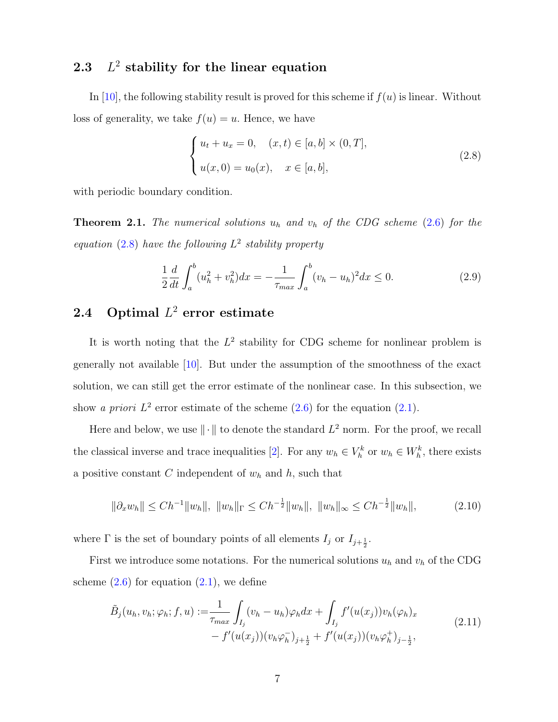#### 2.3 L  $2$  stability for the linear equation

In [\[10\]](#page-47-0), the following stability result is proved for this scheme if  $f(u)$  is linear. Without loss of generality, we take  $f(u) = u$ . Hence, we have

<span id="page-6-0"></span>
$$
\begin{cases} u_t + u_x = 0, \quad (x, t) \in [a, b] \times (0, T], \\ u(x, 0) = u_0(x), \quad x \in [a, b], \end{cases}
$$
 (2.8)

with periodic boundary condition.

<span id="page-6-1"></span>**Theorem 2.1.** The numerical solutions  $u_h$  and  $v_h$  of the CDG scheme [\(2.6\)](#page-5-0) for the equation [\(2.8\)](#page-6-0) have the following  $L^2$  stability property

$$
\frac{1}{2}\frac{d}{dt}\int_{a}^{b}(u_{h}^{2}+v_{h}^{2})dx=-\frac{1}{\tau_{max}}\int_{a}^{b}(v_{h}-u_{h})^{2}dx\leq 0.
$$
\n(2.9)

## **2.4** Optimal  $L^2$  error estimate

It is worth noting that the  $L^2$  stability for CDG scheme for nonlinear problem is generally not available [\[10\]](#page-47-0). But under the assumption of the smoothness of the exact solution, we can still get the error estimate of the nonlinear case. In this subsection, we show a priori  $L^2$  error estimate of the scheme  $(2.6)$  for the equation  $(2.1)$ .

Here and below, we use  $\|\cdot\|$  to denote the standard  $L^2$  norm. For the proof, we recall the classical inverse and trace inequalities [\[2\]](#page-46-3). For any  $w_h \in V_h^k$  or  $w_h \in W_h^k$ , there exists a positive constant  $C$  independent of  $w<sub>h</sub>$  and  $h$ , such that

<span id="page-6-2"></span>
$$
\|\partial_x w_h\| \le Ch^{-1} \|w_h\|, \|w_h\|_{\Gamma} \le Ch^{-\frac{1}{2}} \|w_h\|, \|w_h\|_{\infty} \le Ch^{-\frac{1}{2}} \|w_h\|,
$$
\n(2.10)

where  $\Gamma$  is the set of boundary points of all elements  $I_j$  or  $I_{j+\frac{1}{2}}$ .

First we introduce some notations. For the numerical solutions  $u_h$  and  $v_h$  of the CDG scheme  $(2.6)$  for equation  $(2.1)$ , we define

$$
\tilde{B}_j(u_h, v_h; \varphi_h; f, u) := \frac{1}{\tau_{max}} \int_{I_j} (v_h - u_h) \varphi_h dx + \int_{I_j} f'(u(x_j)) v_h(\varphi_h)_x \n- f'(u(x_j)) (v_h \varphi_h^-)_{j + \frac{1}{2}} + f'(u(x_j)) (v_h \varphi_h^+)_{j - \frac{1}{2}},
$$
\n(2.11)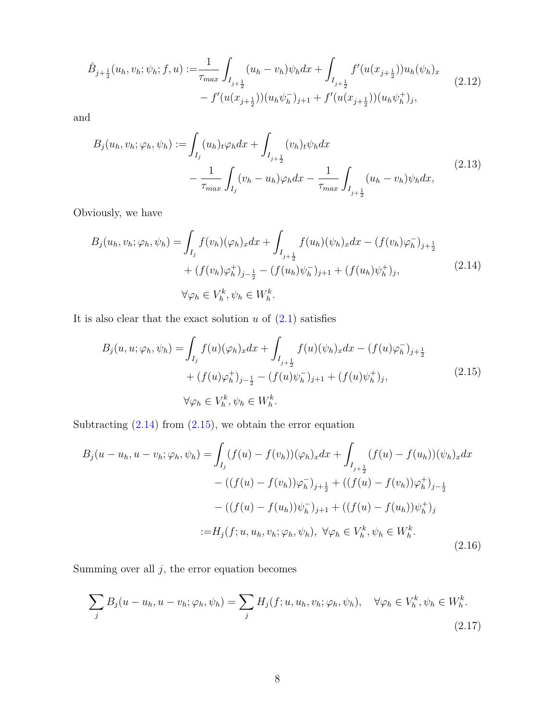$$
\hat{B}_{j+\frac{1}{2}}(u_h, v_h; \psi_h; f, u) := \frac{1}{\tau_{max}} \int_{I_{j+\frac{1}{2}}} (u_h - v_h) \psi_h dx + \int_{I_{j+\frac{1}{2}}} f'(u(x_{j+\frac{1}{2}})) u_h(\psi_h)_x \n- f'(u(x_{j+\frac{1}{2}})) (u_h \psi_h^-)_{j+1} + f'(u(x_{j+\frac{1}{2}})) (u_h \psi_h^+)_j,
$$
\n(2.12)

and

$$
B_j(u_h, v_h; \varphi_h, \psi_h) := \int_{I_j} (u_h)_t \varphi_h dx + \int_{I_{j+\frac{1}{2}}} (v_h)_t \psi_h dx - \frac{1}{\tau_{max}} \int_{I_j} (v_h - u_h) \varphi_h dx - \frac{1}{\tau_{max}} \int_{I_{j+\frac{1}{2}}} (u_h - v_h) \psi_h dx,
$$
\n(2.13)

Obviously, we have

<span id="page-7-0"></span>
$$
B_j(u_h, v_h; \varphi_h, \psi_h) = \int_{I_j} f(v_h)(\varphi_h)_x dx + \int_{I_{j+\frac{1}{2}}} f(u_h)(\psi_h)_x dx - (f(v_h)\varphi_h^-)_{j+\frac{1}{2}} + (f(v_h)\varphi_h^+)_{j-\frac{1}{2}} - (f(u_h)\psi_h^-)_{j+1} + (f(u_h)\psi_h^+)_j, \forall \varphi_h \in V_h^k, \psi_h \in W_h^k.
$$
\n(2.14)

It is also clear that the exact solution  $u$  of  $(2.1)$  satisfies

<span id="page-7-1"></span>
$$
B_j(u, u; \varphi_h, \psi_h) = \int_{I_j} f(u)(\varphi_h)_x dx + \int_{I_{j+\frac{1}{2}}} f(u)(\psi_h)_x dx - (f(u)\varphi_h^-)_{j+\frac{1}{2}} + (f(u)\varphi_h^+)_{j-\frac{1}{2}} - (f(u)\psi_h^-)_{j+1} + (f(u)\psi_h^+)_j, \forall \varphi_h \in V_h^k, \psi_h \in W_h^k.
$$
\n(2.15)

Subtracting  $(2.14)$  from  $(2.15)$ , we obtain the error equation

$$
B_j(u - u_h, u - v_h; \varphi_h, \psi_h) = \int_{I_j} (f(u) - f(v_h))(\varphi_h)_x dx + \int_{I_{j+\frac{1}{2}}} (f(u) - f(u_h))(\psi_h)_x dx
$$
  
 
$$
- ((f(u) - f(v_h))\varphi_h^-)_{j+\frac{1}{2}} + ((f(u) - f(v_h))\varphi_h^+)_{j-\frac{1}{2}}
$$
  
 
$$
- ((f(u) - f(u_h))\psi_h^-)_{j+1} + ((f(u) - f(u_h))\psi_h^+)_j
$$
  
 
$$
:= H_j(f; u, u_h, v_h; \varphi_h, \psi_h), \ \forall \varphi_h \in V_h^k, \psi_h \in W_h^k.
$$
 (2.16)

Summing over all  $j$ , the error equation becomes

$$
\sum_{j} B_j(u - u_h, u - v_h; \varphi_h, \psi_h) = \sum_{j} H_j(f; u, u_h, v_h; \varphi_h, \psi_h), \quad \forall \varphi_h \in V_h^k, \psi_h \in W_h^k.
$$
\n(2.17)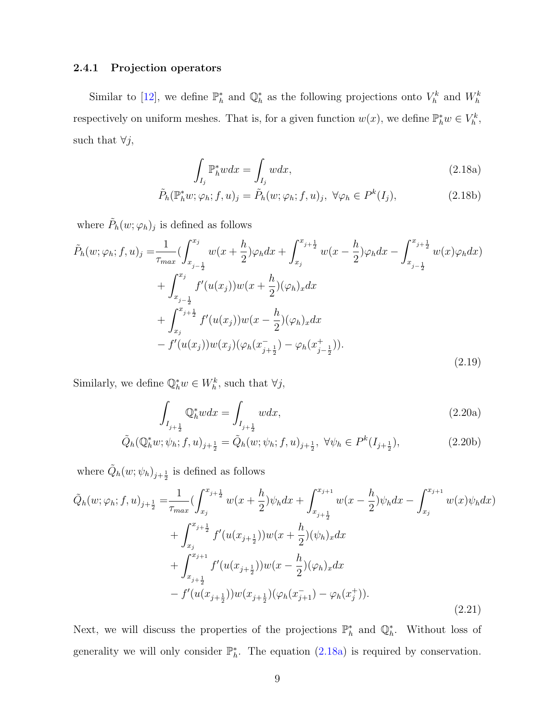### 2.4.1 Projection operators

Similar to [\[12\]](#page-47-1), we define  $\mathbb{P}_h^*$  and  $\mathbb{Q}_h^*$  as the following projections onto  $V_h^k$  and  $W_h^k$ respectively on uniform meshes. That is, for a given function  $w(x)$ , we define  $\mathbb{P}_h^* w \in V_h^k$ , such that  $\forall j$ ,

<span id="page-8-1"></span><span id="page-8-0"></span>
$$
\int_{I_j} \mathbb{P}_h^* w dx = \int_{I_j} w dx,
$$
\n(2.18a)

$$
\tilde{P}_h(\mathbb{P}_h^*w; \varphi_h; f, u)_j = \tilde{P}_h(w; \varphi_h; f, u)_j, \ \forall \varphi_h \in P^k(I_j), \tag{2.18b}
$$

where  $\tilde{P}_h(w; \varphi_h)_j$  is defined as follows

$$
\tilde{P}_h(w; \varphi_h; f, u)_j = \frac{1}{\tau_{max}} \left( \int_{x_{j-\frac{1}{2}}}^{x_j} w(x + \frac{h}{2}) \varphi_h dx + \int_{x_j}^{x_{j+\frac{1}{2}}} w(x - \frac{h}{2}) \varphi_h dx - \int_{x_{j-\frac{1}{2}}}^{x_{j+\frac{1}{2}}} w(x) \varphi_h dx \right) \n+ \int_{x_{j-\frac{1}{2}}}^{x_j} f'(u(x_j)) w(x + \frac{h}{2}) (\varphi_h)_x dx \n+ \int_{x_j}^{x_{j+\frac{1}{2}}} f'(u(x_j)) w(x - \frac{h}{2}) (\varphi_h)_x dx \n- f'(u(x_j)) w(x_j) (\varphi_h(x_{j+\frac{1}{2}}^-) - \varphi_h(x_{j-\frac{1}{2}}^+)).
$$
\n(2.19)

Similarly, we define  $\mathbb{Q}_h^* w \in W_h^k$ , such that  $\forall j$ ,

$$
\int_{I_{j+\frac{1}{2}}} \mathbb{Q}_h^* w dx = \int_{I_{j+\frac{1}{2}}} w dx, \tag{2.20a}
$$

$$
\tilde{Q}_h(\mathbb{Q}_h^*w; \psi_h; f, u)_{j+\frac{1}{2}} = \tilde{Q}_h(w; \psi_h; f, u)_{j+\frac{1}{2}}, \ \forall \psi_h \in P^k(I_{j+\frac{1}{2}}), \tag{2.20b}
$$

where  $\tilde{Q}_h(w; \psi_h)_{j+\frac{1}{2}}$  is defined as follows

$$
\tilde{Q}_{h}(w; \varphi_{h}; f, u)_{j+\frac{1}{2}} = \frac{1}{\tau_{max}} \left( \int_{x_{j}}^{x_{j+\frac{1}{2}}} w(x + \frac{h}{2}) \psi_{h} dx + \int_{x_{j+\frac{1}{2}}}^{x_{j+1}} w(x - \frac{h}{2}) \psi_{h} dx - \int_{x_{j}}^{x_{j+1}} w(x) \psi_{h} dx \right) \n+ \int_{x_{j}}^{x_{j+\frac{1}{2}}} f'(u(x_{j+\frac{1}{2}})) w(x + \frac{h}{2}) (\psi_{h})_{x} dx \n+ \int_{x_{j+\frac{1}{2}}}^{x_{j+1}} f'(u(x_{j+\frac{1}{2}})) w(x - \frac{h}{2}) (\varphi_{h})_{x} dx \n- f'(u(x_{j+\frac{1}{2}})) w(x_{j+\frac{1}{2}}) (\varphi_{h}(x_{j+1}^{-}) - \varphi_{h}(x_{j}^{+})).
$$
\n(2.21)

Next, we will discuss the properties of the projections  $\mathbb{P}_h^*$  and  $\mathbb{Q}_h^*$ . Without loss of generality we will only consider  $\mathbb{P}_h^*$ . The equation [\(2.18a\)](#page-8-0) is required by conservation.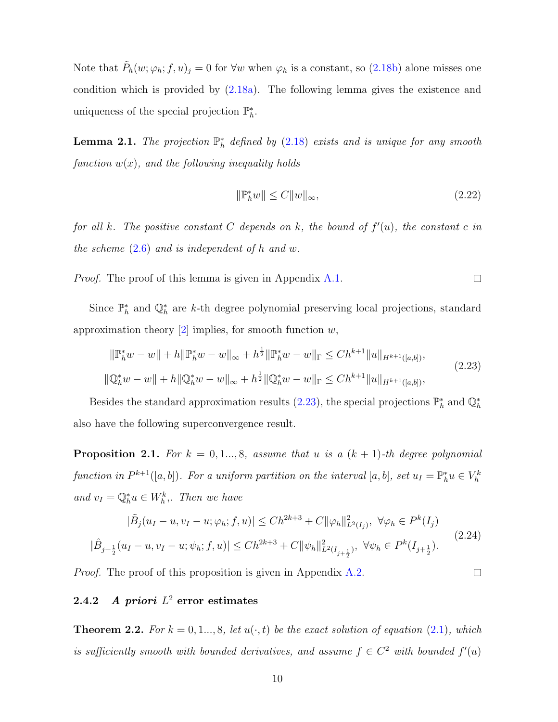Note that  $\tilde{P}_h(w; \varphi_h; f, u)_j = 0$  for  $\forall w$  when  $\varphi_h$  is a constant, so [\(2.18b\)](#page-8-1) alone misses one condition which is provided by [\(2.18a\)](#page-8-0). The following lemma gives the existence and uniqueness of the special projection  $\mathbb{P}_h^*$ .

<span id="page-9-2"></span>**Lemma 2.1.** The projection  $\mathbb{P}_h^*$  defined by [\(2.18\)](#page-8-1) exists and is unique for any smooth function  $w(x)$ , and the following inequality holds

$$
\|\mathbb{P}_h^* w\| \le C \|w\|_\infty,\tag{2.22}
$$

for all k. The positive constant C depends on k, the bound of  $f'(u)$ , the constant c in the scheme  $(2.6)$  and is independent of h and w.

Proof. The proof of this lemma is given in Appendix [A.1.](#page-33-0)  $\Box$ 

Since  $\mathbb{P}_h^*$  and  $\mathbb{Q}_h^*$  are k-th degree polynomial preserving local projections, standard approximation theory  $[2]$  implies, for smooth function  $w$ ,

<span id="page-9-0"></span>
$$
\|\mathbb{P}_h^* w - w\| + h \|\mathbb{P}_h^* w - w\|_{\infty} + h^{\frac{1}{2}} \|\mathbb{P}_h^* w - w\|_{\Gamma} \le C h^{k+1} \|u\|_{H^{k+1}([a,b])},
$$
  

$$
\|\mathbb{Q}_h^* w - w\| + h \|\mathbb{Q}_h^* w - w\|_{\infty} + h^{\frac{1}{2}} \|\mathbb{Q}_h^* w - w\|_{\Gamma} \le C h^{k+1} \|u\|_{H^{k+1}([a,b])},
$$
\n(2.23)

Besides the standard approximation results [\(2.23\)](#page-9-0), the special projections  $\mathbb{P}_h^*$  and  $\mathbb{Q}_h^*$ also have the following superconvergence result.

<span id="page-9-1"></span>**Proposition 2.1.** For  $k = 0, 1, ..., 8$ , assume that u is a  $(k + 1)$ -th degree polynomial function in  $P^{k+1}([a, b])$ . For a uniform partition on the interval  $[a, b]$ , set  $u_I = \mathbb{P}_h^* u \in V_h^k$ and  $v_I = \mathbb{Q}_h^* u \in W_h^k$ , Then we have

$$
|\tilde{B}_j(u_I - u, v_I - u; \varphi_h; f, u)| \le Ch^{2k+3} + C \|\varphi_h\|_{L^2(I_j)}^2, \ \forall \varphi_h \in P^k(I_j)
$$
  

$$
|\hat{B}_{j+\frac{1}{2}}(u_I - u, v_I - u; \psi_h; f, u)| \le Ch^{2k+3} + C \|\psi_h\|_{L^2(I_{j+\frac{1}{2}})}^2, \ \forall \psi_h \in P^k(I_{j+\frac{1}{2}}).
$$
\n(2.24)

Proof. The proof of this proposition is given in Appendix [A.2.](#page-38-0)

#### $\Box$

### $2.4.2$  A priori  $L^2$  error estimates

**Theorem 2.2.** For  $k = 0, 1, ..., 8$ , let  $u(\cdot, t)$  be the exact solution of equation [\(2.1\)](#page-4-0), which is sufficiently smooth with bounded derivatives, and assume  $f \in C^2$  with bounded  $f'(u)$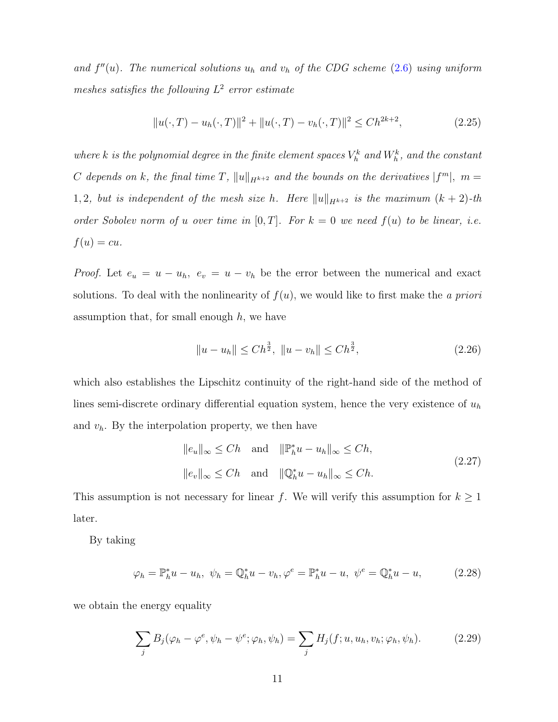and  $f''(u)$ . The numerical solutions  $u_h$  and  $v_h$  of the CDG scheme [\(2.6\)](#page-5-0) using uniform meshes satisfies the following  $L^2$  error estimate

<span id="page-10-1"></span>
$$
||u(\cdot,T) - u_h(\cdot,T)||^2 + ||u(\cdot,T) - v_h(\cdot,T)||^2 \le Ch^{2k+2},
$$
\n(2.25)

where k is the polynomial degree in the finite element spaces  $V_h^k$  and  $W_h^k$ , and the constant C depends on k, the final time T,  $||u||_{H^{k+2}}$  and the bounds on the derivatives  $|f^m|$ ,  $m =$ 1, 2, but is independent of the mesh size h. Here  $||u||_{H^{k+2}}$  is the maximum  $(k + 2)$ -th order Sobolev norm of u over time in  $[0, T]$ . For  $k = 0$  we need  $f(u)$  to be linear, i.e.  $f(u) = cu.$ 

*Proof.* Let  $e_u = u - u_h$ ,  $e_v = u - v_h$  be the error between the numerical and exact solutions. To deal with the nonlinearity of  $f(u)$ , we would like to first make the a priori assumption that, for small enough  $h$ , we have

<span id="page-10-0"></span>
$$
||u - u_h|| \leq Ch^{\frac{3}{2}}, \ ||u - v_h|| \leq Ch^{\frac{3}{2}}, \tag{2.26}
$$

which also establishes the Lipschitz continuity of the right-hand side of the method of lines semi-discrete ordinary differential equation system, hence the very existence of  $u<sub>h</sub>$ and  $v_h$ . By the interpolation property, we then have

$$
||e_u||_{\infty} \le Ch \quad \text{and} \quad ||\mathbb{P}_h^* u - u_h||_{\infty} \le Ch,
$$
  

$$
||e_v||_{\infty} \le Ch \quad \text{and} \quad ||\mathbb{Q}_h^* u - u_h||_{\infty} \le Ch.
$$
  
(2.27)

This assumption is not necessary for linear f. We will verify this assumption for  $k \geq 1$ later.

By taking

$$
\varphi_h = \mathbb{P}_h^* u - u_h, \ \psi_h = \mathbb{Q}_h^* u - v_h, \varphi^e = \mathbb{P}_h^* u - u, \ \psi^e = \mathbb{Q}_h^* u - u,
$$
 (2.28)

we obtain the energy equality

$$
\sum_{j} B_j(\varphi_h - \varphi^e, \psi_h - \psi^e; \varphi_h, \psi_h) = \sum_{j} H_j(f; u, u_h, v_h; \varphi_h, \psi_h).
$$
 (2.29)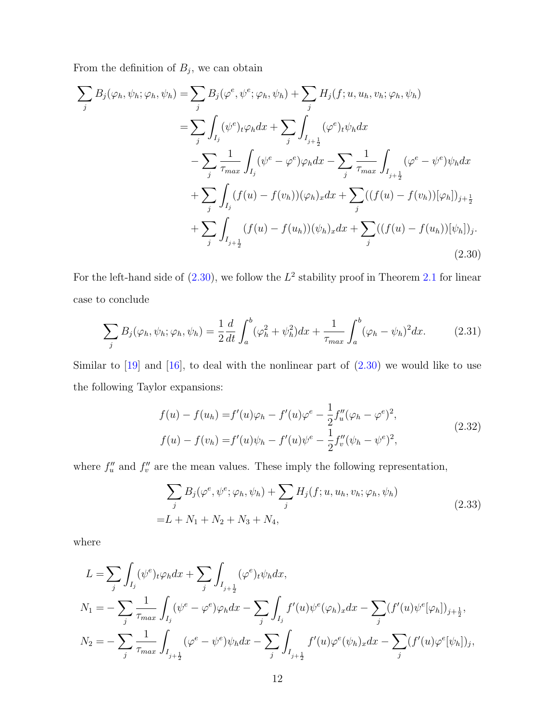From the definition of  $B_j$ , we can obtain

<span id="page-11-0"></span>
$$
\sum_{j} B_{j}(\varphi_{h}, \psi_{h}; \varphi_{h}, \psi_{h}) = \sum_{j} B_{j}(\varphi^{e}, \psi^{e}; \varphi_{h}, \psi_{h}) + \sum_{j} H_{j}(f; u, u_{h}, v_{h}; \varphi_{h}, \psi_{h})
$$
  
\n
$$
= \sum_{j} \int_{I_{j}} (\psi^{e})_{t} \varphi_{h} dx + \sum_{j} \int_{I_{j+\frac{1}{2}}} (\varphi^{e})_{t} \psi_{h} dx
$$
  
\n
$$
- \sum_{j} \frac{1}{\tau_{max}} \int_{I_{j}} (\psi^{e} - \varphi^{e}) \varphi_{h} dx - \sum_{j} \frac{1}{\tau_{max}} \int_{I_{j+\frac{1}{2}}} (\varphi^{e} - \psi^{e}) \psi_{h} dx
$$
  
\n
$$
+ \sum_{j} \int_{I_{j}} (f(u) - f(v_{h})) (\varphi_{h})_{x} dx + \sum_{j} ((f(u) - f(v_{h})) [\varphi_{h}])_{j+\frac{1}{2}}
$$
  
\n
$$
+ \sum_{j} \int_{I_{j+\frac{1}{2}}} (f(u) - f(u_{h})) (\psi_{h})_{x} dx + \sum_{j} ((f(u) - f(u_{h})) [\psi_{h}])_{j}.
$$
  
\n(2.30)

For the left-hand side of  $(2.30)$ , we follow the  $L^2$  stability proof in Theorem [2.1](#page-6-1) for linear case to conclude

<span id="page-11-1"></span>
$$
\sum_{j} B_j(\varphi_h, \psi_h; \varphi_h, \psi_h) = \frac{1}{2} \frac{d}{dt} \int_a^b (\varphi_h^2 + \psi_h^2) dx + \frac{1}{\tau_{max}} \int_a^b (\varphi_h - \psi_h)^2 dx. \tag{2.31}
$$

Similar to  $[19]$  and  $[16]$ , to deal with the nonlinear part of  $(2.30)$  we would like to use the following Taylor expansions:

$$
f(u) - f(u_h) = f'(u)\varphi_h - f'(u)\varphi^e - \frac{1}{2}f''_u(\varphi_h - \varphi^e)^2,
$$
  

$$
f(u) - f(v_h) = f'(u)\psi_h - f'(u)\psi^e - \frac{1}{2}f''_v(\psi_h - \psi^e)^2,
$$
 (2.32)

where  $f''_u$  and  $f''_v$  are the mean values. These imply the following representation,

$$
\sum_{j} B_{j}(\varphi^{e}, \psi^{e}; \varphi_{h}, \psi_{h}) + \sum_{j} H_{j}(f; u, u_{h}, v_{h}; \varphi_{h}, \psi_{h})
$$
  
=L + N<sub>1</sub> + N<sub>2</sub> + N<sub>3</sub> + N<sub>4</sub>, (2.33)

where

$$
L = \sum_{j} \int_{I_j} (\psi^e)_t \varphi_h dx + \sum_{j} \int_{I_{j+\frac{1}{2}}} (\varphi^e)_t \psi_h dx,
$$
  
\n
$$
N_1 = -\sum_{j} \frac{1}{\tau_{max}} \int_{I_j} (\psi^e - \varphi^e) \varphi_h dx - \sum_{j} \int_{I_j} f'(u) \psi^e(\varphi_h)_x dx - \sum_{j} (f'(u) \psi^e[\varphi_h])_{j+\frac{1}{2}},
$$
  
\n
$$
N_2 = -\sum_{j} \frac{1}{\tau_{max}} \int_{I_{j+\frac{1}{2}}} (\varphi^e - \psi^e) \psi_h dx - \sum_{j} \int_{I_{j+\frac{1}{2}}} f'(u) \varphi^e(\psi_h)_x dx - \sum_{j} (f'(u) \varphi^e[\psi_h])_j,
$$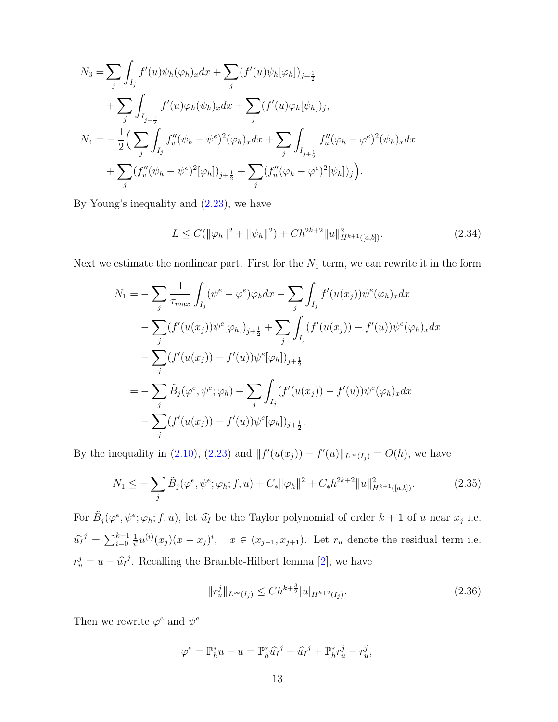$$
N_3 = \sum_{j} \int_{I_j} f'(u)\psi_h(\varphi_h)_x dx + \sum_{j} (f'(u)\psi_h[\varphi_h])_{j+\frac{1}{2}} + \sum_{j} \int_{I_{j+\frac{1}{2}}} f'(u)\varphi_h(\psi_h)_x dx + \sum_{j} (f'(u)\varphi_h[\psi_h])_j, N_4 = -\frac{1}{2} \Big( \sum_{j} \int_{I_j} f''_v(\psi_h - \psi^e)^2(\varphi_h)_x dx + \sum_{j} \int_{I_{j+\frac{1}{2}}} f''_u(\varphi_h - \varphi^e)^2(\psi_h)_x dx + \sum_{j} (f''_v(\psi_h - \psi^e)^2[\varphi_h])_{j+\frac{1}{2}} + \sum_{j} (f''_u(\varphi_h - \varphi^e)^2[\psi_h])_j \Big).
$$

By Young's inequality and [\(2.23\)](#page-9-0), we have

<span id="page-12-1"></span>
$$
L \le C(||\varphi_h||^2 + ||\psi_h||^2) + Ch^{2k+2}||u||_{H^{k+1}([a,b])}^2.
$$
\n(2.34)

Next we estimate the nonlinear part. First for the  $N_1$  term, we can rewrite it in the form

$$
N_{1} = -\sum_{j} \frac{1}{\tau_{max}} \int_{I_{j}} (\psi^{e} - \varphi^{e}) \varphi_{h} dx - \sum_{j} \int_{I_{j}} f'(u(x_{j})) \psi^{e}(\varphi_{h})_{x} dx
$$
  

$$
- \sum_{j} (f'(u(x_{j})) \psi^{e}[\varphi_{h}])_{j+\frac{1}{2}} + \sum_{j} \int_{I_{j}} (f'(u(x_{j})) - f'(u)) \psi^{e}(\varphi_{h})_{x} dx
$$
  

$$
- \sum_{j} (f'(u(x_{j})) - f'(u)) \psi^{e}[\varphi_{h}])_{j+\frac{1}{2}}
$$
  

$$
= - \sum_{j} \tilde{B}_{j}(\varphi^{e}, \psi^{e}; \varphi_{h}) + \sum_{j} \int_{I_{j}} (f'(u(x_{j})) - f'(u)) \psi^{e}(\varphi_{h})_{x} dx
$$
  

$$
- \sum_{j} (f'(u(x_{j})) - f'(u)) \psi^{e}[\varphi_{h}])_{j+\frac{1}{2}}.
$$

By the inequality in [\(2.10\)](#page-6-2), [\(2.23\)](#page-9-0) and  $|| f'(u(x_j)) - f'(u) ||_{L^{\infty}(I_j)} = O(h)$ , we have

$$
N_1 \leq -\sum_{j} \tilde{B}_j(\varphi^e, \psi^e; \varphi_h; f, u) + C_* \|\varphi_h\|^2 + C_* h^{2k+2} \|u\|_{H^{k+1}([a,b])}^2.
$$
 (2.35)

For  $\tilde{B}_j(\varphi^e, \psi^e; \varphi_h; f, u)$ , let  $\hat{u}_I$  be the Taylor polynomial of order  $k + 1$  of u near  $x_j$  i.e.  $\hat{u}_I^j = \sum_{i=0}^{k+1}$ 1  $\frac{1}{i!}u^{(i)}(x_j)(x-x_j)^i$ ,  $x \in (x_{j-1}, x_{j+1})$ . Let  $r_u$  denote the residual term i.e.  $r_u^j = u - \hat{u}_I^j$ . Recalling the Bramble-Hilbert lemma [\[2\]](#page-46-3), we have

<span id="page-12-0"></span>
$$
||r_u^j||_{L^{\infty}(I_j)} \le Ch^{k + \frac{3}{2}}|u|_{H^{k+2}(I_j)}.
$$
\n(2.36)

Then we rewrite  $\varphi^e$  and  $\psi^e$ 

$$
\varphi^e = \mathbb{P}_h^* u - u = \mathbb{P}_h^* \widehat{u}_I^j - \widehat{u}_I^j + \mathbb{P}_h^* r_u^j - r_u^j,
$$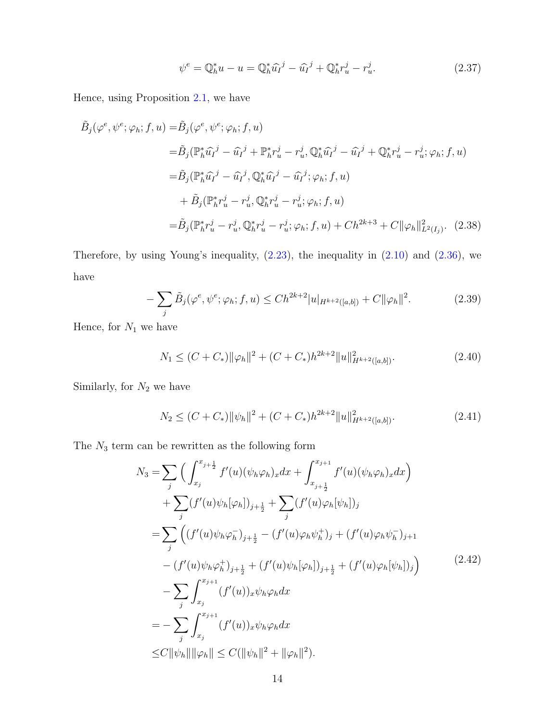$$
\psi^{e} = \mathbb{Q}_{h}^{*} u - u = \mathbb{Q}_{h}^{*} \widehat{u}_{I}^{j} - \widehat{u}_{I}^{j} + \mathbb{Q}_{h}^{*} r_{u}^{j} - r_{u}^{j}.
$$
\n(2.37)

Hence, using Proposition [2.1,](#page-9-1) we have

$$
\tilde{B}_{j}(\varphi^{e}, \psi^{e}; \varphi_{h}; f, u) = \tilde{B}_{j}(\varphi^{e}, \psi^{e}; \varphi_{h}; f, u) \n= \tilde{B}_{j}(\mathbb{P}_{h}^{*}\hat{u}_{I}^{j} - \hat{u}_{I}^{j} + \mathbb{P}_{h}^{*}r_{u}^{j} - r_{u}^{j}, \mathbb{Q}_{h}^{*}\hat{u}_{I}^{j} - \hat{u}_{I}^{j} + \mathbb{Q}_{h}^{*}r_{u}^{j} - r_{u}^{j}; \varphi_{h}; f, u) \n= \tilde{B}_{j}(\mathbb{P}_{h}^{*}\hat{u}_{I}^{j} - \hat{u}_{I}^{j}, \mathbb{Q}_{h}^{*}\hat{u}_{I}^{j} - \hat{u}_{I}^{j}; \varphi_{h}; f, u) \n+ \tilde{B}_{j}(\mathbb{P}_{h}^{*}r_{u}^{j} - r_{u}^{j}, \mathbb{Q}_{h}^{*}r_{u}^{j} - r_{u}^{j}; \varphi_{h}; f, u) \n= \tilde{B}_{j}(\mathbb{P}_{h}^{*}r_{u}^{j} - r_{u}^{j}, \mathbb{Q}_{h}^{*}r_{u}^{j} - r_{u}^{j}; \varphi_{h}; f, u) + Ch^{2k+3} + C \|\varphi_{h}\|_{L^{2}(I_{j})}^{2}.
$$
\n(2.38)

Therefore, by using Young's inequality,  $(2.23)$ , the inequality in  $(2.10)$  and  $(2.36)$ , we have

$$
-\sum_{j} \tilde{B}_{j}(\varphi^{e}, \psi^{e}; \varphi_{h}; f, u) \leq Ch^{2k+2} |u|_{H^{k+2}([a,b])} + C \|\varphi_{h}\|^{2}.
$$
 (2.39)

Hence, for  $\mathcal{N}_1$  we have

<span id="page-13-0"></span>
$$
N_1 \le (C + C_*) \|\varphi_h\|^2 + (C + C_*) h^{2k+2} \|u\|_{H^{k+2}([a,b])}^2.
$$
\n(2.40)

Similarly, for  $\mathcal{N}_2$  we have

<span id="page-13-1"></span>
$$
N_2 \le (C + C_*) \|\psi_h\|^2 + (C + C_*)h^{2k+2} \|u\|_{H^{k+2}([a,b])}^2.
$$
\n(2.41)

The  $N_3$  term can be rewritten as the following form

<span id="page-13-2"></span>
$$
N_3 = \sum_{j} \left( \int_{x_j}^{x_{j+\frac{1}{2}}} f'(u)(\psi_h \varphi_h)_x dx + \int_{x_{j+\frac{1}{2}}}^{x_{j+1}} f'(u)(\psi_h \varphi_h)_x dx \right) + \sum_{j} (f'(u)\psi_h[\varphi_h])_{j+\frac{1}{2}} + \sum_{j} (f'(u)\varphi_h[\psi_h])_j = \sum_{j} \left( (f'(u)\psi_h \varphi_h^-)_{j+\frac{1}{2}} - (f'(u)\varphi_h \psi_h^+)_j + (f'(u)\varphi_h \psi_h^-)_{j+1} \right. - (f'(u)\psi_h \varphi_h^+)_{j+\frac{1}{2}} + (f'(u)\psi_h[\varphi_h])_{j+\frac{1}{2}} + (f'(u)\varphi_h[\psi_h])_j \right) - \sum_{j} \int_{x_j}^{x_{j+1}} (f'(u))_x \psi_h \varphi_h dx = - \sum_{j} \int_{x_j}^{x_{j+1}} (f'(u))_x \psi_h \varphi_h dx \leq C \|\psi_h\| \|\varphi_h\| \leq C (\|\psi_h\|^2 + \|\varphi_h\|^2).
$$
 (2.42)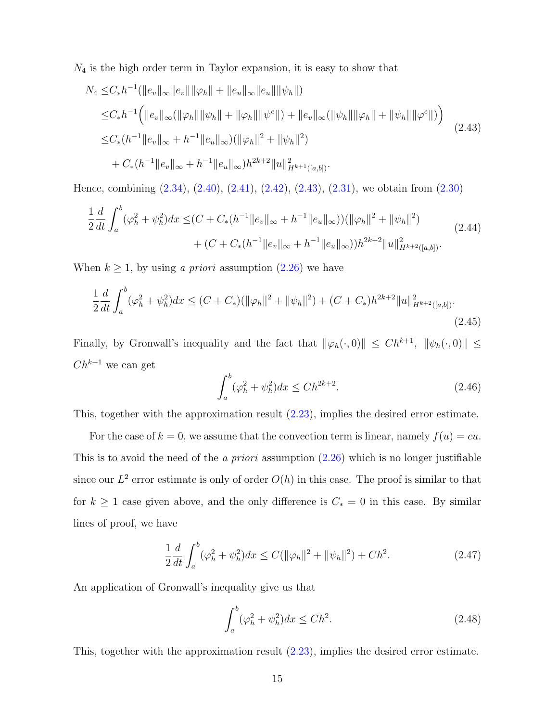$N_4$  is the high order term in Taylor expansion, it is easy to show that

<span id="page-14-0"></span>
$$
N_4 \leq C_* h^{-1} (||e_v||_{\infty} ||e_v|| ||\varphi_h|| + ||e_u||_{\infty} ||e_u|| ||\psi_h||)
$$
  
\n
$$
\leq C_* h^{-1} (||e_v||_{\infty} (||\varphi_h|| ||\psi_h|| + ||\varphi_h|| ||\psi^e||) + ||e_v||_{\infty} (||\psi_h|| ||\varphi_h|| + ||\psi_h|| ||\varphi^e||))
$$
  
\n
$$
\leq C_* (h^{-1} ||e_v||_{\infty} + h^{-1} ||e_u||_{\infty} ) (||\varphi_h||^2 + ||\psi_h||^2)
$$
  
\n
$$
+ C_* (h^{-1} ||e_v||_{\infty} + h^{-1} ||e_u||_{\infty} ) h^{2k+2} ||u||_{H^{k+1}([a,b])}^2.
$$
\n(2.43)

Hence, combining [\(2.34\)](#page-12-1), [\(2.40\)](#page-13-0), [\(2.41\)](#page-13-1), [\(2.42\)](#page-13-2), [\(2.43\)](#page-14-0), [\(2.31\)](#page-11-1), we obtain from [\(2.30\)](#page-11-0)

$$
\frac{1}{2}\frac{d}{dt}\int_{a}^{b}(\varphi_{h}^{2}+\psi_{h}^{2})dx \leq (C+C_{*}(h^{-1}||e_{v}||_{\infty}+h^{-1}||e_{u}||_{\infty}))(\|\varphi_{h}\|^{2}+ \|\psi_{h}\|^{2})
$$
\n
$$
+(C+C_{*}(h^{-1}||e_{v}||_{\infty}+h^{-1}||e_{u}||_{\infty}))h^{2k+2}||u||_{H^{k+2}([a,b])}^{2}.
$$
\n(2.44)

When  $k \ge 1$ , by using *a priori* assumption [\(2.26\)](#page-10-0) we have

$$
\frac{1}{2}\frac{d}{dt}\int_{a}^{b}(\varphi_{h}^{2}+\psi_{h}^{2})dx \leq (C+C_{*})(\|\varphi_{h}\|^{2}+\|\psi_{h}\|^{2})+(C+C_{*})h^{2k+2}\|u\|_{H^{k+2}([a,b])}^{2}.
$$
\n(2.45)

Finally, by Gronwall's inequality and the fact that  $\|\varphi_h(\cdot, 0)\| \le Ch^{k+1}$ ,  $\|\psi_h(\cdot, 0)\| \le$  ${\cal C}h^{k+1}$  we can get

$$
\int_{a}^{b} (\varphi_h^2 + \psi_h^2) dx \le C h^{2k+2}.
$$
\n(2.46)

This, together with the approximation result  $(2.23)$ , implies the desired error estimate.

For the case of  $k = 0$ , we assume that the convection term is linear, namely  $f(u) = cu$ . This is to avoid the need of the *a priori* assumption  $(2.26)$  which is no longer justifiable since our  $L^2$  error estimate is only of order  $O(h)$  in this case. The proof is similar to that for  $k \geq 1$  case given above, and the only difference is  $C_* = 0$  in this case. By similar lines of proof, we have

$$
\frac{1}{2}\frac{d}{dt}\int_{a}^{b}(\varphi_{h}^{2}+\psi_{h}^{2})dx \le C(\|\varphi_{h}\|^{2}+\|\psi_{h}\|^{2})+Ch^{2}.
$$
\n(2.47)

An application of Gronwall's inequality give us that

$$
\int_{a}^{b} (\varphi_h^2 + \psi_h^2) dx \le Ch^2.
$$
\n(2.48)

This, together with the approximation result [\(2.23\)](#page-9-0), implies the desired error estimate.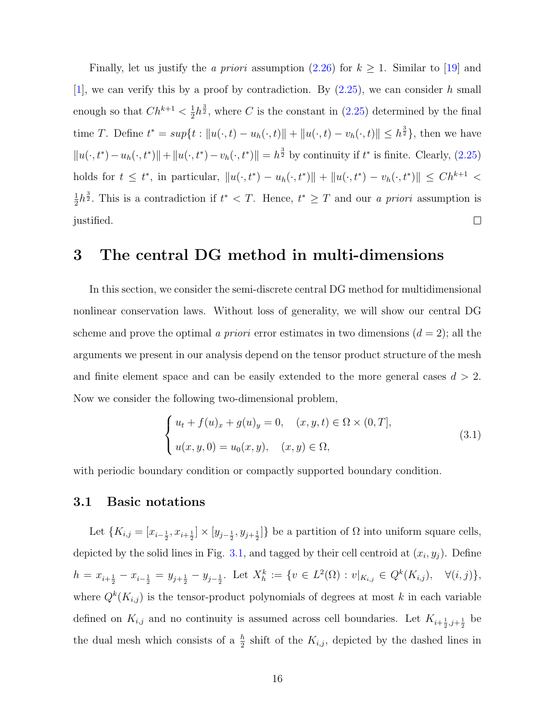Finally, let us justify the a priori assumption [\(2.26\)](#page-10-0) for  $k \ge 1$ . Similar to [\[19\]](#page-48-4) and [\[1\]](#page-46-2), we can verify this by a proof by contradiction. By  $(2.25)$ , we can consider h small  $\frac{1}{2}h^{\frac{3}{2}}$ , where C is the constant in [\(2.25\)](#page-10-1) determined by the final enough so that  $Ch^{k+1} < \frac{1}{2}$ time T. Define  $t^* = \sup\{t : ||u(\cdot, t) - u_h(\cdot, t)|| + ||u(\cdot, t) - v_h(\cdot, t)|| \leq h^{\frac{3}{2}}\}$ , then we have  $||u(\cdot, t^*) - u_h(\cdot, t^*)|| + ||u(\cdot, t^*) - v_h(\cdot, t^*)|| = h^{\frac{3}{2}}$  by continuity if  $t^*$  is finite. Clearly, [\(2.25\)](#page-10-1) holds for  $t \leq t^*$ , in particular,  $||u(\cdot, t^*) - u_h(\cdot, t^*)|| + ||u(\cdot, t^*) - v_h(\cdot, t^*)|| \leq Ch^{k+1}$  $\frac{1}{2}h^{\frac{3}{2}}$ . This is a contradiction if  $t^* < T$ . Hence,  $t^* \geq T$  and our a priori assumption is 1 justified.  $\Box$ 

## 3 The central DG method in multi-dimensions

In this section, we consider the semi-discrete central DG method for multidimensional nonlinear conservation laws. Without loss of generality, we will show our central DG scheme and prove the optimal a priori error estimates in two dimensions  $(d = 2)$ ; all the arguments we present in our analysis depend on the tensor product structure of the mesh and finite element space and can be easily extended to the more general cases  $d > 2$ . Now we consider the following two-dimensional problem,

<span id="page-15-0"></span>
$$
\begin{cases} u_t + f(u)_x + g(u)_y = 0, & (x, y, t) \in \Omega \times (0, T], \\ u(x, y, 0) = u_0(x, y), & (x, y) \in \Omega, \end{cases}
$$
\n(3.1)

with periodic boundary condition or compactly supported boundary condition.

### 3.1 Basic notations

Let  $\{K_{i,j} = [x_{i-\frac{1}{2}}, x_{i+\frac{1}{2}}] \times [y_{j-\frac{1}{2}}, y_{j+\frac{1}{2}}]\}$  be a partition of  $\Omega$  into uniform square cells, depicted by the solid lines in Fig. [3.1,](#page-16-0) and tagged by their cell centroid at  $(x_i, y_j)$ . Define  $h = x_{i+\frac{1}{2}} - x_{i-\frac{1}{2}} = y_{j+\frac{1}{2}} - y_{j-\frac{1}{2}}$ . Let  $X_h^k := \{v \in L^2(\Omega) : v|_{K_{i,j}} \in Q^k(K_{i,j}), \quad \forall (i,j)\},$ where  $Q^{k}(K_{i,j})$  is the tensor-product polynomials of degrees at most k in each variable defined on  $K_{i,j}$  and no continuity is assumed across cell boundaries. Let  $K_{i+\frac{1}{2},j+\frac{1}{2}}$  be the dual mesh which consists of a  $\frac{h}{2}$  shift of the  $K_{i,j}$ , depicted by the dashed lines in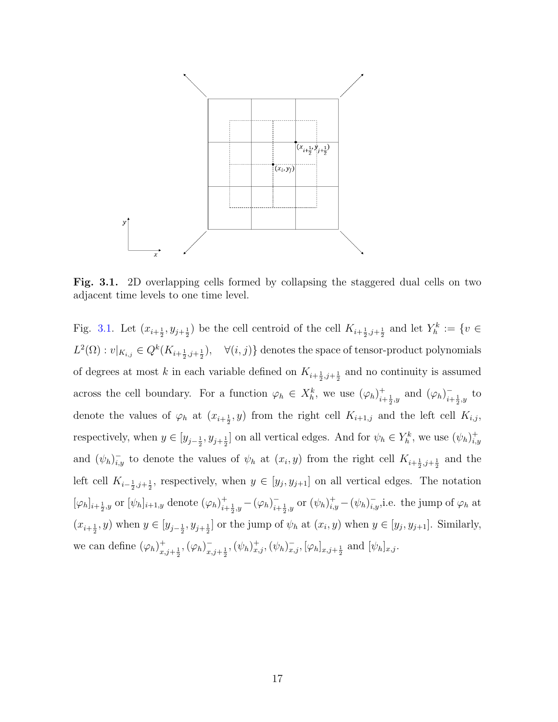<span id="page-16-0"></span>

Fig. 3.1. 2D overlapping cells formed by collapsing the staggered dual cells on two adjacent time levels to one time level.

Fig. [3.1.](#page-16-0) Let  $(x_{i+\frac{1}{2}}, y_{j+\frac{1}{2}})$  be the cell centroid of the cell  $K_{i+\frac{1}{2},j+\frac{1}{2}}$  and let  $Y_h^k := \{v \in$  $L^2(\Omega): v|_{K_{i,j}} \in Q^k(K_{i+\frac{1}{2},j+\frac{1}{2}}), \quad \forall (i,j) \}$  denotes the space of tensor-product polynomials of degrees at most k in each variable defined on  $K_{i+\frac{1}{2},j+\frac{1}{2}}$  and no continuity is assumed across the cell boundary. For a function  $\varphi_h \in X_h^k$ , we use  $(\varphi_h)_{i=1}^+$  $_{i+\frac{1}{2},y}^{+}$  and  $(\varphi_h)_{i+1}^{-}$  $\frac{1}{i+\frac{1}{2},y}$  to denote the values of  $\varphi_h$  at  $(x_{i+\frac{1}{2}}, y)$  from the right cell  $K_{i+1,j}$  and the left cell  $K_{i,j}$ , respectively, when  $y \in [y_{j-\frac{1}{2}}, y_{j+\frac{1}{2}}]$  on all vertical edges. And for  $\psi_h \in Y_h^k$ , we use  $(\psi_h)_{i,j}^+$ i,y and  $(\psi_h)_{i,y}^-$  to denote the values of  $\psi_h$  at  $(x_i, y)$  from the right cell  $K_{i+\frac{1}{2},j+\frac{1}{2}}$  and the left cell  $K_{i-\frac{1}{2},j+\frac{1}{2}}$ , respectively, when  $y \in [y_j, y_{j+1}]$  on all vertical edges. The notation  $[\varphi_h]_{i+\frac{1}{2},y}$  or  $[\psi_h]_{i+1,y}$  denote  $(\varphi_h)_{i+\frac{1}{2},y}^+$  $_{i+\frac{1}{2},y}^{+}-(\varphi_h)_{i+\frac{1}{2}}^{-}$  $\bar{i}_{i+\frac{1}{2},y}$  or  $(\psi_h)_{i,y}^+ - (\psi_h)_{i,y}^-$ , i.e. the jump of  $\varphi_h$  at  $(x_{i+\frac{1}{2}}, y)$  when  $y \in [y_{j-\frac{1}{2}}, y_{j+\frac{1}{2}}]$  or the jump of  $\psi_h$  at  $(x_i, y)$  when  $y \in [y_j, y_{j+1}]$ . Similarly, we can define  $(\varphi_h)_x^+$  $x, j+\frac{1}{2}, (\varphi_h)^{-}_{x, j+1}$  $\bar{x}_{i,j+\frac{1}{2}},(\psi_h)_{x,j}^+$ ,  $(\psi_h)_{x,j}^-$ ,  $[\varphi_h]_{x,j+\frac{1}{2}}$  and  $[\psi_h]_{x,j}$ .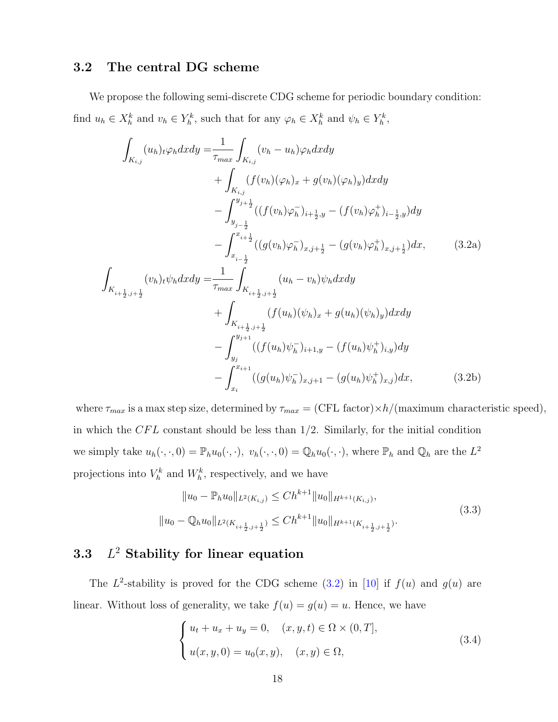### 3.2 The central DG scheme

We propose the following semi-discrete CDG scheme for periodic boundary condition: find  $u_h \in X_h^k$  and  $v_h \in Y_h^k$ , such that for any  $\varphi_h \in X_h^k$  and  $\psi_h \in Y_h^k$ ,

$$
\int_{K_{i,j}} (u_h)_t \varphi_h dx dy = \frac{1}{\tau_{max}} \int_{K_{i,j}} (v_h - u_h) \varphi_h dx dy \n+ \int_{K_{i,j}} (f(v_h)(\varphi_h)_x + g(v_h)(\varphi_h)_y) dx dy \n- \int_{y_{j-\frac{1}{2}}}^{y_{j+\frac{1}{2}}} ((f(v_h)\varphi_h^-)_{i+\frac{1}{2},y} - (f(v_h)\varphi_h^+)_{i-\frac{1}{2},y}) dy \n- \int_{x_{i-\frac{1}{2}}}^{x_{i+\frac{1}{2}}} ((g(v_h)\varphi_h^-)_{x,j+\frac{1}{2}} - (g(v_h)\varphi_h^+)_{x,j+\frac{1}{2}}) dx, \qquad (3.2a)
$$
\n
$$
\int_{K_{i+\frac{1}{2},j+\frac{1}{2}}} (v_h)_t \psi_h dx dy = \frac{1}{\tau_{max}} \int_{K_{i+\frac{1}{2},j+\frac{1}{2}}} (u_h - v_h) \psi_h dx dy \n+ \int_{K_{i+\frac{1}{2},j+\frac{1}{2}}} (f(u_h)(\psi_h)_x + g(u_h)(\psi_h)_y) dx dy \n- \int_{y_j}^{y_{j+1}} ((f(u_h)\psi_h^-)_{i+1,y} - (f(u_h)\psi_h^+)_{i,y}) dy \n- \int_{x_i}^{x_{i+1}} ((g(u_h)\psi_h^-)_{x,j+1} - (g(u_h)\psi_h^+)_{x,j}) dx, \qquad (3.2b)
$$

where  $\tau_{max}$  is a max step size, determined by  $\tau_{max} = (CFL \text{ factor}) \times h / ($  maximum characteristic speed), in which the  $CFL$  constant should be less than  $1/2$ . Similarly, for the initial condition we simply take  $u_h(\cdot, \cdot, 0) = \mathbb{P}_h u_0(\cdot, \cdot)$ ,  $v_h(\cdot, \cdot, 0) = \mathbb{Q}_h u_0(\cdot, \cdot)$ , where  $\mathbb{P}_h$  and  $\mathbb{Q}_h$  are the  $L^2$ projections into  $V_h^k$  and  $W_h^k$ , respectively, and we have

<span id="page-17-0"></span>
$$
||u_0 - \mathbb{P}_h u_0||_{L^2(K_{i,j})} \le Ch^{k+1} ||u_0||_{H^{k+1}(K_{i,j})},
$$
  

$$
||u_0 - \mathbb{Q}_h u_0||_{L^2(K_{i+\frac{1}{2},j+\frac{1}{2}})} \le Ch^{k+1} ||u_0||_{H^{k+1}(K_{i+\frac{1}{2},j+\frac{1}{2}})}.
$$
\n
$$
(3.3)
$$

#### 3.3 L  $L^2$  Stability for linear equation

The  $L^2$ -stability is proved for the CDG scheme [\(3.2\)](#page-17-0) in [\[10\]](#page-47-0) if  $f(u)$  and  $g(u)$  are linear. Without loss of generality, we take  $f(u) = g(u) = u$ . Hence, we have

<span id="page-17-1"></span>
$$
\begin{cases} u_t + u_x + u_y = 0, \quad (x, y, t) \in \Omega \times (0, T], \\ u(x, y, 0) = u_0(x, y), \quad (x, y) \in \Omega, \end{cases}
$$
\n(3.4)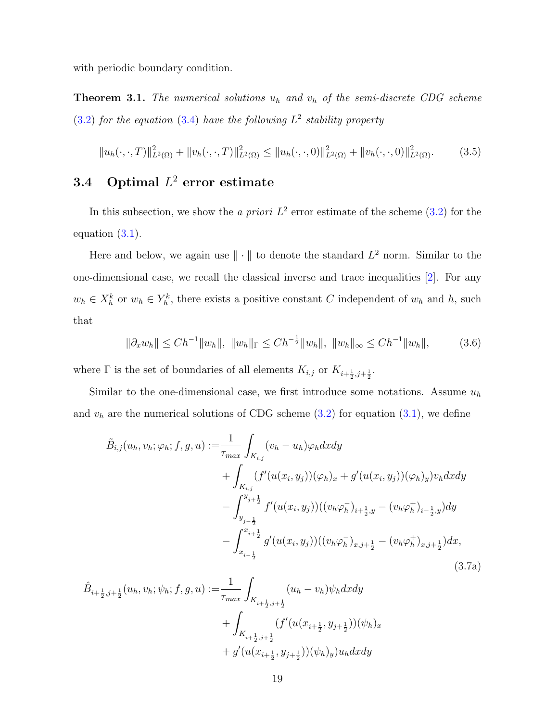with periodic boundary condition.

<span id="page-18-0"></span>**Theorem 3.1.** The numerical solutions  $u_h$  and  $v_h$  of the semi-discrete CDG scheme  $(3.2)$  for the equation  $(3.4)$  have the following  $L^2$  stability property

$$
||u_h(\cdot,\cdot,T)||^2_{L^2(\Omega)} + ||v_h(\cdot,\cdot,T)||^2_{L^2(\Omega)} \le ||u_h(\cdot,\cdot,0)||^2_{L^2(\Omega)} + ||v_h(\cdot,\cdot,0)||^2_{L^2(\Omega)}.
$$
 (3.5)

## **3.4** Optimal  $L^2$  error estimate

In this subsection, we show the a priori  $L^2$  error estimate of the scheme  $(3.2)$  for the equation [\(3.1\)](#page-15-0).

Here and below, we again use  $\|\cdot\|$  to denote the standard  $L^2$  norm. Similar to the one-dimensional case, we recall the classical inverse and trace inequalities [\[2\]](#page-46-3). For any  $w_h \in X_h^k$  or  $w_h \in Y_h^k$ , there exists a positive constant C independent of  $w_h$  and h, such that

<span id="page-18-1"></span>
$$
\|\partial_x w_h\| \le Ch^{-1} \|w_h\|, \|w_h\|_{\Gamma} \le Ch^{-\frac{1}{2}} \|w_h\|, \|w_h\|_{\infty} \le Ch^{-1} \|w_h\|,
$$
 (3.6)

where  $\Gamma$  is the set of boundaries of all elements  $K_{i,j}$  or  $K_{i+\frac{1}{2},j+\frac{1}{2}}$ .

Similar to the one-dimensional case, we first introduce some notations. Assume  $u<sub>h</sub>$ and  $v<sub>h</sub>$  are the numerical solutions of CDG scheme [\(3.2\)](#page-17-0) for equation [\(3.1\)](#page-15-0), we define

$$
\tilde{B}_{i,j}(u_h, v_h; \varphi_h; f, g, u) := \frac{1}{\tau_{max}} \int_{K_{i,j}} (v_h - u_h) \varphi_h dx dy \n+ \int_{K_{i,j}} (f'(u(x_i, y_j))(\varphi_h)_x + g'(u(x_i, y_j))(\varphi_h)_y) v_h dx dy \n- \int_{y_{j-\frac{1}{2}}}^{y_{j+\frac{1}{2}}} f'(u(x_i, y_j))((v_h \varphi_h^-)_{i+\frac{1}{2}, y} - (v_h \varphi_h^+)_{i-\frac{1}{2}, y}) dy \n- \int_{x_{i-\frac{1}{2}}}^{x_{i+\frac{1}{2}}} g'(u(x_i, y_j))((v_h \varphi_h^-)_{x,j+\frac{1}{2}} - (v_h \varphi_h^+)_{x,j+\frac{1}{2}}) dx,
$$
\n(3.7a)

$$
\hat{B}_{i+\frac{1}{2},j+\frac{1}{2}}(u_h, v_h; \psi_h; f, g, u) := \frac{1}{\tau_{max}} \int_{K_{i+\frac{1}{2},j+\frac{1}{2}}} (u_h - v_h) \psi_h dx dy \n+ \int_{K_{i+\frac{1}{2},j+\frac{1}{2}}} (f'(u(x_{i+\frac{1}{2}}, y_{j+\frac{1}{2}}))(\psi_h)_x \n+ g'(u(x_{i+\frac{1}{2}}, y_{j+\frac{1}{2}}))(\psi_h)_y) u_h dx dy
$$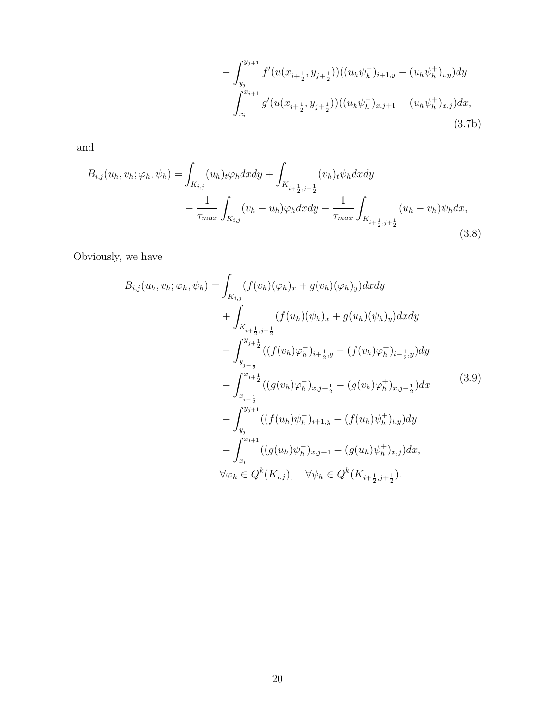$$
-\int_{y_j}^{y_{j+1}} f'(u(x_{i+\frac{1}{2}}, y_{j+\frac{1}{2}}))((u_h \psi_h^-)_{i+1,y} - (u_h \psi_h^+)_{i,y})dy
$$

$$
-\int_{x_i}^{x_{i+1}} g'(u(x_{i+\frac{1}{2}}, y_{j+\frac{1}{2}}))((u_h \psi_h^-)_{x,j+1} - (u_h \psi_h^+)_{x,j})dx,
$$
\n(3.7b)

and

$$
B_{i,j}(u_h, v_h; \varphi_h, \psi_h) = \int_{K_{i,j}} (u_h)_t \varphi_h dx dy + \int_{K_{i+\frac{1}{2},j+\frac{1}{2}}} (v_h)_t \psi_h dx dy - \frac{1}{\tau_{max}} \int_{K_{i,j}} (v_h - u_h) \varphi_h dx dy - \frac{1}{\tau_{max}} \int_{K_{i+\frac{1}{2},j+\frac{1}{2}}} (u_h - v_h) \psi_h dx,
$$
\n(3.8)

Obviously, we have

<span id="page-19-0"></span>
$$
B_{i,j}(u_h, v_h; \varphi_h, \psi_h) = \int_{K_{i,j}} (f(v_h)(\varphi_h)_x + g(v_h)(\varphi_h)_y) dx dy + \int_{K_{i+\frac{1}{2},j+\frac{1}{2}}} (f(u_h)(\psi_h)_x + g(u_h)(\psi_h)_y) dx dy - \int_{y_{j-\frac{1}{2}}}^{y_{j+\frac{1}{2}}} ((f(v_h)\varphi_h^-)_{i+\frac{1}{2},y} - (f(v_h)\varphi_h^+)_{i-\frac{1}{2},y}) dy - \int_{x_{i-\frac{1}{2}}}^{x_{i+\frac{1}{2}}} ((g(v_h)\varphi_h^-)_{x,j+\frac{1}{2}} - (g(v_h)\varphi_h^+)_{x,j+\frac{1}{2}}) dx
$$
(3.9)  
- \int\_{y\_j}^{y\_{j+1}} ((f(u\_h)\psi\_h^-)\_{i+1,y} - (f(u\_h)\psi\_h^+)\_{i,y}) dy   
- \int\_{x\_i}^{x\_{i+1}} ((g(u\_h)\psi\_h^-)\_{x,j+1} - (g(u\_h)\psi\_h^+)\_{x,j}) dx,   
\n\forall \varphi\_h \in Q^k(K\_{i,j}), \quad \forall \psi\_h \in Q^k(K\_{i+\frac{1}{2},j+\frac{1}{2}}).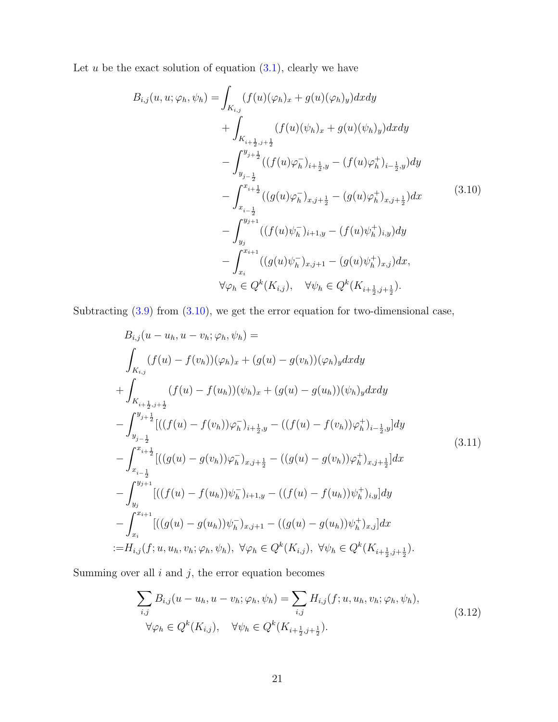Let  $u$  be the exact solution of equation  $(3.1)$ , clearly we have

<span id="page-20-0"></span>
$$
B_{i,j}(u, u; \varphi_h, \psi_h) = \int_{K_{i,j}} (f(u)(\varphi_h)_x + g(u)(\varphi_h)_y) dxdy + \int_{K_{i+\frac{1}{2},j+\frac{1}{2}}} (f(u)(\psi_h)_x + g(u)(\psi_h)_y) dxdy - \int_{y_{j-\frac{1}{2}}}^{y_{j+\frac{1}{2}}} ((f(u)\varphi_h^-)_{i+\frac{1}{2},y} - (f(u)\varphi_h^+)_{i-\frac{1}{2},y}) dy - \int_{x_{i-\frac{1}{2}}}^{x_{i+\frac{1}{2}}} ((g(u)\varphi_h^-)_{x,j+\frac{1}{2}} - (g(u)\varphi_h^+)_{x,j+\frac{1}{2}}) dx
$$
\n
$$
- \int_{y_j}^{y_{j+1}} ((f(u)\psi_h^-)_{i+1,y} - (f(u)\psi_h^+)_{i,y}) dy - \int_{x_i}^{x_{i+1}} ((g(u)\psi_h^-)_{x,j+1} - (g(u)\psi_h^+)_{x,j}) dx, \forall \varphi_h \in Q^k(K_{i,j}), \quad \forall \psi_h \in Q^k(K_{i+\frac{1}{2},j+\frac{1}{2}}).
$$
\n(11.11)

Subtracting  $(3.9)$  from  $(3.10)$ , we get the error equation for two-dimensional case,

$$
B_{i,j}(u - u_h, u - v_h; \varphi_h, \psi_h) =
$$
\n
$$
\int_{K_{i,j}} (f(u) - f(v_h))(\varphi_h)_x + (g(u) - g(v_h))(\varphi_h)_y dx dy
$$
\n
$$
+ \int_{K_{i+\frac{1}{2},j+\frac{1}{2}}} (f(u) - f(u_h))(\psi_h)_x + (g(u) - g(u_h))(\psi_h)_y dx dy
$$
\n
$$
- \int_{y_{j-\frac{1}{2}}}^{y_{j+\frac{1}{2}}} [((f(u) - f(v_h))\varphi_h^-)_{i+\frac{1}{2},y} - ((f(u) - f(v_h))\varphi_h^+)_{i-\frac{1}{2},y}] dy
$$
\n
$$
- \int_{x_{i-\frac{1}{2}}}^{x_{i+\frac{1}{2}}} [((g(u) - g(v_h))\varphi_h^-)_{x,j+\frac{1}{2}} - ((g(u) - g(v_h))\varphi_h^+)_{x,j+\frac{1}{2}}] dx
$$
\n
$$
- \int_{y_j}^{y_{j+1}} [((f(u) - f(u_h))\psi_h^-)_{i+1,y} - ((f(u) - f(u_h))\psi_h^+)_{i,y}] dy
$$
\n
$$
- \int_{x_i}^{x_{i+1}} [((g(u) - g(u_h))\psi_h^-)_{x,j+1} - ((g(u) - g(u_h))\psi_h^+)_{x,j}] dx
$$
\n
$$
:= H_{i,j}(f; u, u_h, v_h; \varphi_h, \psi_h), \forall \varphi_h \in Q^k(K_{i,j}), \forall \psi_h \in Q^k(K_{i+\frac{1}{2},j+\frac{1}{2}}).
$$
\n(4.11)

Summing over all  $i$  and  $j$ , the error equation becomes

$$
\sum_{i,j} B_{i,j}(u - u_h, u - v_h; \varphi_h, \psi_h) = \sum_{i,j} H_{i,j}(f; u, u_h, v_h; \varphi_h, \psi_h),
$$
  
\n
$$
\forall \varphi_h \in Q^k(K_{i,j}), \quad \forall \psi_h \in Q^k(K_{i + \frac{1}{2}, j + \frac{1}{2}}).
$$
\n(3.12)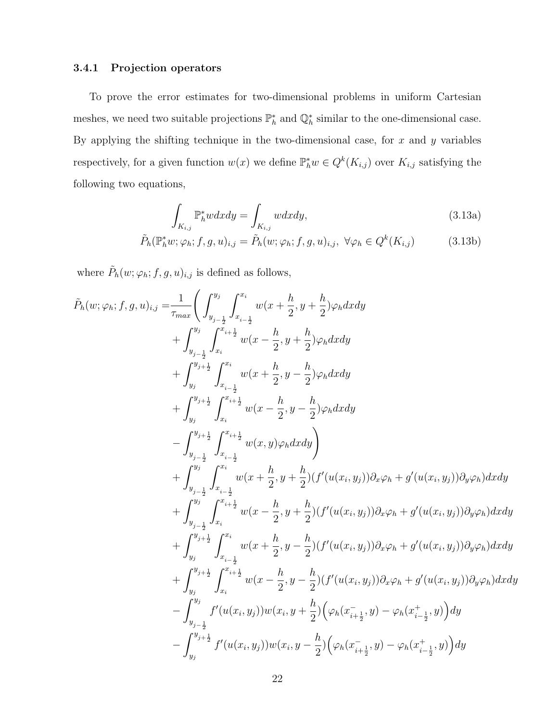### 3.4.1 Projection operators

To prove the error estimates for two-dimensional problems in uniform Cartesian meshes, we need two suitable projections  $\mathbb{P}_h^*$  and  $\mathbb{Q}_h^*$  similar to the one-dimensional case. By applying the shifting technique in the two-dimensional case, for  $x$  and  $y$  variables respectively, for a given function  $w(x)$  we define  $\mathbb{P}_h^* w \in Q^k(K_{i,j})$  over  $K_{i,j}$  satisfying the following two equations,

<span id="page-21-1"></span><span id="page-21-0"></span>
$$
\int_{K_{i,j}} \mathbb{P}_h^* w dx dy = \int_{K_{i,j}} w dx dy,
$$
\n(3.13a)

$$
\tilde{P}_h(\mathbb{P}_h^*w; \varphi_h; f, g, u)_{i,j} = \tilde{P}_h(w; \varphi_h; f, g, u)_{i,j}, \ \forall \varphi_h \in Q^k(K_{i,j})
$$
\n(3.13b)

where  $\tilde{P}_h(w; \varphi_h; f, g, u)_{i,j}$  is defined as follows,

$$
\tilde{P}_{h}(w;\varphi_{h};f,g,u)_{i,j} = \frac{1}{\tau_{max}} \left( \int_{y_{j-\frac{1}{2}}}^{y_{j}} \int_{x_{i-\frac{1}{2}}}^{x_{i}} w(x + \frac{h}{2}, y + \frac{h}{2}) \varphi_{h} dxdy \n+ \int_{y_{j-\frac{1}{2}}}^{y_{j}} \int_{x_{i}}^{x_{i}} w(x - \frac{h}{2}, y + \frac{h}{2}) \varphi_{h} dxdy \n+ \int_{y_{j}}^{y_{j+\frac{1}{2}}} \int_{x_{i-\frac{1}{2}}}^{x_{i}} w(x + \frac{h}{2}, y - \frac{h}{2}) \varphi_{h} dxdy \n+ \int_{y_{j}}^{y_{j+\frac{1}{2}}} \int_{x_{i-\frac{1}{2}}}^{x_{i}} w(x + \frac{h}{2}, y - \frac{h}{2}) \varphi_{h} dxdy \n- \int_{y_{j-\frac{1}{2}}}^{y_{j+\frac{1}{2}}} \int_{x_{i-\frac{1}{2}}}^{x_{i+\frac{1}{2}}} w(x, y) \varphi_{h} dxdy \right) \n+ \int_{y_{j-\frac{1}{2}}}^{y_{j}} \int_{x_{i-\frac{1}{2}}}^{x_{i+\frac{1}{2}}} w(x + \frac{h}{2}, y + \frac{h}{2}) (f'(u(x_i, y_j)) \partial_x \varphi_h + g'(u(x_i, y_j)) \partial_y \varphi_h) dxdy \n+ \int_{y_{j-\frac{1}{2}}}^{y_{j}} \int_{x_{i}}^{x_{i+\frac{1}{2}}} w(x - \frac{h}{2}, y + \frac{h}{2}) (f'(u(x_i, y_j)) \partial_x \varphi_h + g'(u(x_i, y_j)) \partial_y \varphi_h) dxdy \n+ \int_{y_{j}}^{y_{j+\frac{1}{2}}} \int_{x_{i-\frac{1}{2}}}^{x_{i}} w(x + \frac{h}{2}, y - \frac{h}{2}) (f'(u(x_i, y_j)) \partial_x \varphi_h + g'(u(x_i, y_j)) \partial_y \varphi_h) dxdy \n+ \int_{y_{j}}^{y_{j+\frac{1}{2}}} \int_{x_{i}}^{x_{i+\frac{1}{2}}} w(x - \frac{h}{2}, y - \frac{h}{2}) (f'(u(x_i, y_j)) \partial_x \varphi_h + g'(u(x_i, y_j)) \
$$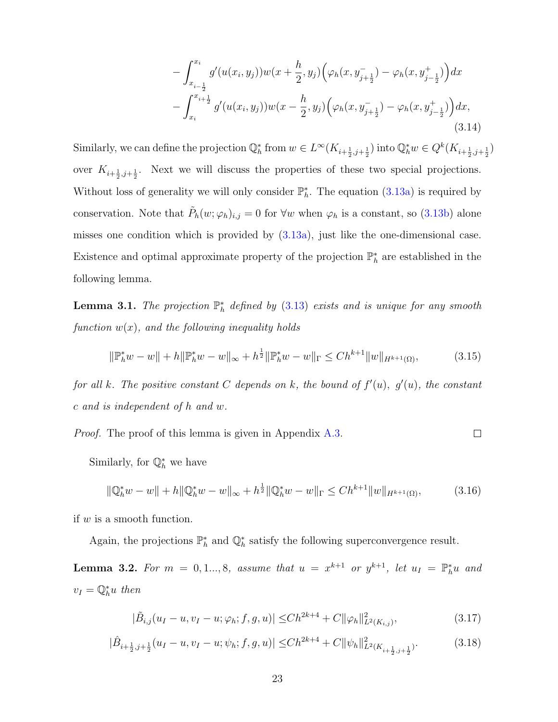<span id="page-22-4"></span>
$$
- \int_{x_{i-\frac{1}{2}}}^{x_i} g'(u(x_i, y_j))w(x + \frac{h}{2}, y_j) \Big(\varphi_h(x, y_{j+\frac{1}{2}}^-) - \varphi_h(x, y_{j-\frac{1}{2}}^+) \Big) dx - \int_{x_i}^{x_{i+\frac{1}{2}}} g'(u(x_i, y_j))w(x - \frac{h}{2}, y_j) \Big(\varphi_h(x, y_{j+\frac{1}{2}}^-) - \varphi_h(x, y_{j-\frac{1}{2}}^+) \Big) dx,
$$
\n(3.14)

Similarly, we can define the projection  $\mathbb{Q}_h^*$  from  $w \in L^\infty(K_{i+\frac{1}{2},j+\frac{1}{2}})$  into  $\mathbb{Q}_h^* w \in Q^k(K_{i+\frac{1}{2},j+\frac{1}{2}})$ over  $K_{i+\frac{1}{2},j+\frac{1}{2}}$ . Next we will discuss the properties of these two special projections. Without loss of generality we will only consider  $\mathbb{P}_h^*$ . The equation [\(3.13a\)](#page-21-0) is required by conservation. Note that  $\tilde{P}_h(w; \varphi_h)_{i,j} = 0$  for  $\forall w$  when  $\varphi_h$  is a constant, so [\(3.13b\)](#page-21-1) alone misses one condition which is provided by  $(3.13a)$ , just like the one-dimensional case. Existence and optimal approximate property of the projection  $\mathbb{P}_h^*$  are established in the following lemma.

<span id="page-22-3"></span>**Lemma 3.1.** The projection  $\mathbb{P}_h^*$  defined by [\(3.13\)](#page-21-1) exists and is unique for any smooth function  $w(x)$ , and the following inequality holds

<span id="page-22-0"></span>
$$
\|\mathbb{P}_h^* w - w\| + h \|\mathbb{P}_h^* w - w\|_{\infty} + h^{\frac{1}{2}} \|\mathbb{P}_h^* w - w\|_{\Gamma} \le Ch^{k+1} \|w\|_{H^{k+1}(\Omega)},\tag{3.15}
$$

for all k. The positive constant C depends on k, the bound of  $f'(u)$ ,  $g'(u)$ , the constant c and is independent of h and w.

*Proof.* The proof of this lemma is given in Appendix [A.3.](#page-40-0)  $\Box$ 

Similarly, for  $\mathbb{Q}_h^*$  we have

<span id="page-22-1"></span>
$$
\|\mathbb{Q}_h^* w - w\| + h \|\mathbb{Q}_h^* w - w\|_{\infty} + h^{\frac{1}{2}} \|\mathbb{Q}_h^* w - w\|_{\Gamma} \le C h^{k+1} \|w\|_{H^{k+1}(\Omega)},\tag{3.16}
$$

if  $w$  is a smooth function.

Again, the projections  $\mathbb{P}_h^*$  and  $\mathbb{Q}_h^*$  satisfy the following superconvergence result.

<span id="page-22-2"></span>**Lemma 3.2.** For  $m = 0, 1, ..., 8$ , assume that  $u = x^{k+1}$  or  $y^{k+1}$ , let  $u_I = \mathbb{P}_h^* u$  and  $v_I = \mathbb{Q}_h^* u$  then

$$
|\tilde{B}_{i,j}(u_I - u, v_I - u; \varphi_h; f, g, u)| \leq Ch^{2k+4} + C ||\varphi_h||^2_{L^2(K_{i,j})},
$$
\n(3.17)

$$
|\hat{B}_{i+\frac{1}{2},j+\frac{1}{2}}(u_I-u,v_I-u;\psi_h;f,g,u)| \leq Ch^{2k+4} + C ||\psi_h||^2_{L^2(K_{i+\frac{1}{2},j+\frac{1}{2}})}. \tag{3.18}
$$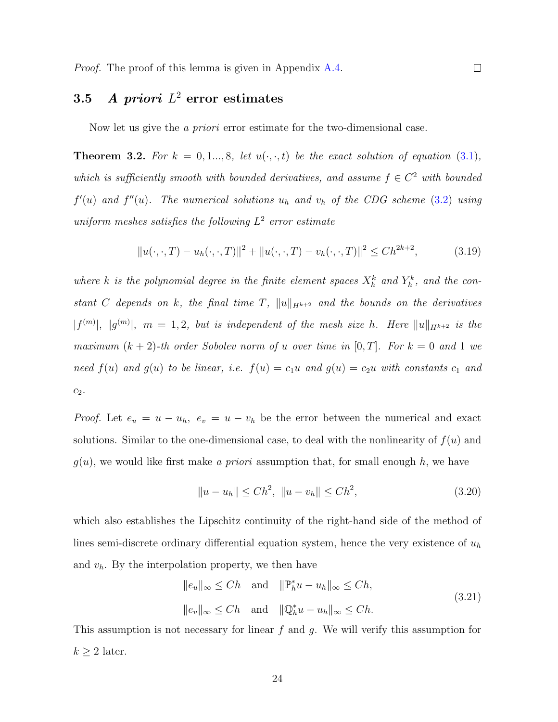## $3.5$  A priori  $L^2$  error estimates

Now let us give the *a priori* error estimate for the two-dimensional case.

**Theorem 3.2.** For  $k = 0, 1, ..., 8$ , let  $u(\cdot, \cdot, t)$  be the exact solution of equation [\(3.1\)](#page-15-0), which is sufficiently smooth with bounded derivatives, and assume  $f \in C^2$  with bounded  $f'(u)$  and  $f''(u)$ . The numerical solutions  $u_h$  and  $v_h$  of the CDG scheme [\(3.2\)](#page-17-0) using uniform meshes satisfies the following  $L^2$  error estimate

<span id="page-23-2"></span>
$$
||u(\cdot,\cdot,T) - u_h(\cdot,\cdot,T)||^2 + ||u(\cdot,\cdot,T) - v_h(\cdot,\cdot,T)||^2 \le Ch^{2k+2},
$$
\n(3.19)

where k is the polynomial degree in the finite element spaces  $X_h^k$  and  $Y_h^k$ , and the constant C depends on k, the final time T,  $||u||_{H^{k+2}}$  and the bounds on the derivatives  $|f^{(m)}|$ ,  $|g^{(m)}|$ ,  $m = 1, 2$ , but is independent of the mesh size h. Here  $||u||_{H^{k+2}}$  is the maximum  $(k + 2)$ -th order Sobolev norm of u over time in  $[0, T]$ . For  $k = 0$  and 1 we need  $f(u)$  and  $g(u)$  to be linear, i.e.  $f(u) = c_1u$  and  $g(u) = c_2u$  with constants  $c_1$  and  $c_2$ .

*Proof.* Let  $e_u = u - u_h$ ,  $e_v = u - v_h$  be the error between the numerical and exact solutions. Similar to the one-dimensional case, to deal with the nonlinearity of  $f(u)$  and  $g(u)$ , we would like first make a priori assumption that, for small enough h, we have

<span id="page-23-1"></span>
$$
||u - u_h|| \le Ch^2, \ ||u - v_h|| \le Ch^2,
$$
\n(3.20)

which also establishes the Lipschitz continuity of the right-hand side of the method of lines semi-discrete ordinary differential equation system, hence the very existence of  $u<sub>h</sub>$ and  $v_h$ . By the interpolation property, we then have

<span id="page-23-0"></span>
$$
||e_u||_{\infty} \le Ch \quad \text{and} \quad ||\mathbb{P}_h^* u - u_h||_{\infty} \le Ch,
$$
  

$$
||e_v||_{\infty} \le Ch \quad \text{and} \quad ||\mathbb{Q}_h^* u - u_h||_{\infty} \le Ch.
$$
  
(3.21)

This assumption is not necessary for linear  $f$  and  $g$ . We will verify this assumption for  $k \geq 2$  later.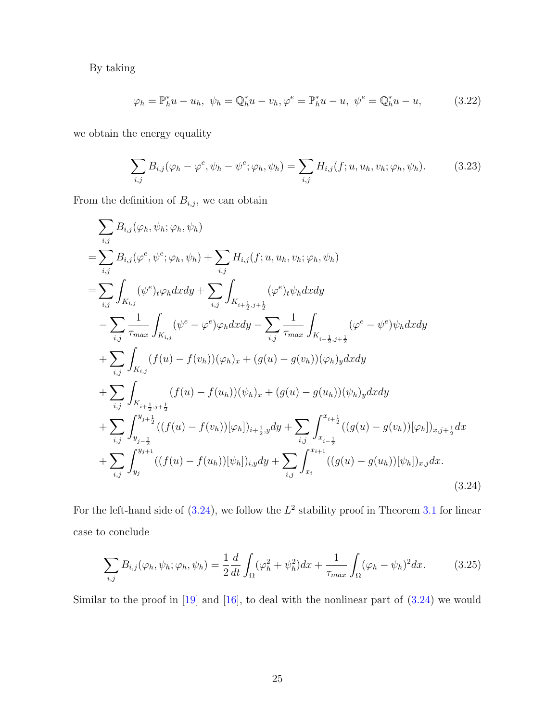By taking

$$
\varphi_h = \mathbb{P}_h^* u - u_h, \ \psi_h = \mathbb{Q}_h^* u - v_h, \varphi^e = \mathbb{P}_h^* u - u, \ \psi^e = \mathbb{Q}_h^* u - u,
$$
 (3.22)

we obtain the energy equality

$$
\sum_{i,j} B_{i,j}(\varphi_h - \varphi^e, \psi_h - \psi^e; \varphi_h, \psi_h) = \sum_{i,j} H_{i,j}(f; u, u_h, v_h; \varphi_h, \psi_h).
$$
 (3.23)

From the definition of  $B_{i,j}$ , we can obtain

<span id="page-24-0"></span>
$$
\sum_{i,j} B_{i,j}(\varphi_h, \psi_h; \varphi_h, \psi_h)
$$
\n
$$
= \sum_{i,j} B_{i,j}(\varphi^e, \psi^e; \varphi_h, \psi_h) + \sum_{i,j} H_{i,j}(f; u, u_h, v_h; \varphi_h, \psi_h)
$$
\n
$$
= \sum_{i,j} \int_{K_{i,j}} (\psi^e)_t \varphi_h dx dy + \sum_{i,j} \int_{K_{i+\frac{1}{2},j+\frac{1}{2}}} (\varphi^e)_t \psi_h dx dy
$$
\n
$$
- \sum_{i,j} \frac{1}{\tau_{max}} \int_{K_{i,j}} (\psi^e - \varphi^e) \varphi_h dx dy - \sum_{i,j} \frac{1}{\tau_{max}} \int_{K_{i+\frac{1}{2},j+\frac{1}{2}}} (\varphi^e - \psi^e) \psi_h dx dy
$$
\n
$$
+ \sum_{i,j} \int_{K_{i,j}} (f(u) - f(v_h)) (\varphi_h)_x + (g(u) - g(v_h)) (\varphi_h)_y dx dy
$$
\n
$$
+ \sum_{i,j} \int_{K_{i+\frac{1}{2},j+\frac{1}{2}}} (f(u) - f(u_h)) (\psi_h)_x + (g(u) - g(u_h)) (\psi_h)_y dx dy
$$
\n
$$
+ \sum_{i,j} \int_{y_{j-\frac{1}{2}}}^{y_{j+\frac{1}{2}}} ((f(u) - f(v_h)) [\varphi_h])_{i+\frac{1}{2},y} dy + \sum_{i,j} \int_{x_{i-\frac{1}{2}}}^{x_{i+\frac{1}{2}}} ((g(u) - g(v_h)) [\varphi_h])_{x,j+\frac{1}{2}} dx
$$
\n
$$
+ \sum_{i,j} \int_{y_j}^{y_{j+1}} ((f(u) - f(u_h)) [\psi_h])_{i,y} dy + \sum_{i,j} \int_{x_i}^{x_{i+1}} ((g(u) - g(u_h)) [\psi_h])_{x,j} dx.
$$
\n(3.24)

For the left-hand side of  $(3.24)$ , we follow the  $L^2$  stability proof in Theorem [3.1](#page-18-0) for linear case to conclude

<span id="page-24-1"></span>
$$
\sum_{i,j} B_{i,j}(\varphi_h, \psi_h; \varphi_h, \psi_h) = \frac{1}{2} \frac{d}{dt} \int_{\Omega} (\varphi_h^2 + \psi_h^2) dx + \frac{1}{\tau_{max}} \int_{\Omega} (\varphi_h - \psi_h)^2 dx. \tag{3.25}
$$

Similar to the proof in [\[19\]](#page-48-4) and [\[16\]](#page-48-6), to deal with the nonlinear part of  $(3.24)$  we would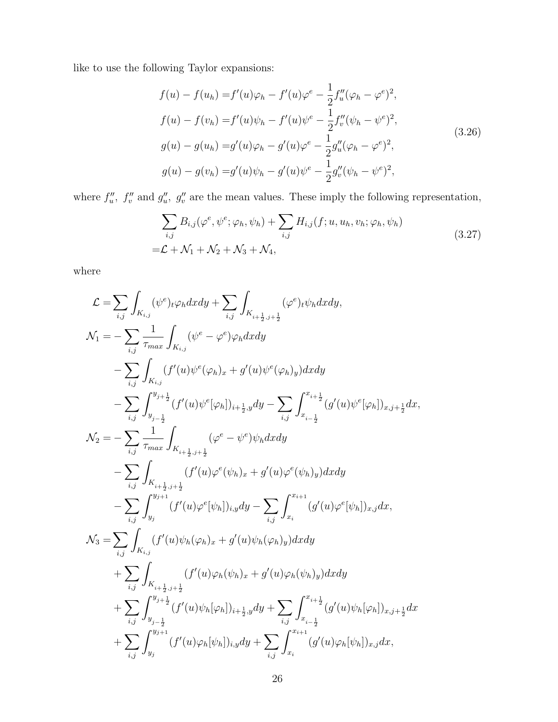like to use the following Taylor expansions:

$$
f(u) - f(u_h) = f'(u)\varphi_h - f'(u)\varphi^e - \frac{1}{2}f''_u(\varphi_h - \varphi^e)^2,
$$
  
\n
$$
f(u) - f(v_h) = f'(u)\psi_h - f'(u)\psi^e - \frac{1}{2}f''_v(\psi_h - \psi^e)^2,
$$
  
\n
$$
g(u) - g(u_h) = g'(u)\varphi_h - g'(u)\varphi^e - \frac{1}{2}g''_u(\varphi_h - \varphi^e)^2,
$$
  
\n
$$
g(u) - g(v_h) = g'(u)\psi_h - g'(u)\psi^e - \frac{1}{2}g''_v(\psi_h - \psi^e)^2,
$$
\n(3.26)

where  $f''_u$ ,  $f''_v$  and  $g''_u$ ,  $g''_v$  are the mean values. These imply the following representation,

$$
\sum_{i,j} B_{i,j}(\varphi^e, \psi^e; \varphi_h, \psi_h) + \sum_{i,j} H_{i,j}(f; u, u_h, v_h; \varphi_h, \psi_h)
$$
  
=\mathcal{L} + \mathcal{N}\_1 + \mathcal{N}\_2 + \mathcal{N}\_3 + \mathcal{N}\_4, (3.27)

where

$$
\begin{split} \mathcal{L} &= \sum_{i,j} \int_{K_{i,j}} (\psi^{e})_{t} \varphi_{h} dx dy + \sum_{i,j} \int_{K_{i+\frac{1}{2},j+\frac{1}{2}}} (\varphi^{e})_{t} \psi_{h} dx dy, \\ \mathcal{N}_{1} &= -\sum_{i,j} \frac{1}{\tau_{max}} \int_{K_{i,j}} (\psi^{e} - \varphi^{e}) \varphi_{h} dx dy \\ &- \sum_{i,j} \int_{K_{i,j}} (f'(u) \psi^{e}(\varphi_{h})_{x} + g'(u) \psi^{e}(\varphi_{h})_{y}) dx dy \\ &- \sum_{i,j} \int_{y_{j-\frac{1}{2}}}^{y_{j+\frac{1}{2}}} (f'(u) \psi^{e}[\varphi_{h}])_{i+\frac{1}{2},y} dy - \sum_{i,j} \int_{x_{i-\frac{1}{2}}}^{x_{i+\frac{1}{2}}} (g'(u) \psi^{e}[\varphi_{h}])_{x,j+\frac{1}{2}} dx, \\ \mathcal{N}_{2} &= -\sum_{i,j} \frac{1}{\tau_{max}} \int_{K_{i+\frac{1}{2},j+\frac{1}{2}}} (\varphi^{e} - \psi^{e}) \psi_{h} dx dy \\ &- \sum_{i,j} \int_{K_{i+\frac{1}{2},j+\frac{1}{2}}} (f'(u) \varphi^{e}(\psi_{h})_{x} + g'(u) \varphi^{e}(\psi_{h})_{y}) dx dy \\ &- \sum_{i,j} \int_{y_{j}}^{y_{j+1}} (f'(u) \varphi^{e}[\psi_{h}])_{i,j} dy - \sum_{i,j} \int_{x_{i}}^{x_{i+1}} (g'(u) \varphi^{e}[\psi_{h}])_{x,j} dx, \\ \mathcal{N}_{3} &= \sum_{i,j} \int_{K_{i,j}} (f'(u) \psi_{h}(\varphi_{h})_{x} + g'(u) \psi_{h}(\varphi_{h})_{y}) dx dy \\ &+ \sum_{i,j} \int_{K_{i+\frac{1}{2},j+\frac{1}{2}}} (f'(u) \varphi_{h}(\psi_{h})_{x} + g'(u) \varphi_{h}(\psi_{h})_{y}) dx dy \\ &+ \sum_{i,j} \int_{y_{j-\frac{1}{2}}}^{y_{j+\frac{1}{2}}} (f'(u) \psi_{h}[\varphi_{h}])_{i+\frac{1}{2},y} dy + \sum_{i,j} \int_{x_{i-\frac{1
$$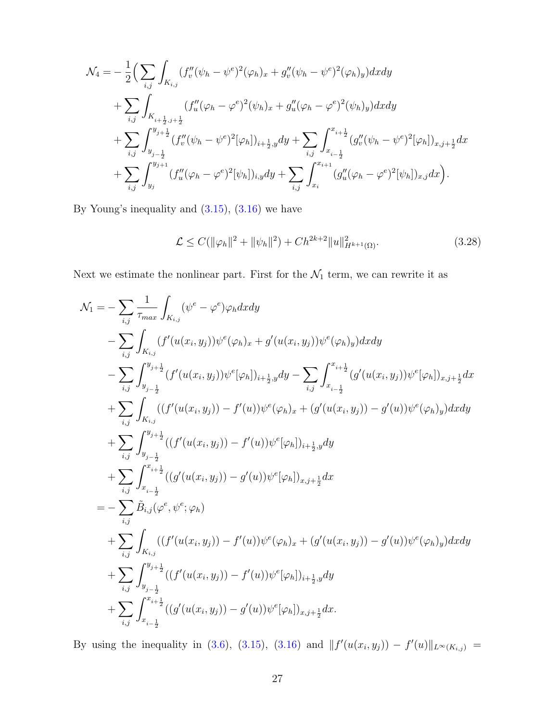$$
\mathcal{N}_4 = -\frac{1}{2} \Big( \sum_{i,j} \int_{K_{i,j}} (f''_v(\psi_h - \psi^e)^2 (\varphi_h)_x + g''_v(\psi_h - \psi^e)^2 (\varphi_h)_y) dxdy \n+ \sum_{i,j} \int_{K_{i+\frac{1}{2},j+\frac{1}{2}}} (f''_u(\varphi_h - \varphi^e)^2 (\psi_h)_x + g''_u(\varphi_h - \varphi^e)^2 (\psi_h)_y) dxdy \n+ \sum_{i,j} \int_{y_{j-\frac{1}{2}}}^{y_{j+\frac{1}{2}}} (f''_v(\psi_h - \psi^e)^2 [\varphi_h])_{i+\frac{1}{2},y} dy + \sum_{i,j} \int_{x_{i-\frac{1}{2}}}^{x_{i+\frac{1}{2}}} (g''_v(\psi_h - \psi^e)^2 [\varphi_h])_{x,j+\frac{1}{2}} dx \n+ \sum_{i,j} \int_{y_j}^{y_{j+1}} (f''_u(\varphi_h - \varphi^e)^2 [\psi_h])_{i,y} dy + \sum_{i,j} \int_{x_i}^{x_{i+1}} (g''_u(\varphi_h - \varphi^e)^2 [\psi_h])_{x,j} dx \Big).
$$

By Young's inequality and [\(3.15\)](#page-22-0), [\(3.16\)](#page-22-1) we have

<span id="page-26-0"></span>
$$
\mathcal{L} \le C(\|\varphi_h\|^2 + \|\psi_h\|^2) + Ch^{2k+2} \|u\|_{H^{k+1}(\Omega)}^2.
$$
\n(3.28)

Next we estimate the nonlinear part. First for the  $\mathcal{N}_1$  term, we can rewrite it as

$$
\begin{split} \mathcal{N}_{1} & = -\sum_{i,j} \frac{1}{\tau_{max}} \int_{K_{i,j}} (\psi^{e} - \varphi^{e}) \varphi_{h} dxdy \\ & - \sum_{i,j} \int_{K_{i,j}} (f'(u(x_{i}, y_{j})) \psi^{e}(\varphi_{h})_{x} + g'(u(x_{i}, y_{j})) \psi^{e}(\varphi_{h})_{y}) dxdy \\ & - \sum_{i,j} \int_{y_{j-\frac{1}{2}}}^{y_{j+\frac{1}{2}}} (f'(u(x_{i}, y_{j})) \psi^{e}[\varphi_{h}]_{i+\frac{1}{2},y} dy - \sum_{i,j} \int_{x_{i-\frac{1}{2}}}^{x_{i+\frac{1}{2}}} (g'(u(x_{i}, y_{j})) \psi^{e}[\varphi_{h}]_{x,j+\frac{1}{2}} dx \\ & + \sum_{i,j} \int_{K_{i,j}} ((f'(u(x_{i}, y_{j})) - f'(u)) \psi^{e}(\varphi_{h})_{x} + (g'(u(x_{i}, y_{j})) - g'(u)) \psi^{e}(\varphi_{h})_{y}) dxdy \\ & + \sum_{i,j} \int_{y_{j-\frac{1}{2}}}^{y_{j+\frac{1}{2}}} ((f'(u(x_{i}, y_{j})) - f'(u)) \psi^{e}[\varphi_{h}]_{i+\frac{1}{2},y} dy \\ & + \sum_{i,j} \int_{x_{i-\frac{1}{2}}}^{x_{i+\frac{1}{2}}} ((g'(u(x_{i}, y_{j})) - g'(u)) \psi^{e}[\varphi_{h}]_{x,j+\frac{1}{2}} dx \\ & = - \sum_{i,j} \tilde{B}_{i,j} (\varphi^{e}, \psi^{e}; \varphi_{h}) \\ & + \sum_{i,j} \int_{K_{i,j}} ((f'(u(x_{i}, y_{j})) - f'(u)) \psi^{e}(\varphi_{h})_{x} + (g'(u(x_{i}, y_{j})) - g'(u)) \psi^{e}(\varphi_{h})_{y}) dxdy \\ & + \sum_{i,j} \int_{y_{j-\frac{1}{2}}}^{y_{j+\frac{1}{2}}} ((f'(u(x_{i}, y_{j})) - f'(u)) \psi^{e}[\varphi_{h}]_{i+\frac{1}{2},y} dy \\ & + \sum_{i,j} \int_{x_{i-\frac{1}{2}}}^{x_{i+\frac{1}{2}}} ((g'(u(x_{i}, y_{j})) - g'(u)) \psi^{e}[\varphi_{h}]_{x,j+\frac{1}{2}} dx. \
$$

By using the inequality in [\(3.6\)](#page-18-1), [\(3.15\)](#page-22-0), [\(3.16\)](#page-22-1) and  $|| f'(u(x_i, y_j)) - f'(u) ||_{L^{\infty}(K_{i,j})} =$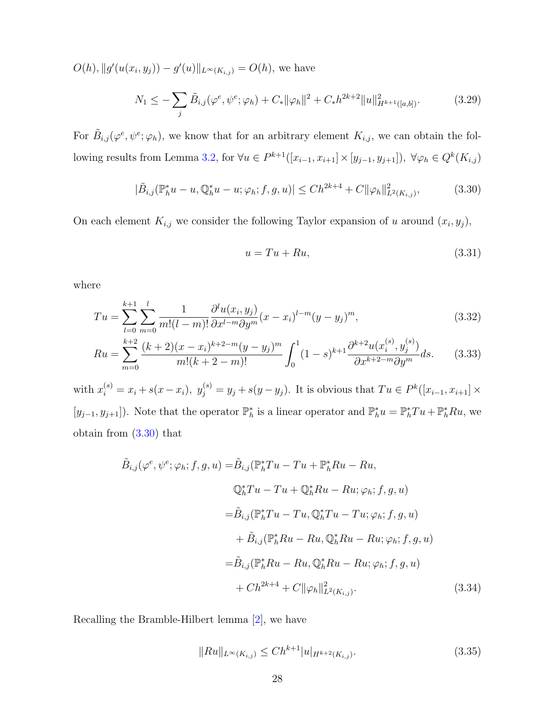$O(h), \|g'(u(x_i, y_j)) - g'(u)\|_{L^\infty(K_{i,j})} = O(h)$ , we have

$$
N_1 \leq -\sum_{j} \tilde{B}_{i,j}(\varphi^e, \psi^e; \varphi_h) + C_* \|\varphi_h\|^2 + C_* h^{2k+2} \|u\|_{H^{k+1}([a,b])}^2.
$$
 (3.29)

For  $\tilde{B}_{i,j}(\varphi^e, \psi^e; \varphi_h)$ , we know that for an arbitrary element  $K_{i,j}$ , we can obtain the fol-lowing results from Lemma [3.2,](#page-22-2) for  $\forall u \in P^{k+1}([x_{i-1}, x_{i+1}] \times [y_{j-1}, y_{j+1}])$ ,  $\forall \varphi_h \in Q^k(K_{i,j})$ 

<span id="page-27-0"></span>
$$
|\tilde{B}_{i,j}(\mathbb{P}_h^*u - u, \mathbb{Q}_h^*u - u; \varphi_h; f, g, u)| \le Ch^{2k+4} + C \|\varphi_h\|_{L^2(K_{i,j})}^2,
$$
\n(3.30)

On each element  $K_{i,j}$  we consider the following Taylor expansion of u around  $(x_i, y_j)$ ,

$$
u = Tu + Ru,\tag{3.31}
$$

where

$$
Tu = \sum_{l=0}^{k+1} \sum_{m=0}^{l} \frac{1}{m!(l-m)!} \frac{\partial^{l} u(x_i, y_j)}{\partial x^{l-m} \partial y^m} (x - x_i)^{l-m} (y - y_j)^m,
$$
\n(3.32)

$$
Ru = \sum_{m=0}^{k+2} \frac{(k+2)(x-x_i)^{k+2-m}(y-y_j)^m}{m!(k+2-m)!} \int_0^1 (1-s)^{k+1} \frac{\partial^{k+2} u(x_i^{(s)}, y_j^{(s)})}{\partial x^{k+2-m} \partial y^m} ds.
$$
 (3.33)

with  $x_i^{(s)} = x_i + s(x - x_i)$ ,  $y_j^{(s)} = y_j + s(y - y_j)$ . It is obvious that  $Tu \in P^k([x_{i-1}, x_{i+1}] \times$ [ $y_{j-1}, y_{j+1}$ ]). Note that the operator  $\mathbb{P}_h^*$  is a linear operator and  $\mathbb{P}_h^* u = \mathbb{P}_h^* T u + \mathbb{P}_h^* R u$ , we obtain from [\(3.30\)](#page-27-0) that

$$
\tilde{B}_{i,j}(\varphi^e, \psi^e; \varphi_h; f, g, u) = \tilde{B}_{i,j}(\mathbb{P}_h^* Tu - Tu + \mathbb{P}_h^* Ru - Ru,
$$
\n
$$
\mathbb{Q}_h^* Tu - Tu + \mathbb{Q}_h^* Ru - Ru; \varphi_h; f, g, u)
$$
\n
$$
= \tilde{B}_{i,j}(\mathbb{P}_h^* Tu - Tu, \mathbb{Q}_h^* Tu - Tu; \varphi_h; f, g, u)
$$
\n
$$
+ \tilde{B}_{i,j}(\mathbb{P}_h^* Ru - Ru, \mathbb{Q}_h^* Ru - Ru; \varphi_h; f, g, u)
$$
\n
$$
= \tilde{B}_{i,j}(\mathbb{P}_h^* Ru - Ru, \mathbb{Q}_h^* Ru - Ru; \varphi_h; f, g, u)
$$
\n
$$
+ Ch^{2k+4} + C \|\varphi_h\|_{L^2(K_{i,j})}^2.
$$
\n(3.34)

Recalling the Bramble-Hilbert lemma [\[2\]](#page-46-3), we have

<span id="page-27-1"></span>
$$
||Ru||_{L^{\infty}(K_{i,j})} \le Ch^{k+1}|u|_{H^{k+2}(K_{i,j})}.
$$
\n(3.35)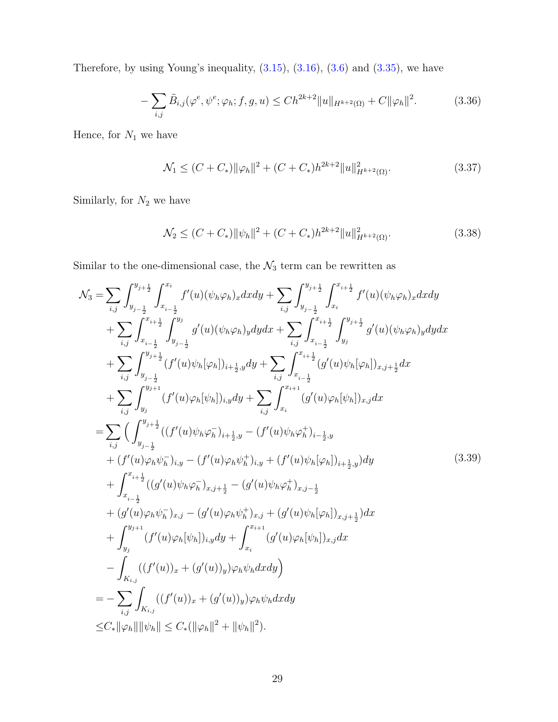Therefore, by using Young's inequality,  $(3.15)$ ,  $(3.16)$ ,  $(3.6)$  and  $(3.35)$ , we have

$$
-\sum_{i,j}\tilde{B}_{i,j}(\varphi^e, \psi^e; \varphi_h; f, g, u) \le Ch^{2k+2} \|u\|_{H^{k+2}(\Omega)} + C \|\varphi_h\|^2.
$$
 (3.36)

Hence, for  $N_1$  we have

<span id="page-28-0"></span>
$$
\mathcal{N}_1 \le (C + C_*) \|\varphi_h\|^2 + (C + C_*) h^{2k+2} \|u\|_{H^{k+2}(\Omega)}^2.
$$
\n(3.37)

Similarly, for  ${\cal N}_2$  we have

<span id="page-28-1"></span>
$$
\mathcal{N}_2 \le (C + C_*) \|\psi_h\|^2 + (C + C_*) h^{2k+2} \|u\|_{H^{k+2}(\Omega)}^2.
$$
\n(3.38)

Similar to the one-dimensional case, the  $\mathcal{N}_3$  term can be rewritten as

<span id="page-28-2"></span>
$$
\mathcal{N}_{3} = \sum_{i,j} \int_{y_{j-\frac{1}{2}}}^{y_{j+\frac{1}{2}}} \int_{x_{i-\frac{1}{2}}}^{x_{i}} f'(u)(\psi_{h}\varphi_{h})_{x}dxdy + \sum_{i,j} \int_{y_{j-\frac{1}{2}}}^{y_{j+\frac{1}{2}}} \int_{x_{i}}^{x_{i+\frac{1}{2}}} f'(u)(\psi_{h}\varphi_{h})_{x}dxdy \n+ \sum_{i,j} \int_{x_{i-\frac{1}{2}}}^{x_{i+\frac{1}{2}}} \int_{y_{j-\frac{1}{2}}}^{y_{j}} g'(u)(\psi_{h}\varphi_{h})_{y}dydx + \sum_{i,j} \int_{x_{i-\frac{1}{2}}}^{x_{i+\frac{1}{2}}} \int_{y_{j}}^{y_{j+\frac{1}{2}}} g'(u)(\psi_{h}\varphi_{h})_{y}dydx \n+ \sum_{i,j} \int_{y_{j-\frac{1}{2}}}^{y_{j+\frac{1}{2}}} (f'(u)\psi_{h}[\varphi_{h}])_{i+\frac{1}{2},y}dy + \sum_{i,j} \int_{x_{i-\frac{1}{2}}}^{x_{i+\frac{1}{2}}} (g'(u)\psi_{h}[\varphi_{h}])_{x,j}dx \n+ \sum_{i,j} \int_{y_{j}}^{y_{j+\frac{1}{2}}} (f'(u)\varphi_{h}[\psi_{h}])_{i,y}dy + \sum_{i,j} \int_{x_{i}}^{x_{i+\frac{1}{2}}} (g'(u)\varphi_{h}[\psi_{h}])_{x,j}dx \n= \sum_{i,j} \left( \int_{y_{j-\frac{1}{2}}}^{y_{j+\frac{1}{2}}} ((f'(u)\psi_{h}\varphi_{h}^{-})_{i+\frac{1}{2},y} - (f'(u)\psi_{h}\varphi_{h}^{+})_{i-\frac{1}{2},y} )dy \n+ (f'(u)\varphi_{h}\psi_{h}^{-})_{i,y} - (f'(u)\varphi_{h}\psi_{h}^{+})_{i,y} + (f'(u)\psi_{h}[\varphi_{h}])_{i+\frac{1}{2},y} )dy \n+ \int_{x_{i-\frac{1}{2}}}^{x_{i+\frac{1}{2}}} ((g'(u)\psi_{h}\varphi_{h}^{-})_{x,j+\frac{1}{2}} - (g'(u)\psi_{h}\varphi_{h}^{+})_{x,j-\frac{1}{2}} )dx \n+
$$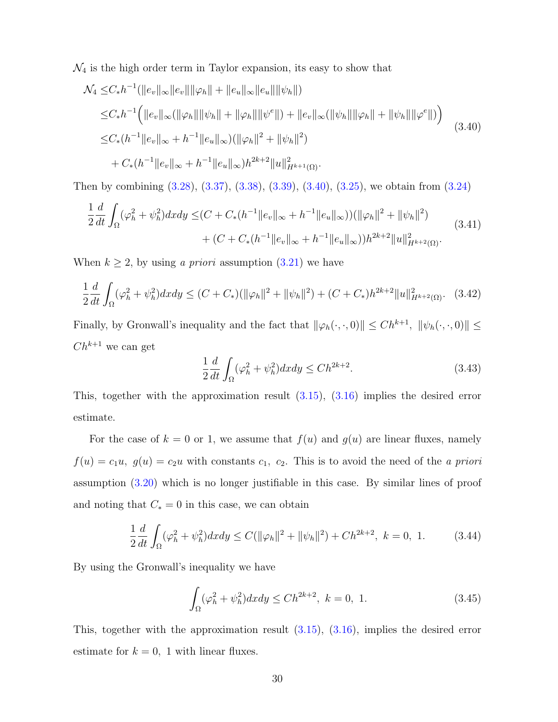$\mathcal{N}_4$  is the high order term in Taylor expansion, its easy to show that

<span id="page-29-0"></span>
$$
\mathcal{N}_4 \leq C_* h^{-1} (||e_v||_{\infty} ||e_v|| ||\varphi_h|| + ||e_u||_{\infty} ||e_u|| ||\psi_h||)
$$
  
\n
$$
\leq C_* h^{-1} (||e_v||_{\infty} (||\varphi_h|| ||\psi_h|| + ||\varphi_h|| ||\psi^e||) + ||e_v||_{\infty} (||\psi_h|| ||\varphi_h|| + ||\psi_h|| ||\varphi^e||))
$$
  
\n
$$
\leq C_* (h^{-1} ||e_v||_{\infty} + h^{-1} ||e_u||_{\infty} ) (||\varphi_h||^2 + ||\psi_h||^2)
$$
  
\n
$$
+ C_* (h^{-1} ||e_v||_{\infty} + h^{-1} ||e_u||_{\infty} )h^{2k+2} ||u||_{H^{k+1}(\Omega)}^2.
$$
\n(3.40)

Then by combining [\(3.28\)](#page-26-0), [\(3.37\)](#page-28-0), [\(3.38\)](#page-28-1), [\(3.39\)](#page-28-2), [\(3.40\)](#page-29-0), [\(3.25\)](#page-24-1), we obtain from [\(3.24\)](#page-24-0)

$$
\frac{1}{2}\frac{d}{dt}\int_{\Omega}(\varphi_h^2+\psi_h^2)dxdy \le (C+C_*(h^{-1}||e_v||_{\infty}+h^{-1}||e_u||_{\infty}))(\|\varphi_h\|^2+||\psi_h\|^2) \n+ (C+C_*(h^{-1}||e_v||_{\infty}+h^{-1}||e_u||_{\infty}))h^{2k+2}||u||_{H^{k+2}(\Omega)}^2.
$$
\n(3.41)

When  $k \geq 2$ , by using a priori assumption [\(3.21\)](#page-23-0) we have

$$
\frac{1}{2}\frac{d}{dt}\int_{\Omega}(\varphi_h^2 + \psi_h^2)dx dy \le (C + C_*)(\|\varphi_h\|^2 + \|\psi_h\|^2) + (C + C_*)h^{2k+2}\|u\|_{H^{k+2}(\Omega)}^2. \tag{3.42}
$$

Finally, by Gronwall's inequality and the fact that  $\|\varphi_h(\cdot,\cdot, 0)\| \le Ch^{k+1}$ ,  $\|\psi_h(\cdot,\cdot, 0)\| \le$  $Ch^{k+1}$  we can get

$$
\frac{1}{2}\frac{d}{dt}\int_{\Omega}(\varphi_h^2 + \psi_h^2)dxdy \le Ch^{2k+2}.\tag{3.43}
$$

This, together with the approximation result [\(3.15\)](#page-22-0), [\(3.16\)](#page-22-1) implies the desired error estimate.

For the case of  $k = 0$  or 1, we assume that  $f(u)$  and  $g(u)$  are linear fluxes, namely  $f(u) = c_1u$ ,  $g(u) = c_2u$  with constants  $c_1$ ,  $c_2$ . This is to avoid the need of the *a priori* assumption [\(3.20\)](#page-23-1) which is no longer justifiable in this case. By similar lines of proof and noting that  $C_* = 0$  in this case, we can obtain

$$
\frac{1}{2}\frac{d}{dt}\int_{\Omega}(\varphi_h^2 + \psi_h^2)dxdy \le C(\|\varphi_h\|^2 + \|\psi_h\|^2) + Ch^{2k+2}, \ k = 0, 1. \tag{3.44}
$$

By using the Gronwall's inequality we have

$$
\int_{\Omega} (\varphi_h^2 + \psi_h^2) dx dy \le C h^{2k+2}, \ k = 0, 1.
$$
 (3.45)

This, together with the approximation result [\(3.15\)](#page-22-0), [\(3.16\)](#page-22-1), implies the desired error estimate for  $k = 0$ , 1 with linear fluxes.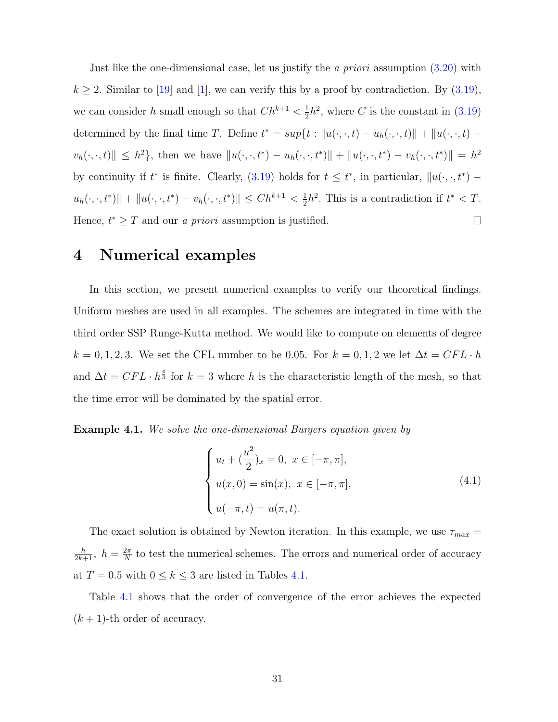Just like the one-dimensional case, let us justify the *a priori* assumption  $(3.20)$  with  $k \geq 2$ . Similar to [\[19\]](#page-48-4) and [\[1\]](#page-46-2), we can verify this by a proof by contradiction. By [\(3.19\)](#page-23-2), we can consider h small enough so that  $Ch^{k+1} < \frac{1}{2}$  $\frac{1}{2}h^2$ , where C is the constant in  $(3.19)$ determined by the final time T. Define  $t^* = sup\{t : ||u(\cdot, \cdot, t) - u_h(\cdot, \cdot, t)|| + ||u(\cdot, \cdot, t) - u_h(\cdot, \cdot, t)||$  $v_h(\cdot, \cdot, t) \| \leq h^2$ , then we have  $\| u(\cdot, \cdot, t^*) - u_h(\cdot, \cdot, t^*) \| + \| u(\cdot, \cdot, t^*) - v_h(\cdot, \cdot, t^*) \| = h^2$ by continuity if  $t^*$  is finite. Clearly,  $(3.19)$  holds for  $t \leq t^*$ , in particular,  $||u(\cdot, \cdot, t^*)$  $u_h(\cdot, \cdot, t^*)$ || +  $||u(\cdot, \cdot, t^*) - v_h(\cdot, \cdot, t^*)|| \leq Ch^{k+1} < \frac{1}{2}$  $\frac{1}{2}h^2$ . This is a contradiction if  $t^* < T$ . Hence,  $t^* \geq T$  and our *a priori* assumption is justified.  $\Box$ 

## 4 Numerical examples

In this section, we present numerical examples to verify our theoretical findings. Uniform meshes are used in all examples. The schemes are integrated in time with the third order SSP Runge-Kutta method. We would like to compute on elements of degree  $k=0,1,2,3.$  We set the CFL number to be 0.05. For  $k=0,1,2$  we let  $\Delta t = CFL\cdot h$ and  $\Delta t = CFL \cdot h^{\frac{4}{3}}$  for  $k = 3$  where h is the characteristic length of the mesh, so that the time error will be dominated by the spatial error.

**Example 4.1.** We solve the one-dimensional Burgers equation given by

$$
\begin{cases}\n u_t + (\frac{u^2}{2})_x = 0, \ x \in [-\pi, \pi], \\
 u(x, 0) = \sin(x), \ x \in [-\pi, \pi], \\
 u(-\pi, t) = u(\pi, t).\n\end{cases}
$$
\n(4.1)

The exact solution is obtained by Newton iteration. In this example, we use  $\tau_{max} =$  $\frac{h}{2k+1}$ ,  $h = \frac{2\pi}{N}$  $\frac{2\pi}{N}$  to test the numerical schemes. The errors and numerical order of accuracy at  $T = 0.5$  with  $0 \le k \le 3$  are listed in Tables [4.1.](#page-31-0)

Table [4.1](#page-31-0) shows that the order of convergence of the error achieves the expected  $(k + 1)$ -th order of accuracy.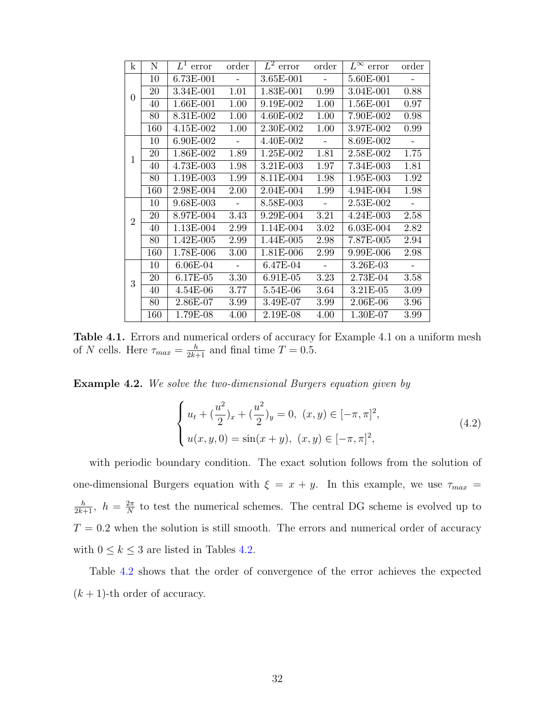<span id="page-31-0"></span>

| $\mathbf k$    | $\mathbf N$ | $L^1$ error | order          | $L^2$ error | order    | $L^{\infty}$ error | order                    |
|----------------|-------------|-------------|----------------|-------------|----------|--------------------|--------------------------|
| $\theta$       | 10          | 6.73E-001   | $\blacksquare$ | 3.65E-001   | $\sim$   | 5.60E-001          | $\overline{\phantom{a}}$ |
|                | 20          | 3.34E-001   | 1.01           | 1.83E-001   | 0.99     | 3.04E-001          | 0.88                     |
|                | 40          | 1.66E-001   | 1.00           | 9.19E-002   | 1.00     | 1.56E-001          | 0.97                     |
|                | 80          | 8.31E-002   | 1.00           | 4.60E-002   | 1.00     | 7.90E-002          | 0.98                     |
|                | 160         | $4.15E-002$ | 1.00           | 2.30E-002   | 1.00     | 3.97E-002          | 0.99                     |
| $\mathbf{1}$   | 10          | 6.90E-002   | $\equiv$       | 4.40E-002   | $\sim$   | 8.69E-002          | $\blacksquare$           |
|                | 20          | 1.86E-002   | 1.89           | 1.25E-002   | 1.81     | 2.58E-002          | 1.75                     |
|                | 40          | 4.73E-003   | 1.98           | 3.21E-003   | 1.97     | 7.34E-003          | 1.81                     |
|                | 80          | 1.19E-003   | 1.99           | 8.11E-004   | 1.98     | 1.95E-003          | 1.92                     |
|                | 160         | 2.98E-004   | $2.00\,$       | 2.04E-004   | 1.99     | 4.94E-004          | 1.98                     |
| $\overline{2}$ | 10          | 9.68E-003   | $\mathbb{L}$   | 8.58E-003   | $\sim$   | 2.53E-002          | $\overline{\phantom{a}}$ |
|                | 20          | 8.97E-004   | 3.43           | 9.29E-004   | 3.21     | 4.24E-003          | 2.58                     |
|                | 40          | 1.13E-004   | 2.99           | 1.14E-004   | 3.02     | 6.03E-004          | 2.82                     |
|                | 80          | 1.42E-005   | 2.99           | 1.44E-005   | 2.98     | 7.87E-005          | 2.94                     |
|                | 160         | 1.78E-006   | 3.00           | 1.81E-006   | 2.99     | 9.99E-006          | 2.98                     |
| 3              | 10          | 6.06E-04    | $\blacksquare$ | 6.47E-04    | $\equiv$ | 3.26E-03           | $\blacksquare$           |
|                | 20          | 6.17E-05    | 3.30           | 6.91E-05    | $3.23\,$ | 2.73E-04           | 3.58                     |
|                | 40          | 4.54E-06    | 3.77           | 5.54E-06    | 3.64     | 3.21E-05           | 3.09                     |
|                | 80          | 2.86E-07    | 3.99           | 3.49E-07    | 3.99     | 2.06E-06           | 3.96                     |
|                | 160         | 1.79E-08    | 4.00           | 2.19E-08    | 4.00     | $1.30E-07$         | 3.99                     |

Table 4.1. Errors and numerical orders of accuracy for Example 4.1 on a uniform mesh of N cells. Here  $\tau_{max} = \frac{h}{2k+1}$  and final time  $T = 0.5$ .

**Example 4.2.** We solve the two-dimensional Burgers equation given by

$$
\begin{cases} u_t + \left(\frac{u^2}{2}\right)_x + \left(\frac{u^2}{2}\right)_y = 0, \ (x, y) \in [-\pi, \pi]^2, \\ u(x, y, 0) = \sin(x + y), \ (x, y) \in [-\pi, \pi]^2, \end{cases} \tag{4.2}
$$

with periodic boundary condition. The exact solution follows from the solution of one-dimensional Burgers equation with  $\xi = x + y$ . In this example, we use  $\tau_{max}$  =  $\frac{h}{2k+1}$ ,  $h = \frac{2\pi}{N}$  $\frac{2\pi}{N}$  to test the numerical schemes. The central DG scheme is evolved up to  $T\,=\,0.2$  when the solution is still smooth. The errors and numerical order of accuracy with  $0 \leq k \leq 3$  are listed in Tables [4.2.](#page-32-0)

Table [4.2](#page-32-0) shows that the order of convergence of the error achieves the expected  $(k + 1)$ -th order of accuracy.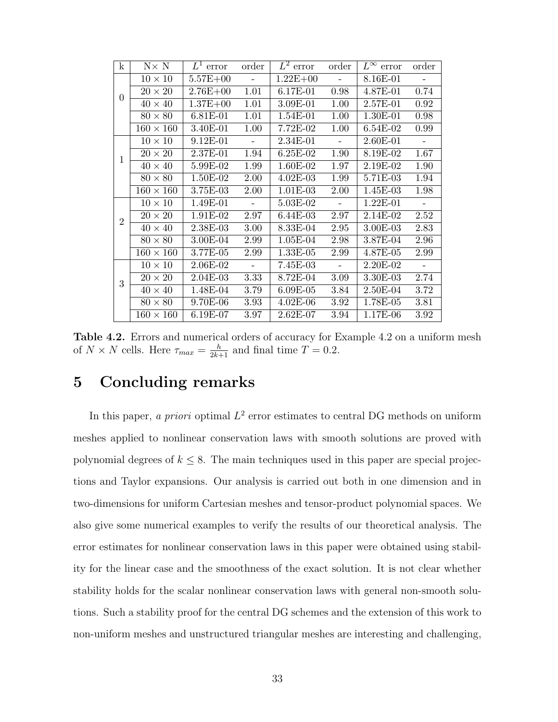<span id="page-32-0"></span>

| $\mathbf{k}$   | $N \times N$     | $L^1$ error  | order      | $L^2$ error  | order             | $L^{\infty}$ error | order                    |
|----------------|------------------|--------------|------------|--------------|-------------------|--------------------|--------------------------|
| $\Omega$       | $10 \times 10$   | $5.57E + 00$ | $\sim 100$ | $1.22E + 00$ | $\sim 10^{-10}$   | 8.16E-01           | $\sim$ $-$               |
|                | $20 \times 20$   | $2.76E + 00$ | 1.01       | $6.17E-01$   | 0.98              | $4.87E - 01$       | 0.74                     |
|                | $40 \times 40$   | $1.37E + 00$ | 1.01       | 3.09E-01     | 1.00              | $2.57E-01$         | 0.92                     |
|                | $80 \times 80$   | $6.81E-01$   | 1.01       | 1.54E-01     | 1.00              | 1.30E-01           | 0.98                     |
|                | $160 \times 160$ | 3.40E-01     | 1.00       | $7.72E-02$   | $1.00\,$          | $6.54E-02$         | 0.99                     |
| 1              | $10 \times 10$   | 9.12E-01     | $\sim$     | 2.34E-01     | $\sim$            | 2.60E-01           | $\sim$                   |
|                | $20 \times 20$   | $2.37E-01$   | 1.94       | $6.25E-02$   | 1.90              | 8.19E-02           | 1.67                     |
|                | $40 \times 40$   | 5.99E-02     | 1.99       | $1.60E-02$   | 1.97              | 2.19E-02           | 1.90                     |
|                | $80 \times 80$   | 1.50E-02     | 2.00       | $4.02E-03$   | 1.99              | 5.71E-03           | 1.94                     |
|                | $160 \times 160$ | 3.75E-03     | 2.00       | $1.01E-03$   | 2.00              | 1.45E-03           | 1.98                     |
| $\overline{2}$ | $10 \times 10$   | 1.49E-01     | $\sim$     | 5.03E-02     | $\sim$            | $1.22E-01$         | $\overline{\phantom{a}}$ |
|                | $20 \times 20$   | $1.91E-02$   | 2.97       | $6.44E-03$   | 2.97              | 2.14E-02           | 2.52                     |
|                | $40 \times 40$   | 2.38E-03     | $3.00\,$   | 8.33E-04     | $2.95\,$          | $3.00E-03$         | 2.83                     |
|                | $80 \times 80$   | 3.00E-04     | 2.99       | $1.05E-04$   | 2.98              | 3.87E-04           | 2.96                     |
|                | $160 \times 160$ | $3.77E-05$   | 2.99       | $1.33E-05$   | 2.99              | $4.87E-05$         | 2.99                     |
| 3              | $10 \times 10$   | 2.06E-02     | $\equiv$   | 7.45E-03     | $\sim$            | 2.20E-02           | $\blacksquare$           |
|                | $20 \times 20$   | $2.04E-03$   | 3.33       | 8.72E-04     | $\overline{3.09}$ | 3.30E-03           | 2.74                     |
|                | $40 \times 40$   | 1.48E-04     | 3.79       | $6.09E-05$   | $3.84\,$          | 2.50E-04           | 3.72                     |
|                | $80 \times 80$   | 9.70E-06     | 3.93       | $4.02E-06$   | 3.92              | $1.78E-05$         | 3.81                     |
|                | $160 \times 160$ | $6.19E-07$   | 3.97       | $2.62E-07$   | 3.94              | $1.17E-06$         | 3.92                     |

Table 4.2. Errors and numerical orders of accuracy for Example 4.2 on a uniform mesh of  $N \times N$  cells. Here  $\tau_{max} = \frac{h}{2k+1}$  and final time  $T = 0.2$ .

# 5 Concluding remarks

In this paper, a priori optimal  $L^2$  error estimates to central DG methods on uniform meshes applied to nonlinear conservation laws with smooth solutions are proved with polynomial degrees of  $k \leq 8$ . The main techniques used in this paper are special projections and Taylor expansions. Our analysis is carried out both in one dimension and in two-dimensions for uniform Cartesian meshes and tensor-product polynomial spaces. We also give some numerical examples to verify the results of our theoretical analysis. The error estimates for nonlinear conservation laws in this paper were obtained using stability for the linear case and the smoothness of the exact solution. It is not clear whether stability holds for the scalar nonlinear conservation laws with general non-smooth solutions. Such a stability proof for the central DG schemes and the extension of this work to non-uniform meshes and unstructured triangular meshes are interesting and challenging,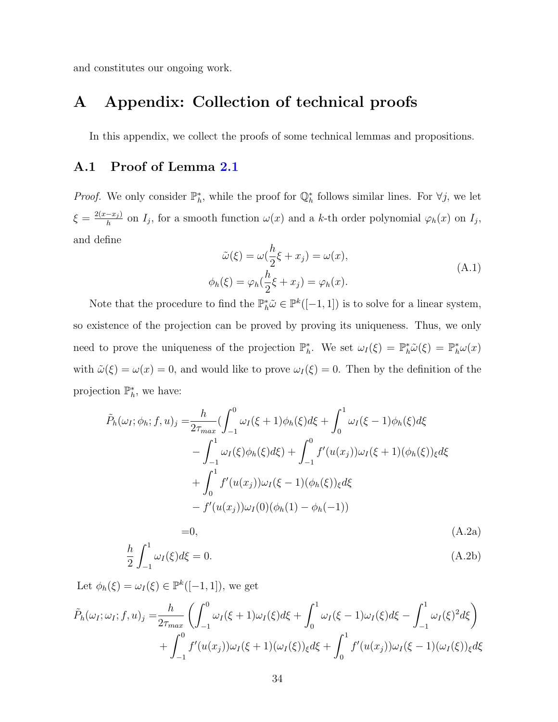and constitutes our ongoing work.

# A Appendix: Collection of technical proofs

In this appendix, we collect the proofs of some technical lemmas and propositions.

### <span id="page-33-0"></span>A.1 Proof of Lemma [2.1](#page-9-2)

*Proof.* We only consider  $\mathbb{P}_h^*$ , while the proof for  $\mathbb{Q}_h^*$  follows similar lines. For  $\forall j$ , we let  $\xi = \frac{2(x-x_j)}{h}$  $\frac{-x_j}{h}$  on  $I_j$ , for a smooth function  $\omega(x)$  and a k-th order polynomial  $\varphi_h(x)$  on  $I_j$ , and define

$$
\tilde{\omega}(\xi) = \omega(\frac{h}{2}\xi + x_j) = \omega(x),
$$
  
\n
$$
\phi_h(\xi) = \varphi_h(\frac{h}{2}\xi + x_j) = \varphi_h(x).
$$
\n(A.1)

Note that the procedure to find the  $\mathbb{P}_h^* \tilde{\omega} \in \mathbb{P}^k([-1,1])$  is to solve for a linear system, so existence of the projection can be proved by proving its uniqueness. Thus, we only need to prove the uniqueness of the projection  $\mathbb{P}_h^*$ . We set  $\omega_I(\xi) = \mathbb{P}_h^* \tilde{\omega}(\xi) = \mathbb{P}_h^* \omega(x)$ with  $\tilde{\omega}(\xi) = \omega(x) = 0$ , and would like to prove  $\omega_I(\xi) = 0$ . Then by the definition of the projection  $\mathbb{P}_h^*$ , we have:

$$
\tilde{P}_h(\omega_I; \phi_h; f, u)_j = \frac{h}{2\tau_{max}} \left( \int_{-1}^0 \omega_I(\xi + 1) \phi_h(\xi) d\xi + \int_0^1 \omega_I(\xi - 1) \phi_h(\xi) d\xi \right)
$$

$$
- \int_{-1}^1 \omega_I(\xi) \phi_h(\xi) d\xi + \int_{-1}^0 f'(u(x_j)) \omega_I(\xi + 1) (\phi_h(\xi))_{\xi} d\xi
$$

$$
+ \int_0^1 f'(u(x_j)) \omega_I(\xi - 1) (\phi_h(\xi))_{\xi} d\xi
$$

$$
- f'(u(x_j)) \omega_I(0) (\phi_h(1) - \phi_h(-1))
$$

<span id="page-33-1"></span>
$$
=0,\t(A.2a)
$$

$$
\frac{h}{2} \int_{-1}^{1} \omega_I(\xi) d\xi = 0.
$$
\n(A.2b)

Let  $\phi_h(\xi) = \omega_I(\xi) \in \mathbb{P}^k([-1,1]),$  we get

$$
\tilde{P}_h(\omega_I; \omega_I; f, u)_j = \frac{h}{2\tau_{max}} \left( \int_{-1}^0 \omega_I(\xi + 1) \omega_I(\xi) d\xi + \int_0^1 \omega_I(\xi - 1) \omega_I(\xi) d\xi - \int_{-1}^1 \omega_I(\xi)^2 d\xi \right) \n+ \int_{-1}^0 f'(u(x_j)) \omega_I(\xi + 1) (\omega_I(\xi))_{\xi} d\xi + \int_0^1 f'(u(x_j)) \omega_I(\xi - 1) (\omega_I(\xi))_{\xi} d\xi
$$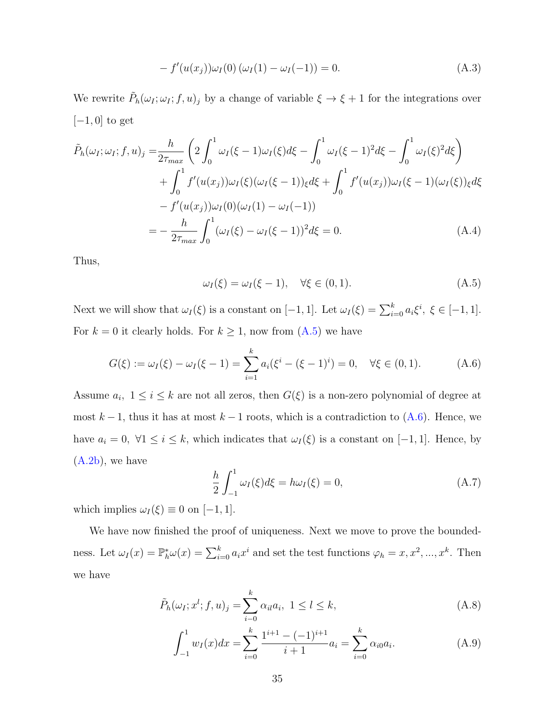$$
- f'(u(x_j))\omega_I(0) (\omega_I(1) - \omega_I(-1)) = 0.
$$
 (A.3)

We rewrite  $\tilde{P}_h(\omega_I;\omega_I;f,u)_j$  by a change of variable  $\xi \to \xi + 1$  for the integrations over  $[-1, 0]$  to get

$$
\tilde{P}_h(\omega_I; \omega_I; f, u)_j = \frac{h}{2\tau_{max}} \left( 2 \int_0^1 \omega_I(\xi - 1) \omega_I(\xi) d\xi - \int_0^1 \omega_I(\xi - 1)^2 d\xi - \int_0^1 \omega_I(\xi)^2 d\xi \right) \n+ \int_0^1 f'(u(x_j)) \omega_I(\xi) (\omega_I(\xi - 1))_\xi d\xi + \int_0^1 f'(u(x_j)) \omega_I(\xi - 1) (\omega_I(\xi))_\xi d\xi \n- f'(u(x_j)) \omega_I(0) (\omega_I(1) - \omega_I(-1)) \n= - \frac{h}{2\tau_{max}} \int_0^1 (\omega_I(\xi) - \omega_I(\xi - 1))^2 d\xi = 0.
$$
\n(A.4)

Thus,

<span id="page-34-0"></span>
$$
\omega_I(\xi) = \omega_I(\xi - 1), \quad \forall \xi \in (0, 1). \tag{A.5}
$$

Next we will show that  $\omega_I(\xi)$  is a constant on [-1, 1]. Let  $\omega_I(\xi) = \sum_{i=0}^k a_i \xi^i$ ,  $\xi \in [-1, 1]$ . For  $k = 0$  it clearly holds. For  $k \ge 1$ , now from  $(A.5)$  we have

<span id="page-34-1"></span>
$$
G(\xi) := \omega_I(\xi) - \omega_I(\xi - 1) = \sum_{i=1}^k a_i (\xi^i - (\xi - 1)^i) = 0, \quad \forall \xi \in (0, 1).
$$
 (A.6)

Assume  $a_i$ ,  $1 \leq i \leq k$  are not all zeros, then  $G(\xi)$  is a non-zero polynomial of degree at most  $k-1$ , thus it has at most  $k-1$  roots, which is a contradiction to  $(A.6)$ . Hence, we have  $a_i = 0$ ,  $\forall 1 \leq i \leq k$ , which indicates that  $\omega_I(\xi)$  is a constant on [-1, 1]. Hence, by  $(A.2b)$ , we have

$$
\frac{h}{2} \int_{-1}^{1} \omega_I(\xi) d\xi = h \omega_I(\xi) = 0,
$$
\n(A.7)

which implies  $\omega_I(\xi) \equiv 0$  on [-1, 1].

We have now finished the proof of uniqueness. Next we move to prove the boundedness. Let  $\omega_I(x) = \mathbb{P}_h^*\omega(x) = \sum_{i=0}^k a_i x^i$  and set the test functions  $\varphi_h = x, x^2, ..., x^k$ . Then we have

$$
\tilde{P}_h(\omega_I; x^l; f, u)_j = \sum_{i=0}^k \alpha_{il} a_i, \ 1 \le l \le k,
$$
\n(A.8)

<span id="page-34-2"></span>
$$
\int_{-1}^{1} w_I(x) dx = \sum_{i=0}^{k} \frac{1^{i+1} - (-1)^{i+1}}{i+1} a_i = \sum_{i=0}^{k} \alpha_{i0} a_i.
$$
 (A.9)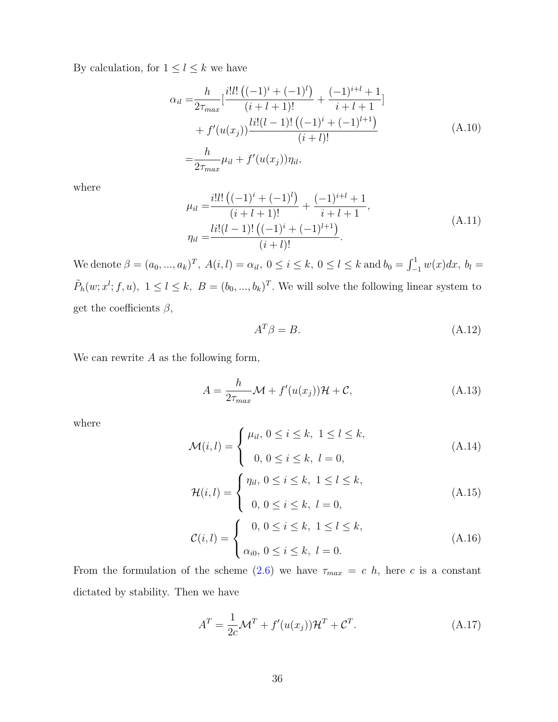By calculation, for  $1\leq l\leq k$  we have

$$
\alpha_{il} = \frac{h}{2\tau_{max}} \left[ \frac{i!l! \left( (-1)^i + (-1)^l \right)}{(i+l+1)!} + \frac{(-1)^{i+l} + 1}{i+l+1} \right] + f'(u(x_j)) \frac{l i! (l-1)! \left( (-1)^i + (-1)^{l+1} \right)}{(i+l)!} = \frac{h}{2\tau_{max}} \mu_{il} + f'(u(x_j)) \eta_{il},
$$
\n(A.10)

where

<span id="page-35-0"></span>
$$
\mu_{il} = \frac{i! l! \left( (-1)^i + (-1)^l \right)}{(i + l + 1)!} + \frac{(-1)^{i+l} + 1}{i + l + 1},
$$
\n
$$
\eta_{il} = \frac{\ln(l - 1)! \left( (-1)^i + (-1)^{l+1} \right)}{(i + l)!}.
$$
\n(A.11)

We denote  $\beta = (a_0, ..., a_k)^T$ ,  $A(i, l) = \alpha_{il}$ ,  $0 \le i \le k$ ,  $0 \le l \le k$  and  $b_0 = \int_{-1}^{1} w(x) dx$ ,  $b_l =$  $\tilde{P}_h(w; x^l; f, u)$ ,  $1 \leq l \leq k$ ,  $B = (b_0, ..., b_k)^T$ . We will solve the following linear system to get the coefficients  $\beta$ ,

$$
A^T \beta = B. \tag{A.12}
$$

We can rewrite  $A$  as the following form,

$$
A = \frac{h}{2\tau_{max}} \mathcal{M} + f'(u(x_j))\mathcal{H} + \mathcal{C}, \tag{A.13}
$$

where

$$
\mathcal{M}(i,l) = \begin{cases} \mu_{il}, \ 0 \le i \le k, \ 1 \le l \le k, \\ \ 0, \ 0 \le i \le k, \ l = 0, \end{cases}
$$
 (A.14)

$$
\mathcal{H}(i,l) = \begin{cases} \eta_{il}, \ 0 \le i \le k, \ 1 \le l \le k, \\ 0, \ 0 \le i \le k, \ l = 0, \end{cases}
$$
 (A.15)

$$
\mathcal{C}(i,l) = \begin{cases} 0, \ 0 \le i \le k, \ 1 \le l \le k, \\ \alpha_{i0}, \ 0 \le i \le k, \ l = 0. \end{cases}
$$
 (A.16)

From the formulation of the scheme [\(2.6\)](#page-5-0) we have  $\tau_{max} = c \, h$ , here c is a constant dictated by stability. Then we have

$$
AT = \frac{1}{2c} \mathcal{M}^T + f'(u(x_j))\mathcal{H}^T + \mathcal{C}^T.
$$
 (A.17)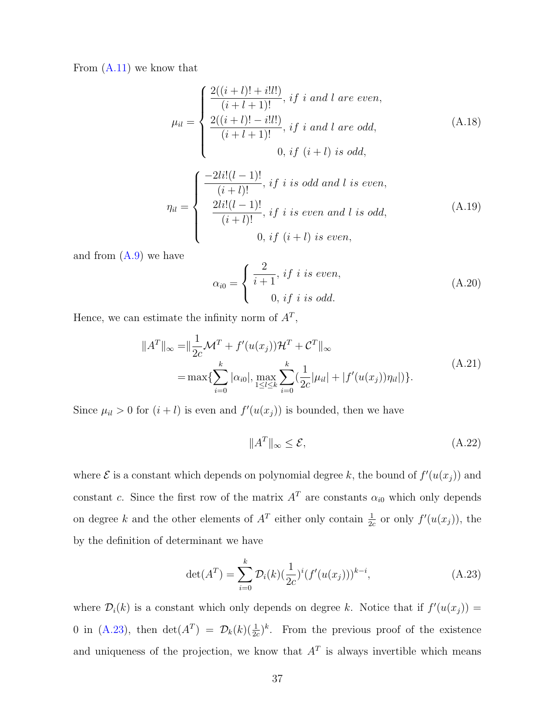From [\(A.11\)](#page-35-0) we know that

$$
\mu_{il} = \begin{cases}\n\frac{2((i+l)! + i!l!)}{(i+l+1)!}, if i and l are even, \\
\frac{2((i+l)! - i!l!)}{(i+l+1)!}, if i and l are odd, \\
0, if (i+l) is odd,\n\end{cases}
$$
\n(A.18)

$$
\eta_{il} = \begin{cases}\n\frac{-2li!(l-1)!}{(i+l)!}, & if \ i \ is \ odd \ and \ l \ is \ even, \\
\frac{2li!(l-1)!}{(i+l)!}, & if \ i \ is \ even \ and \ l \ is \ odd, \\
0, & if \ (i+l) \ is \ even,\n\end{cases} \tag{A.19}
$$

and from  $(A.9)$  we have

$$
\alpha_{i0} = \begin{cases} \frac{2}{i+1}, & \text{if } i \text{ is even,} \\ 0, & \text{if } i \text{ is odd.} \end{cases}
$$
 (A.20)

Hence, we can estimate the infinity norm of  $A<sup>T</sup>$ ,

$$
||AT||_{\infty} = ||\frac{1}{2c}MT + f'(u(xj))\mathcal{H}T + CT||_{\infty}
$$
  
= max{ $\sum_{i=0}^{k}$  | $\alpha_{i0}$ |, max<sub>1 \le l \le k</sub>  $\sum_{i=0}^{k}$  ( $\frac{1}{2c}$  | $\mu_{il}$ | + | $f'(u(xj))\eta_{il}$ |). (A.21)

Since  $\mu_{il} > 0$  for  $(i + l)$  is even and  $f'(u(x_j))$  is bounded, then we have

$$
||A^T||_{\infty} \le \mathcal{E},\tag{A.22}
$$

where  $\mathcal E$  is a constant which depends on polynomial degree k, the bound of  $f'(u(x_j))$  and constant c. Since the first row of the matrix  $A<sup>T</sup>$  are constants  $\alpha_{i0}$  which only depends on degree k and the other elements of  $A<sup>T</sup>$  either only contain  $\frac{1}{2c}$  or only  $f'(u(x_j))$ , the by the definition of determinant we have

<span id="page-36-0"></span>
$$
\det(A^T) = \sum_{i=0}^{k} \mathcal{D}_i(k) \left(\frac{1}{2c}\right)^i (f'(u(x_j)))^{k-i},\tag{A.23}
$$

where  $\mathcal{D}_i(k)$  is a constant which only depends on degree k. Notice that if  $f'(u(x_j)) =$ 0 in [\(A.23\)](#page-36-0), then  $\det(A^T) = \mathcal{D}_k(k)(\frac{1}{2c})^k$ . From the previous proof of the existence and uniqueness of the projection, we know that  $A<sup>T</sup>$  is always invertible which means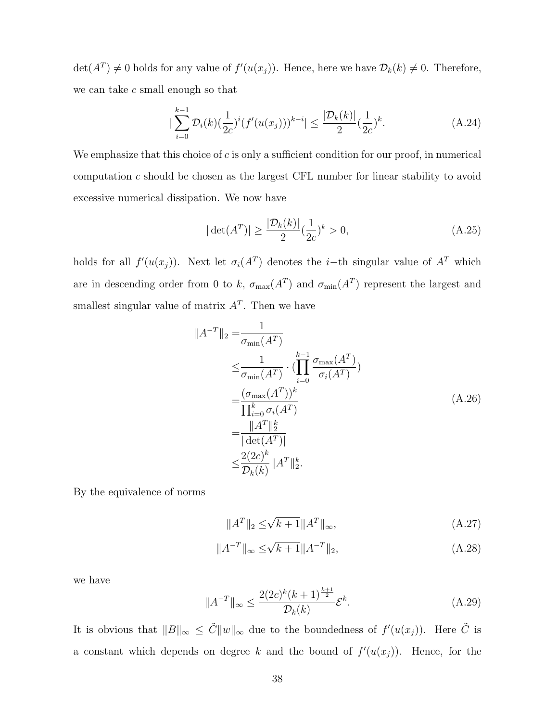$\det(A^T) \neq 0$  holds for any value of  $f'(u(x_j))$ . Hence, here we have  $\mathcal{D}_k(k) \neq 0$ . Therefore, we can take  $c$  small enough so that

$$
|\sum_{i=0}^{k-1} \mathcal{D}_i(k)(\frac{1}{2c})^i (f'(u(x_j)))^{k-i}| \le \frac{|\mathcal{D}_k(k)|}{2} (\frac{1}{2c})^k.
$$
 (A.24)

We emphasize that this choice of  $c$  is only a sufficient condition for our proof, in numerical computation c should be chosen as the largest CFL number for linear stability to avoid excessive numerical dissipation. We now have

$$
|\det(A^T)| \ge \frac{|\mathcal{D}_k(k)|}{2} (\frac{1}{2c})^k > 0,
$$
\n(A.25)

holds for all  $f'(u(x_j))$ . Next let  $\sigma_i(A^T)$  denotes the *i*-th singular value of  $A^T$  which are in descending order from 0 to k,  $\sigma_{\max}(A^T)$  and  $\sigma_{\min}(A^T)$  represent the largest and smallest singular value of matrix  $A<sup>T</sup>$ . Then we have

$$
||A^{-T}||_2 = \frac{1}{\sigma_{\min}(A^T)}
$$
  
\n
$$
\leq \frac{1}{\sigma_{\min}(A^T)} \cdot (\prod_{i=0}^{k-1} \frac{\sigma_{\max}(A^T)}{\sigma_i(A^T)})
$$
  
\n
$$
= \frac{(\sigma_{\max}(A^T))^k}{\prod_{i=0}^k \sigma_i(A^T)}
$$
  
\n
$$
= \frac{||A^T||_2^k}{|\det(A^T)|}
$$
  
\n
$$
\leq \frac{2(2c)^k}{D_k(k)} ||A^T||_2^k.
$$
\n(A.26)

By the equivalence of norms

$$
||A^T||_2 \le \sqrt{k+1} ||A^T||_{\infty},
$$
\n(A.27)

$$
||A^{-T}||_{\infty} \le \sqrt{k+1} ||A^{-T}||_2,
$$
\n(A.28)

we have

$$
||A^{-T}||_{\infty} \le \frac{2(2c)^k (k+1)^{\frac{k+1}{2}}}{\mathcal{D}_k(k)} \mathcal{E}^k.
$$
 (A.29)

It is obvious that  $||B||_{\infty} \leq \tilde{C} ||w||_{\infty}$  due to the boundedness of  $f'(u(x_j))$ . Here  $\tilde{C}$  is a constant which depends on degree k and the bound of  $f'(u(x_j))$ . Hence, for the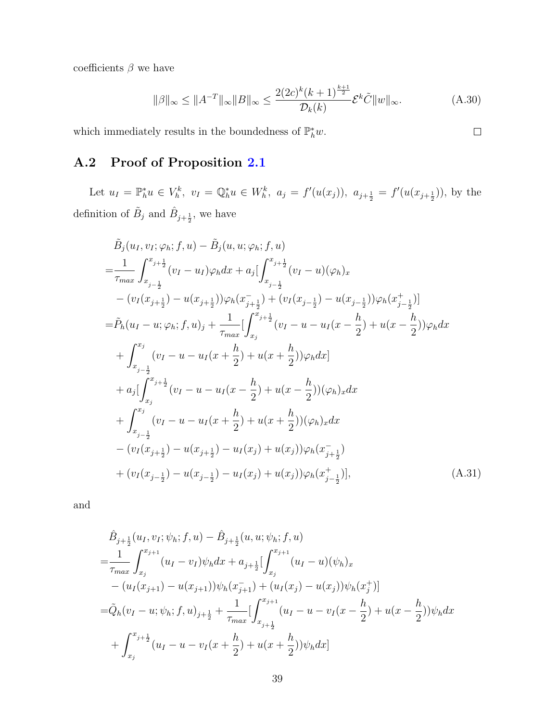coefficients  $\beta$  we have

$$
\|\beta\|_{\infty} \le \|A^{-T}\|_{\infty} \|B\|_{\infty} \le \frac{2(2c)^k (k+1)^{\frac{k+1}{2}}}{\mathcal{D}_k(k)} \mathcal{E}^k \tilde{C} \|w\|_{\infty}.
$$
 (A.30)

<span id="page-38-1"></span> $\Box$ 

which immediately results in the boundedness of  $\mathbb{P}_h^* w$ .

# <span id="page-38-0"></span>A.2 Proof of Proposition [2.1](#page-9-1)

Let  $u_I = \mathbb{P}_h^* u \in V_h^k$ ,  $v_I = \mathbb{Q}_h^* u \in W_h^k$ ,  $a_j = f'(u(x_j))$ ,  $a_{j+\frac{1}{2}} = f'(u(x_{j+\frac{1}{2}}))$ , by the definition of  $\tilde{B}_j$  and  $\hat{B}_{j+\frac{1}{2}}$ , we have

$$
\tilde{B}_{j}(u_{I},v_{I};\varphi_{h};f,u) - \tilde{B}_{j}(u,u;\varphi_{h};f,u) \n= \frac{1}{\tau_{max}} \int_{x_{j-\frac{1}{2}}}^{x_{j+\frac{1}{2}}} (v_{I} - u_{I})\varphi_{h} dx + a_{j} \Big[ \int_{x_{j-\frac{1}{2}}}^{x_{j+\frac{1}{2}}} (v_{I} - u)(\varphi_{h})_{x} \n- (v_{I}(x_{j+\frac{1}{2}}) - u(x_{j+\frac{1}{2}}))\varphi_{h}(x_{j+\frac{1}{2}}^{-}) + (v_{I}(x_{j-\frac{1}{2}}) - u(x_{j-\frac{1}{2}}))\varphi_{h}(x_{j-\frac{1}{2}}^{+}) \Big] \n= \tilde{P}_{h}(u_{I} - u; \varphi_{h};f,u)_{j} + \frac{1}{\tau_{max}} \Big[ \int_{x_{j}}^{x_{j+\frac{1}{2}}} (v_{I} - u - u_{I}(x - \frac{h}{2}) + u(x - \frac{h}{2}))\varphi_{h} dx \n+ \int_{x_{j-\frac{1}{2}}}^{x_{j}} (v_{I} - u - u_{I}(x + \frac{h}{2}) + u(x + \frac{h}{2}))\varphi_{h} dx \Big] \n+ a_{j} \Big[ \int_{x_{j}}^{x_{j+\frac{1}{2}}} (v_{I} - u - u_{I}(x - \frac{h}{2}) + u(x - \frac{h}{2}))(\varphi_{h})_{x} dx \n+ \int_{x_{j-\frac{1}{2}}}^{x_{j}} (v_{I} - u - u_{I}(x + \frac{h}{2}) + u(x + \frac{h}{2}))(\varphi_{h})_{x} dx \n- (v_{I}(x_{j+\frac{1}{2}}) - u(x_{j+\frac{1}{2}}) - u_{I}(x_{j}) + u(x_{j}))\varphi_{h}(x_{j+\frac{1}{2}}^{-}) \n+ (v_{I}(x_{j-\frac{1}{2}}) - u(x_{j-\frac{1}{2}}) - u_{I}(x_{j}) + u(x_{j}))\varphi_{h}(x_{j-\frac{1}{2}}^{+})], \qquad (A.31)
$$

and

$$
\hat{B}_{j+\frac{1}{2}}(u_I, v_I; \psi_h; f, u) - \hat{B}_{j+\frac{1}{2}}(u, u; \psi_h; f, u) \n= \frac{1}{\tau_{max}} \int_{x_j}^{x_{j+1}} (u_I - v_I) \psi_h dx + a_{j+\frac{1}{2}} \Big[ \int_{x_j}^{x_{j+1}} (u_I - u)(\psi_h)_x \n- (u_I(x_{j+1}) - u(x_{j+1})) \psi_h(x_{j+1}^-) + (u_I(x_j) - u(x_j)) \psi_h(x_j^+) \Big] \n= \tilde{Q}_h(v_I - u; \psi_h; f, u)_{j+\frac{1}{2}} + \frac{1}{\tau_{max}} \Big[ \int_{x_{j+\frac{1}{2}}}^{x_{j+1}} (u_I - u - v_I(x - \frac{h}{2}) + u(x - \frac{h}{2})) \psi_h dx \n+ \int_{x_j}^{x_{j+\frac{1}{2}}} (u_I - u - v_I(x + \frac{h}{2}) + u(x + \frac{h}{2})) \psi_h dx \Big]
$$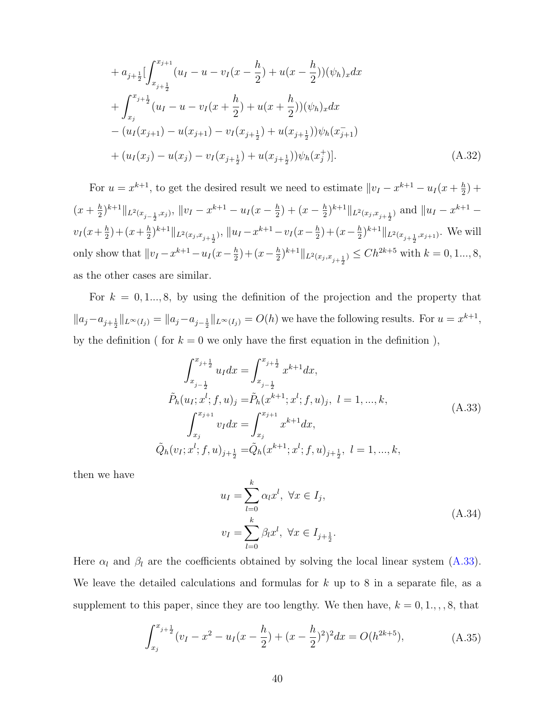$$
+ a_{j+\frac{1}{2}} \left[ \int_{x_{j+\frac{1}{2}}}^{x_{j+1}} (u_I - u - v_I(x - \frac{h}{2}) + u(x - \frac{h}{2})) (\psi_h)_x dx \right. \n+ \int_{x_j}^{x_{j+\frac{1}{2}}} (u_I - u - v_I(x + \frac{h}{2}) + u(x + \frac{h}{2})) (\psi_h)_x dx \n- (u_I(x_{j+1}) - u(x_{j+1}) - v_I(x_{j+\frac{1}{2}}) + u(x_{j+\frac{1}{2}})) \psi_h(x_{j+1}) \n+ (u_I(x_j) - u(x_j) - v_I(x_{j+\frac{1}{2}}) + u(x_{j+\frac{1}{2}})) \psi_h(x_j^+)].
$$
\n(A.32)

For  $u = x^{k+1}$ , to get the desired result we need to estimate  $||v_I - x^{k+1} - u_I(x + \frac{h}{2})||$  $(\frac{h}{2}) +$  $\left(x+\frac{h}{2}\right)$  $\frac{h}{2}$ )<sup>k+1</sup> || $L^2(x_{j-\frac{1}{2}},x_j)$ , || $v_I - x^{k+1} - u_I(x-\frac{h}{2})$  $\frac{h}{2}$ ) + (x –  $\frac{h}{2}$ )  $\frac{h}{2}$ <sub>k+1</sub>|<sub>L2(xj,x<sub>j+1<sub>2</sub>)</sub> and  $||u_I - x^{k+1} -$ </sub>  $v_I(x+\frac{h}{2})$  $(\frac{h}{2}) + (x + \frac{h}{2})$  $\frac{h}{2}$ <sub>k+1</sub> ||<sub>L2(xj,x<sub>j+1</sub>)</sub>, ||u<sub>I</sub> - x<sup>k+1</sup> - v<sub>I</sub>(x -  $\frac{h}{2}$ )  $(\frac{h}{2}) + (x - \frac{h}{2})$  $\frac{h}{2}$ ,  $k+1$   $\|_{L^2(x_{j+\frac{1}{2}},x_{j+1})}$ . We will only show that  $||v_I - x^{k+1} - u_I (x - \frac{h}{2})||$  $(\frac{h}{2}) + (x - \frac{h}{2})$  $\frac{h}{2}$ <sup>k+1</sup> $||_{L^2(x_j, x_{j+\frac{1}{2}})} \leq C h^{2k+5}$  with  $k = 0, 1, ..., 8$ , as the other cases are similar.

For  $k = 0, 1, ..., 8$ , by using the definition of the projection and the property that  $||a_j - a_{j+\frac{1}{2}}||_{L^{\infty}(I_j)} = ||a_j - a_{j-\frac{1}{2}}||_{L^{\infty}(I_j)} = O(h)$  we have the following results. For  $u = x^{k+1}$ , by the definition ( for  $k = 0$  we only have the first equation in the definition),

<span id="page-39-0"></span>
$$
\int_{x_{j-\frac{1}{2}}}^{x_{j+\frac{1}{2}}} u_I dx = \int_{x_{j-\frac{1}{2}}}^{x_{j+\frac{1}{2}}} x^{k+1} dx,
$$
\n
$$
\tilde{P}_h(u_I; x^l; f, u)_j = \tilde{P}_h(x^{k+1}; x^l; f, u)_j, \ l = 1, ..., k,
$$
\n
$$
\int_{x_j}^{x_{j+1}} v_I dx = \int_{x_j}^{x_{j+1}} x^{k+1} dx,
$$
\n
$$
\tilde{Q}_h(v_I; x^l; f, u)_{j+\frac{1}{2}} = \tilde{Q}_h(x^{k+1}; x^l; f, u)_{j+\frac{1}{2}}, \ l = 1, ..., k,
$$
\n(A.33)

then we have

$$
u_I = \sum_{l=0}^k \alpha_l x^l, \ \forall x \in I_j,
$$
  

$$
v_I = \sum_{l=0}^k \beta_l x^l, \ \forall x \in I_{j+\frac{1}{2}}.
$$
 (A.34)

Here  $\alpha_l$  and  $\beta_l$  are the coefficients obtained by solving the local linear system [\(A.33\)](#page-39-0). We leave the detailed calculations and formulas for  $k$  up to 8 in a separate file, as a supplement to this paper, since they are too lengthy. We then have,  $k = 0, 1, \ldots, 8$ , that

$$
\int_{x_j}^{x_{j+\frac{1}{2}}} (v_I - x^2 - u_I(x - \frac{h}{2}) + (x - \frac{h}{2})^2)^2 dx = O(h^{2k+5}),
$$
 (A.35)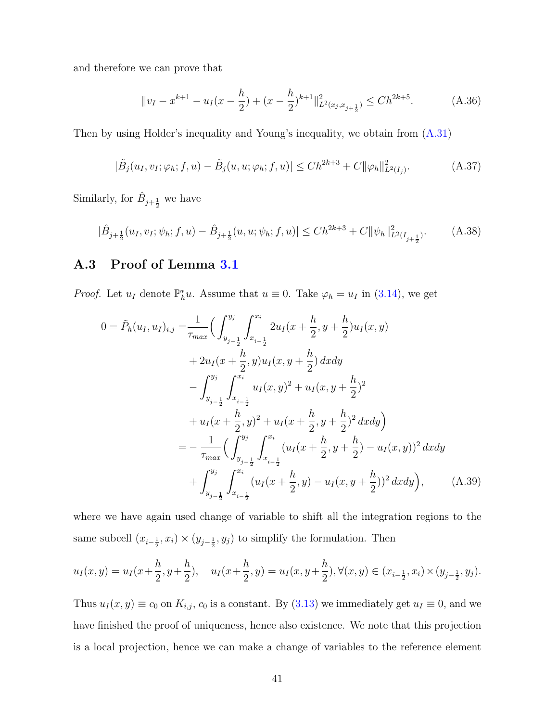and therefore we can prove that

$$
||v_I - x^{k+1} - u_I(x - \frac{h}{2}) + (x - \frac{h}{2})^{k+1}||_{L^2(x_j, x_{j+\frac{1}{2}})}^2 \le Ch^{2k+5}.
$$
 (A.36)

Then by using Holder's inequality and Young's inequality, we obtain from [\(A.31\)](#page-38-1)

$$
|\tilde{B}_j(u_I, v_I; \varphi_h; f, u) - \tilde{B}_j(u, u; \varphi_h; f, u)| \leq Ch^{2k+3} + C ||\varphi_h||^2_{L^2(I_j)}.
$$
 (A.37)

Similarly, for  $\hat{B}_{j+\frac{1}{2}}$  we have

$$
|\hat{B}_{j+\frac{1}{2}}(u_I, v_I; \psi_h; f, u) - \hat{B}_{j+\frac{1}{2}}(u, u; \psi_h; f, u)| \le Ch^{2k+3} + C ||\psi_h||^2_{L^2(I_{j+\frac{1}{2}})}. \tag{A.38}
$$

### <span id="page-40-0"></span>A.3 Proof of Lemma [3.1](#page-22-3)

*Proof.* Let  $u_I$  denote  $\mathbb{P}_h^*u$ . Assume that  $u \equiv 0$ . Take  $\varphi_h = u_I$  in [\(3.14\)](#page-22-4), we get

$$
0 = \tilde{P}_h(u_I, u_I)_{i,j} = \frac{1}{\tau_{max}} \Big( \int_{y_{j-\frac{1}{2}}}^{y_j} \int_{x_{i-\frac{1}{2}}}^{x_i} 2u_I(x + \frac{h}{2}, y + \frac{h}{2})u_I(x, y) + 2u_I(x + \frac{h}{2}, y)u_I(x, y + \frac{h}{2}) dxdy - \int_{y_{j-\frac{1}{2}}}^{y_j} \int_{x_{i-\frac{1}{2}}}^{x_i} u_I(x, y)^2 + u_I(x, y + \frac{h}{2})^2 + u_I(x + \frac{h}{2}, y)^2 + u_I(x + \frac{h}{2}, y + \frac{h}{2})^2 dxdy \Big) = - \frac{1}{\tau_{max}} \Big( \int_{y_{j-\frac{1}{2}}}^{y_j} \int_{x_{i-\frac{1}{2}}}^{x_i} (u_I(x + \frac{h}{2}, y + \frac{h}{2}) - u_I(x, y))^2 dxdy + \int_{y_{j-\frac{1}{2}}}^{y_j} \int_{x_{i-\frac{1}{2}}}^{x_i} (u_I(x + \frac{h}{2}, y) - u_I(x, y + \frac{h}{2}))^2 dxdy \Big), \qquad (A.39)
$$

where we have again used change of variable to shift all the integration regions to the same subcell  $(x_{i-\frac{1}{2}}, x_i) \times (y_{j-\frac{1}{2}}, y_j)$  to simplify the formulation. Then

$$
u_I(x,y) = u_I(x + \frac{h}{2}, y + \frac{h}{2}), \quad u_I(x + \frac{h}{2}, y) = u_I(x, y + \frac{h}{2}), \forall (x, y) \in (x_{i - \frac{1}{2}}, x_i) \times (y_{j - \frac{1}{2}}, y_j).
$$

Thus  $u_I(x, y) \equiv c_0$  on  $K_{i,j}$ ,  $c_0$  is a constant. By [\(3.13\)](#page-21-1) we immediately get  $u_I \equiv 0$ , and we have finished the proof of uniqueness, hence also existence. We note that this projection is a local projection, hence we can make a change of variables to the reference element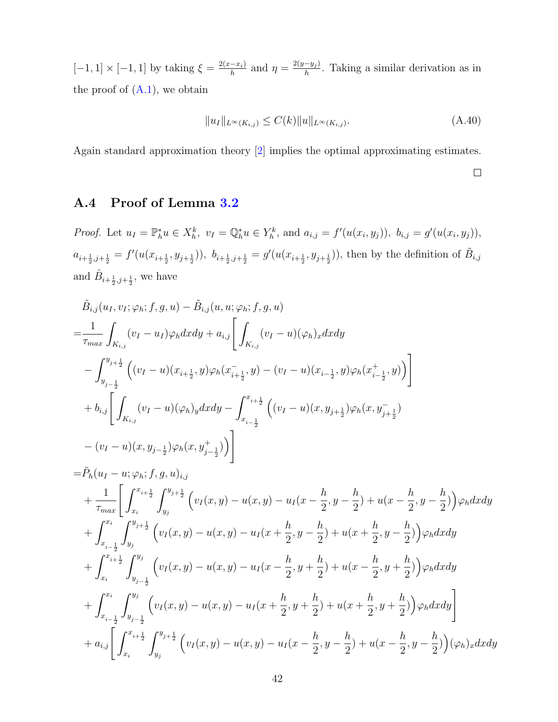$[-1, 1] \times [-1, 1]$  by taking  $\xi = \frac{2(x - x_i)}{h}$  $\frac{(-x_i)}{h}$  and  $\eta = \frac{2(y-y_j)}{h}$  $\frac{-y_j}{h}$ . Taking a similar derivation as in the proof of  $(A.1)$ , we obtain

$$
||u_I||_{L^{\infty}(K_{i,j})} \le C(k)||u||_{L^{\infty}(K_{i,j})}.
$$
\n(A.40)

Again standard approximation theory [\[2\]](#page-46-3) implies the optimal approximating estimates.

### $\Box$

## <span id="page-41-0"></span>A.4 Proof of Lemma [3.2](#page-22-2)

*Proof.* Let  $u_I = \mathbb{P}_h^* u \in X_h^k$ ,  $v_I = \mathbb{Q}_h^* u \in Y_h^k$ , and  $a_{i,j} = f'(u(x_i, y_j))$ ,  $b_{i,j} = g'(u(x_i, y_j))$ ,  $a_{i+\frac{1}{2},j+\frac{1}{2}} = f'(u(x_{i+\frac{1}{2}},y_{j+\frac{1}{2}}))$ ,  $b_{i+\frac{1}{2},j+\frac{1}{2}} = g'(u(x_{i+\frac{1}{2}},y_{j+\frac{1}{2}}))$ , then by the definition of  $B_{i,j}$ and  $\hat{B}_{i+\frac{1}{2},j+\frac{1}{2}}$ , we have

$$
\tilde{B}_{i,j}(u_{I},v_{I};\varphi_{h};f,g,u) - \tilde{B}_{i,j}(u,u;\varphi_{h};f,g,u) \n= \frac{1}{\tau_{max}} \int_{K_{i,j}} (v_{I} - u_{I}) \varphi_{h} dx dy + a_{i,j} \left[ \int_{K_{i,j}} (v_{I} - u)(\varphi_{h})_{x} dx dy \right. \n- \int_{y_{j-\frac{1}{2}}}^{y_{j+\frac{1}{2}}} \left( (v_{I} - u)(x_{i+\frac{1}{2}},y) \varphi_{h}(x_{i+\frac{1}{2}},y) - (v_{I} - u)(x_{i-\frac{1}{2}},y) \varphi_{h}(x_{i-\frac{1}{2}},y) \right) \right] \n+ b_{i,j} \left[ \int_{K_{i,j}} (v_{I} - u)(\varphi_{h})_{y} dx dy - \int_{x_{i-\frac{1}{2}}}^{x_{i+\frac{1}{2}}} \left( (v_{I} - u)(x, y_{j+\frac{1}{2}}) \varphi_{h}(x, y_{j+\frac{1}{2}}) \right. \n- (v_{I} - u)(x, y_{j-\frac{1}{2}}) \varphi_{h}(x, y_{j-\frac{1}{2}}^{+}) \right) \right] \n= \tilde{P}_{h}(u_{I} - u; \varphi_{h}; f, g, u)_{i,j} \n+ \frac{1}{\tau_{max}} \left[ \int_{x_{i}}^{x_{i+\frac{1}{2}}} \int_{y_{j}}^{y_{j+\frac{1}{2}}} \left( v_{I}(x, y) - u(x, y) - u_{I}(x - \frac{h}{2}, y - \frac{h}{2}) + u(x - \frac{h}{2}, y - \frac{h}{2}) \right) \varphi_{h} dx dy \right. \n+ \int_{x_{i-\frac{1}{2}}}^{x_{i}} \int_{y_{j}}^{y_{j+\frac{1}{2}}} \left( v_{I}(x, y) - u(x, y) - u_{I}(x + \frac{h}{2}, y - \frac{h}{2}) + u(x + \frac{h}{2}, y - \frac{h}{2}) \right) \varphi_{h} dx dy \right. \n+ \int_{x_{i}}^{x_{i+\frac{1}{2}}} \int_{y_{j-\frac{1}{2}}}^{y_{j}} \left( v_{I}(x, y) - u(x, y) - u_{I}(x - \frac{h}{2}, y
$$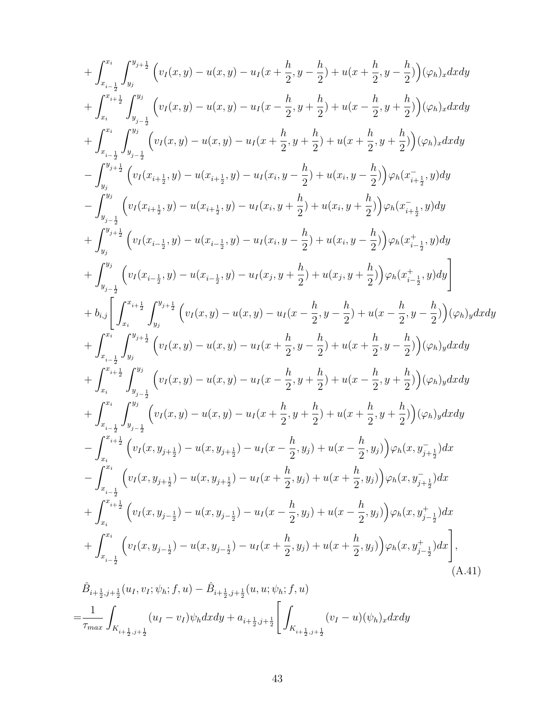+ 
$$
\int_{x_{i-\frac{1}{2}}}^{x_{i} \int_{y_{j}}^{y_{j+\frac{1}{2}}} (v_{i}(x, y) - u(x, y) - u_{i}(x + \frac{h}{2}, y - \frac{h}{2}) + u(x + \frac{h}{2}, y - \frac{h}{2}))(\varphi_{h})_{x}dxdy
$$
  
+  $\int_{x_{i}}^{x_{i+\frac{1}{2}}} \int_{y_{j-\frac{1}{2}}}^{y_{j}} (v_{i}(x, y) - u(x, y) - u_{i}(x - \frac{h}{2}, y + \frac{h}{2}) + u(x - \frac{h}{2}, y + \frac{h}{2}))(\varphi_{h})_{x}dxdy$   
+  $\int_{x_{i-\frac{1}{2}}}^{x_{i}} \int_{y_{j-\frac{1}{2}}}^{y_{j}} (v_{i}(x, y) - u(x, y) - u_{i}(x + \frac{h}{2}, y + \frac{h}{2}) + u(x + \frac{h}{2}, y + \frac{h}{2}))(\varphi_{h})_{x}dxdy$   
-  $\int_{y_{j}}^{y_{j+\frac{1}{2}}} (v_{i}(x_{i+\frac{1}{2}}, y) - u(x_{i+\frac{1}{2}}, y) - u_{i}(x_{i}, y - \frac{h}{2}) + u(x_{i}, y - \frac{h}{2}))\varphi_{h}(x_{i+\frac{1}{2}}, y)dy$   
-  $\int_{y_{j-\frac{1}{2}}}^{y_{j}} (v_{j}(x_{i+\frac{1}{2}}, y) - u(x_{i+\frac{1}{2}}, y) - u_{i}(x_{i}, y + \frac{h}{2}) + u(x_{i}, y - \frac{h}{2}))\varphi_{h}(x_{i+\frac{1}{2}}^{\pm}, y)dy$   
+  $\int_{y_{j}}^{y_{j}} (v_{i}(x_{i+\frac{1}{2}}, y) - u(x_{i+\frac{1}{2}}, y) - u_{i}(x_{i}, y - \frac{h}{2}) + u(x_{i}, y - \frac{h}{2}))\varphi_{h}(x_{i+\frac{1}{2}}^{\pm}, y)dy$   
+  $\int_{y_{j-\frac{1}{2}}}^{y_{j+\frac{1}{2}}} (v_{i}(x_{i-\frac{1}{2}}, y) - u(x_{i-\frac{1}{2}}, y) - u_{i}(x_{i}, y - \frac{h}{2}))\varphi_{h}(x_{i-\frac{1}{2}}, y)dy$ 

<span id="page-42-0"></span>
$$
=\!\frac{1}{\tau_{max}}\int_{K_{i+\frac{1}{2},j+\frac{1}{2}}}(u_{I}-v_{I})\psi_h dx dy+a_{i+\frac{1}{2},j+\frac{1}{2}}\Bigg[\int_{K_{i+\frac{1}{2},j+\frac{1}{2}}}(v_{I}-u)(\psi_h)_x dxdy
$$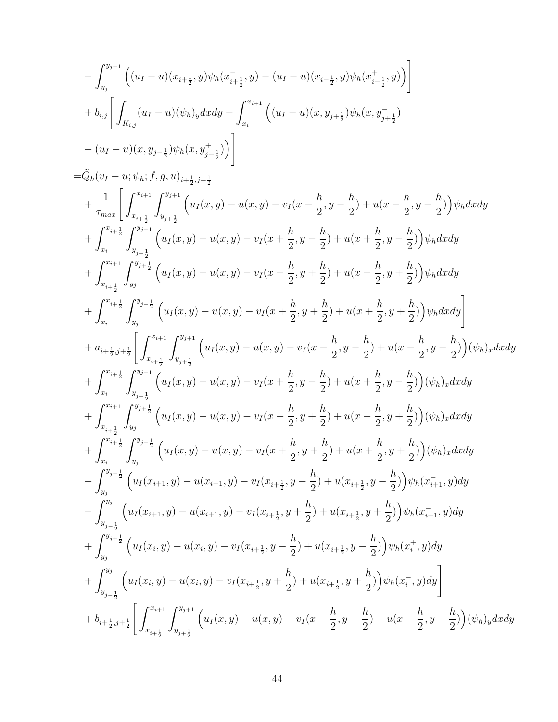$$
-\int_{y_j}^{y_{j+1}} \left( (u_I - u)(x_{i + \frac{1}{2}}, y) \psi_h(x_{i + \frac{1}{2}}, y) - (u_I - u)(x_{i - \frac{1}{2}}, y) \psi_h(x_{i - \frac{1}{2}}, y) \right) \Bigg] + b_{i,j} \Bigg[ \int_{K_{i,j}} (u_I - u)(\psi_h)_y dx dy - \int_{x_i}^{x_{i+1}} \left( (u_I - u)(x, y_{j + \frac{1}{2}}) \psi_h(x, y_{j + \frac{1}{2}}) - (u_I - u)(x, y_{j - \frac{1}{2}}) \psi_h(x, y_{j - \frac{1}{2}}) \right) \Bigg] - \Big( \psi_h(x, y_{j - \frac{1}{2}}) \psi_h(x, y_{j - \frac{1}{2}}) \Big) \Bigg]
$$

$$
= \bar{Q}_{h}(v_{I} - u; \psi_{h}; f, g, u)_{i + \frac{1}{2}, j + \frac{1}{2}} + \frac{1}{\tau_{max}} \left[ \int_{x_{i + \frac{1}{2}}}^{x_{i + 1}} \int_{y_{j + \frac{1}{2}}}^{y_{j + 1}} \left( u_{I}(x, y) - u(x, y) - v_{I}(x - \frac{h}{2}, y - \frac{h}{2}) + u(x - \frac{h}{2}, y - \frac{h}{2}) \right) \psi_{h}dxdy \right. \\ \left. + \int_{x_{i}}^{x_{i + \frac{1}{2}}} \int_{y_{j + \frac{1}{2}}}^{y_{j + 1}} \left( u_{I}(x, y) - u(x, y) - v_{I}(x + \frac{h}{2}, y - \frac{h}{2}) + u(x + \frac{h}{2}, y - \frac{h}{2}) \right) \psi_{h}dxdy \right. \\ \left. + \int_{x_{i + \frac{1}{2}}}^{x_{i + \frac{1}{2}}} \int_{y_{j}}^{y_{j + \frac{1}{2}}} \left( u_{I}(x, y) - u(x, y) - v_{I}(x - \frac{h}{2}, y + \frac{h}{2}) + u(x - \frac{h}{2}, y + \frac{h}{2}) \right) \psi_{h}dxdy \right] + \int_{x_{i}}^{x_{i + \frac{1}{2}}} \int_{y_{j}}^{y_{j + \frac{1}{2}}} \left( u_{I}(x, y) - u(x, y) - v_{I}(x + \frac{h}{2}, y + \frac{h}{2}) + u(x - \frac{h}{2}, y - \frac{h}{2}) \right) \psi_{h}dxdy \right] + \int_{x_{i}}^{x_{i + \frac{1}{2}}} \int_{y_{j + \frac{1}{2}}}^{y_{j + \frac{1}{2}}} \left( u_{I}(x, y) - u(x, y) - v_{I}(x - \frac{h}{2}, y - \frac{h}{2}) + u(x - \frac{h}{2}, y - \frac{h}{2}) \right) (\psi_{h})_{x}dxdy \right) + \int_{x_{i}}^{x_{i + \frac{1}{2}}} \int_{y_{j + \frac{1}{2}}}^{y_{j + 1}} \left( u_{I}(x, y) - u(x, y) - v_{I}(x - \frac{h}{2}, y - \frac{h}{2}) + u(x - \frac{h}{2}, y - \frac{h}{2})
$$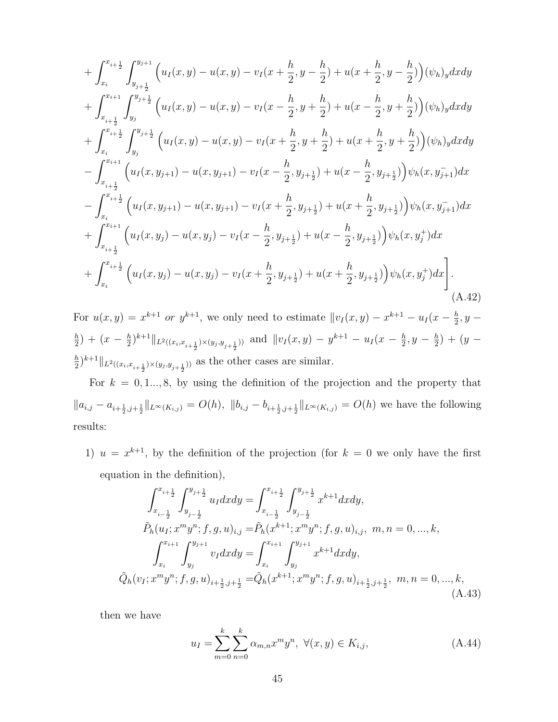$$
+\int_{x_{i}}^{x_{i+\frac{1}{2}}} \int_{y_{j+\frac{1}{2}}}^{y_{j+\frac{1}{2}}} \left( u_{I}(x,y) - u(x,y) - v_{I}(x + \frac{h}{2}, y - \frac{h}{2}) + u(x + \frac{h}{2}, y - \frac{h}{2}) \right) (\psi_{h})_{y} dxdy
$$
  
+ 
$$
\int_{x_{i+\frac{1}{2}}}^{x_{i+\frac{1}{2}}} \int_{y_{j}}^{y_{j+\frac{1}{2}}} \left( u_{I}(x,y) - u(x,y) - v_{I}(x - \frac{h}{2}, y + \frac{h}{2}) + u(x - \frac{h}{2}, y + \frac{h}{2}) \right) (\psi_{h})_{y} dxdy
$$
  
+ 
$$
\int_{x_{i}}^{x_{i+\frac{1}{2}}} \int_{y_{j}}^{y_{j+\frac{1}{2}}} \left( u_{I}(x,y) - u(x,y) - v_{I}(x + \frac{h}{2}, y + \frac{h}{2}) + u(x + \frac{h}{2}, y + \frac{h}{2}) \right) (\psi_{h})_{y} dxdy
$$
  
- 
$$
\int_{x_{i+\frac{1}{2}}}^{x_{i+\frac{1}{2}}} \left( u_{I}(x, y_{j+1}) - u(x, y_{j+1}) - v_{I}(x - \frac{h}{2}, y_{j+\frac{1}{2}}) + u(x - \frac{h}{2}, y_{j+\frac{1}{2}}) \right) \psi_{h}(x, y_{j+1}) dx
$$
  
- 
$$
\int_{x_{i}}^{x_{i+\frac{1}{2}}} \left( u_{I}(x, y_{j+1}) - u(x, y_{j+1}) - v_{I}(x + \frac{h}{2}, y_{j+\frac{1}{2}}) + u(x + \frac{h}{2}, y_{j+\frac{1}{2}}) \right) \psi_{h}(x, y_{j+1}) dx
$$
  
+ 
$$
\int_{x_{i+\frac{1}{2}}}^{x_{i+\frac{1}{2}}} \left( u_{I}(x, y_{j}) - u(x, y_{j}) - v_{I}(x - \frac{h}{2}, y_{j+\frac{1}{2}}) + u(x - \frac{h}{2}, y_{j+\frac{1}{2}}) \right) \psi_{h}(x, y_{j}^{+}) dx
$$
  
+ 
$$
\int_{x_{i}}^{x_{i+\frac{1}{2}}} \left( u_{I}(x, y_{j}) - u
$$

For  $u(x,y) = x^{k+1}$  or  $y^{k+1}$ , we only need to estimate  $||v_I(x,y) - x^{k+1} - u_I(x - \frac{h}{2})||$  $\frac{h}{2}$ ,  $y$ h  $\frac{h}{2}$ ) + (x –  $\frac{h}{2}$ )  $\frac{h}{2}$ )<sup>k+1</sup> ||<sub>L<sup>2</sup>((x<sub>i</sub>,x<sub>i+</sub><sub>1</sub>)</sub>) ×(y<sub>j</sub>,y<sub>j+</sub><sub>1</sub>)) and ||v<sub>I</sub>(x,y) – y<sup>k+1</sup> – u<sub>I</sub>(x –  $\frac{h}{2}$ )  $\frac{h}{2}, y - \frac{h}{2}$  $(\frac{h}{2}) + (y \overline{h}$  $\frac{h}{2}$ <sup>k+1</sup>|| $_{L^2((x_i,x_{i+\frac{1}{2}}) \times (y_j,y_{j+\frac{1}{2}}))}$  as the other cases are similar.

For  $k = 0, 1, ..., 8$ , by using the definition of the projection and the property that  $||a_{i,j}-a_{i+\frac{1}{2},j+\frac{1}{2}}||_{L^{\infty}(K_{i,j})}=O(h), ||b_{i,j}-b_{i+\frac{1}{2},j+\frac{1}{2}}||_{L^{\infty}(K_{i,j})}=O(h)$  we have the following results:

1)  $u = x^{k+1}$ , by the definition of the projection (for  $k = 0$  we only have the first equation in the definition),

<span id="page-44-0"></span>
$$
\int_{x_{i-\frac{1}{2}}}^{x_{i+\frac{1}{2}}} \int_{y_{j-\frac{1}{2}}}^{y_{j+\frac{1}{2}}} u_I dx dy = \int_{x_{i-\frac{1}{2}}}^{x_{i+\frac{1}{2}}} \int_{y_{j-\frac{1}{2}}}^{y_{j+\frac{1}{2}}} x^{k+1} dx dy,
$$
  
\n
$$
\tilde{P}_h(u_I; x^m y^n; f, g, u)_{i,j} = \tilde{P}_h(x^{k+1}; x^m y^n; f, g, u)_{i,j}, \ m, n = 0, ..., k,
$$
  
\n
$$
\int_{x_i}^{x_{i+1}} \int_{y_j}^{y_{j+1}} v_I dx dy = \int_{x_i}^{x_{i+1}} \int_{y_j}^{y_{j+1}} x^{k+1} dx dy,
$$
  
\n
$$
\tilde{Q}_h(v_I; x^m y^n; f, g, u)_{i+\frac{1}{2}, j+\frac{1}{2}} = \tilde{Q}_h(x^{k+1}; x^m y^n; f, g, u)_{i+\frac{1}{2}, j+\frac{1}{2}}, \ m, n = 0, ..., k,
$$
\n(A.43)

then we have

$$
u_I = \sum_{m=0}^{k} \sum_{n=0}^{k} \alpha_{m,n} x^m y^n, \ \forall (x, y) \in K_{i,j}, \tag{A.44}
$$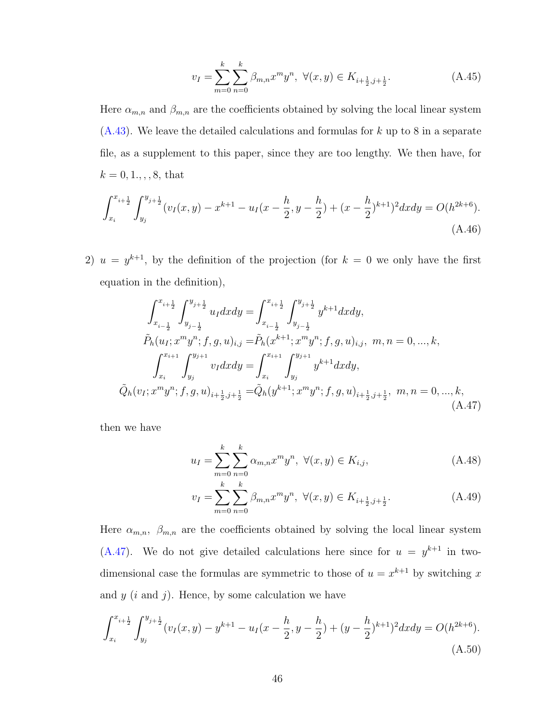$$
v_I = \sum_{m=0}^{k} \sum_{n=0}^{k} \beta_{m,n} x^m y^n, \ \forall (x, y) \in K_{i + \frac{1}{2}, j + \frac{1}{2}}.
$$
 (A.45)

Here  $\alpha_{m,n}$  and  $\beta_{m,n}$  are the coefficients obtained by solving the local linear system  $(A.43)$ . We leave the detailed calculations and formulas for k up to 8 in a separate file, as a supplement to this paper, since they are too lengthy. We then have, for  $k = 0, 1, \ldots, 8$ , that

$$
\int_{x_i}^{x_{i+\frac{1}{2}}} \int_{y_j}^{y_{j+\frac{1}{2}}} (v_I(x,y) - x^{k+1} - u_I(x - \frac{h}{2}, y - \frac{h}{2}) + (x - \frac{h}{2})^{k+1})^2 dx dy = O(h^{2k+6}).
$$
\n(A.46)

2)  $u = y^{k+1}$ , by the definition of the projection (for  $k = 0$  we only have the first equation in the definition),

<span id="page-45-0"></span>
$$
\int_{x_{i-\frac{1}{2}}}^{x_{i+\frac{1}{2}}} \int_{y_{j-\frac{1}{2}}}^{y_{j+\frac{1}{2}}} u_I dx dy = \int_{x_{i-\frac{1}{2}}}^{x_{i+\frac{1}{2}}} \int_{y_{j-\frac{1}{2}}}^{y_{j+\frac{1}{2}}} y^{k+1} dx dy,
$$
  
\n
$$
\tilde{P}_h(u_I; x^m y^n; f, g, u)_{i,j} = \tilde{P}_h(x^{k+1}; x^m y^n; f, g, u)_{i,j}, \ m, n = 0, ..., k,
$$
  
\n
$$
\int_{x_i}^{x_{i+1}} \int_{y_j}^{y_{j+1}} v_I dx dy = \int_{x_i}^{x_{i+1}} \int_{y_j}^{y_{j+1}} y^{k+1} dx dy,
$$
  
\n
$$
\tilde{Q}_h(v_I; x^m y^n; f, g, u)_{i+\frac{1}{2}, j+\frac{1}{2}} = \tilde{Q}_h(y^{k+1}; x^m y^n; f, g, u)_{i+\frac{1}{2}, j+\frac{1}{2}}, \ m, n = 0, ..., k,
$$
\n(A.47)

then we have

$$
u_I = \sum_{m=0}^{k} \sum_{n=0}^{k} \alpha_{m,n} x^m y^n, \ \forall (x, y) \in K_{i,j}, \tag{A.48}
$$

$$
v_I = \sum_{m=0}^{k} \sum_{n=0}^{k} \beta_{m,n} x^m y^n, \ \forall (x, y) \in K_{i + \frac{1}{2}, j + \frac{1}{2}}.
$$
 (A.49)

Here  $\alpha_{m,n}$ ,  $\beta_{m,n}$  are the coefficients obtained by solving the local linear system  $(A.47)$ . We do not give detailed calculations here since for  $u = y^{k+1}$  in twodimensional case the formulas are symmetric to those of  $u = x^{k+1}$  by switching x and  $y$  (i and j). Hence, by some calculation we have

$$
\int_{x_i}^{x_{i+\frac{1}{2}}} \int_{y_j}^{y_{j+\frac{1}{2}}} (v_I(x,y) - y^{k+1} - u_I(x - \frac{h}{2}, y - \frac{h}{2}) + (y - \frac{h}{2})^{k+1})^2 dx dy = O(h^{2k+6}).
$$
\n(A.50)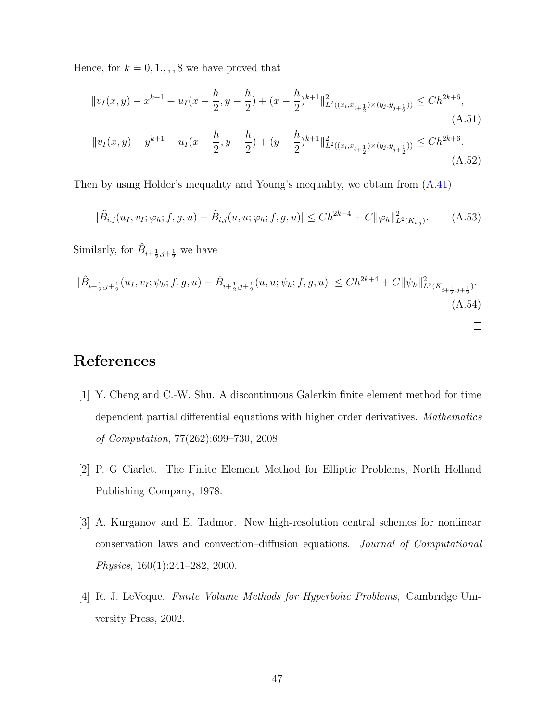Hence, for  $k = 0, 1, \ldots, 8$  we have proved that

$$
||v_{I}(x,y) - x^{k+1} - u_{I}(x - \frac{h}{2}, y - \frac{h}{2}) + (x - \frac{h}{2})^{k+1}||_{L^{2}((x_{i},x_{i+\frac{1}{2}}) \times (y_{j},y_{j+\frac{1}{2}}))} \le Ch^{2k+6},
$$
\n(A.51)\n
$$
||v_{I}(x,y) - y^{k+1} - u_{I}(x - \frac{h}{2}, y - \frac{h}{2}) + (y - \frac{h}{2})^{k+1}||_{L^{2}((x_{i},x_{i+\frac{1}{2}}) \times (y_{j},y_{j+\frac{1}{2}}))} \le Ch^{2k+6}.
$$
\n(A.52)

Then by using Holder's inequality and Young's inequality, we obtain from [\(A.41\)](#page-42-0)

$$
|\tilde{B}_{i,j}(u_I, v_I; \varphi_h; f, g, u) - \tilde{B}_{i,j}(u, u; \varphi_h; f, g, u)| \le Ch^{2k+4} + C ||\varphi_h||^2_{L^2(K_{i,j})}.
$$
 (A.53)

Similarly, for  $\hat{B}_{i+\frac{1}{2},j+\frac{1}{2}}$  we have

$$
|\hat{B}_{i+\frac{1}{2},j+\frac{1}{2}}(u_I, v_I; \psi_h; f, g, u) - \hat{B}_{i+\frac{1}{2},j+\frac{1}{2}}(u, u; \psi_h; f, g, u)| \le Ch^{2k+4} + C ||\psi_h||^2_{L^2(K_{i+\frac{1}{2},j+\frac{1}{2}})}.
$$
\n(A.54)

 $\Box$ 

# <span id="page-46-2"></span>References

- [1] Y. Cheng and C.-W. Shu. A discontinuous Galerkin finite element method for time dependent partial differential equations with higher order derivatives. Mathematics of Computation, 77(262):699–730, 2008.
- <span id="page-46-3"></span>[2] P. G Ciarlet. The Finite Element Method for Elliptic Problems, North Holland Publishing Company, 1978.
- <span id="page-46-0"></span>[3] A. Kurganov and E. Tadmor. New high-resolution central schemes for nonlinear conservation laws and convection–diffusion equations. Journal of Computational Physics, 160(1):241–282, 2000.
- <span id="page-46-1"></span>[4] R. J. LeVeque. Finite Volume Methods for Hyperbolic Problems, Cambridge University Press, 2002.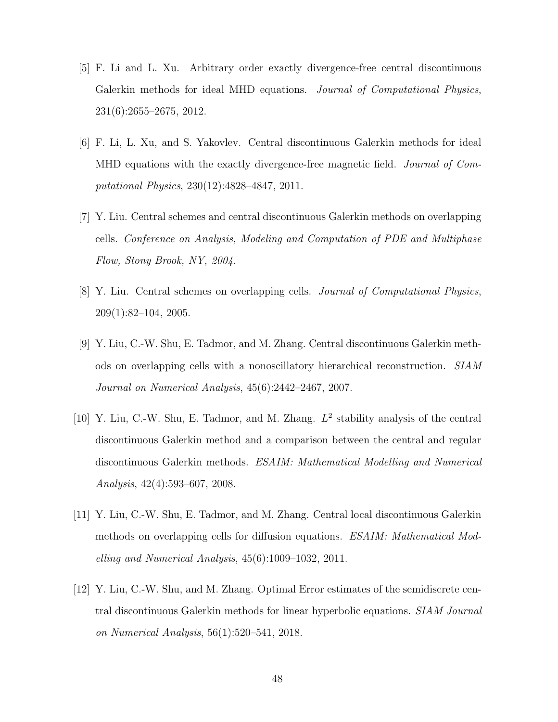- <span id="page-47-7"></span>[5] F. Li and L. Xu. Arbitrary order exactly divergence-free central discontinuous Galerkin methods for ideal MHD equations. Journal of Computational Physics, 231(6):2655–2675, 2012.
- <span id="page-47-6"></span>[6] F. Li, L. Xu, and S. Yakovlev. Central discontinuous Galerkin methods for ideal MHD equations with the exactly divergence-free magnetic field. *Journal of Com*putational Physics, 230(12):4828–4847, 2011.
- <span id="page-47-3"></span>[7] Y. Liu. Central schemes and central discontinuous Galerkin methods on overlapping cells. Conference on Analysis, Modeling and Computation of PDE and Multiphase Flow, Stony Brook, NY, 2004.
- <span id="page-47-2"></span>[8] Y. Liu. Central schemes on overlapping cells. Journal of Computational Physics, 209(1):82–104, 2005.
- <span id="page-47-4"></span>[9] Y. Liu, C.-W. Shu, E. Tadmor, and M. Zhang. Central discontinuous Galerkin methods on overlapping cells with a nonoscillatory hierarchical reconstruction. SIAM Journal on Numerical Analysis, 45(6):2442–2467, 2007.
- <span id="page-47-0"></span>[10] Y. Liu, C.-W. Shu, E. Tadmor, and M. Zhang.  $L^2$  stability analysis of the central discontinuous Galerkin method and a comparison between the central and regular discontinuous Galerkin methods. ESAIM: Mathematical Modelling and Numerical Analysis, 42(4):593–607, 2008.
- <span id="page-47-5"></span>[11] Y. Liu, C.-W. Shu, E. Tadmor, and M. Zhang. Central local discontinuous Galerkin methods on overlapping cells for diffusion equations. ESAIM: Mathematical Modelling and Numerical Analysis, 45(6):1009–1032, 2011.
- <span id="page-47-1"></span>[12] Y. Liu, C.-W. Shu, and M. Zhang. Optimal Error estimates of the semidiscrete central discontinuous Galerkin methods for linear hyperbolic equations. SIAM Journal on Numerical Analysis, 56(1):520–541, 2018.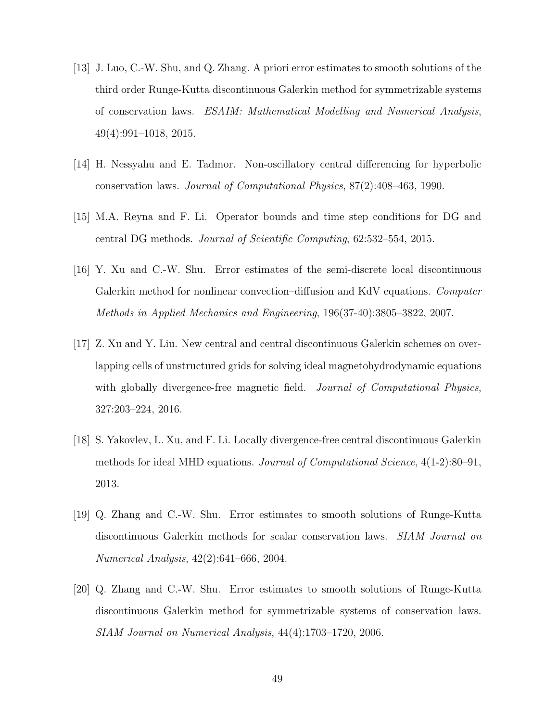- <span id="page-48-7"></span>[13] J. Luo, C.-W. Shu, and Q. Zhang. A priori error estimates to smooth solutions of the third order Runge-Kutta discontinuous Galerkin method for symmetrizable systems of conservation laws. ESAIM: Mathematical Modelling and Numerical Analysis, 49(4):991–1018, 2015.
- <span id="page-48-0"></span>[14] H. Nessyahu and E. Tadmor. Non-oscillatory central differencing for hyperbolic conservation laws. Journal of Computational Physics, 87(2):408–463, 1990.
- <span id="page-48-1"></span>[15] M.A. Reyna and F. Li. Operator bounds and time step conditions for DG and central DG methods. Journal of Scientific Computing, 62:532–554, 2015.
- <span id="page-48-6"></span>[16] Y. Xu and C.-W. Shu. Error estimates of the semi-discrete local discontinuous Galerkin method for nonlinear convection–diffusion and KdV equations. Computer Methods in Applied Mechanics and Engineering, 196(37-40):3805–3822, 2007.
- <span id="page-48-3"></span>[17] Z. Xu and Y. Liu. New central and central discontinuous Galerkin schemes on overlapping cells of unstructured grids for solving ideal magnetohydrodynamic equations with globally divergence-free magnetic field. *Journal of Computational Physics*, 327:203–224, 2016.
- <span id="page-48-2"></span>[18] S. Yakovlev, L. Xu, and F. Li. Locally divergence-free central discontinuous Galerkin methods for ideal MHD equations. Journal of Computational Science, 4(1-2):80–91, 2013.
- <span id="page-48-4"></span>[19] Q. Zhang and C.-W. Shu. Error estimates to smooth solutions of Runge-Kutta discontinuous Galerkin methods for scalar conservation laws. SIAM Journal on Numerical Analysis, 42(2):641–666, 2004.
- <span id="page-48-5"></span>[20] Q. Zhang and C.-W. Shu. Error estimates to smooth solutions of Runge-Kutta discontinuous Galerkin method for symmetrizable systems of conservation laws. SIAM Journal on Numerical Analysis, 44(4):1703–1720, 2006.